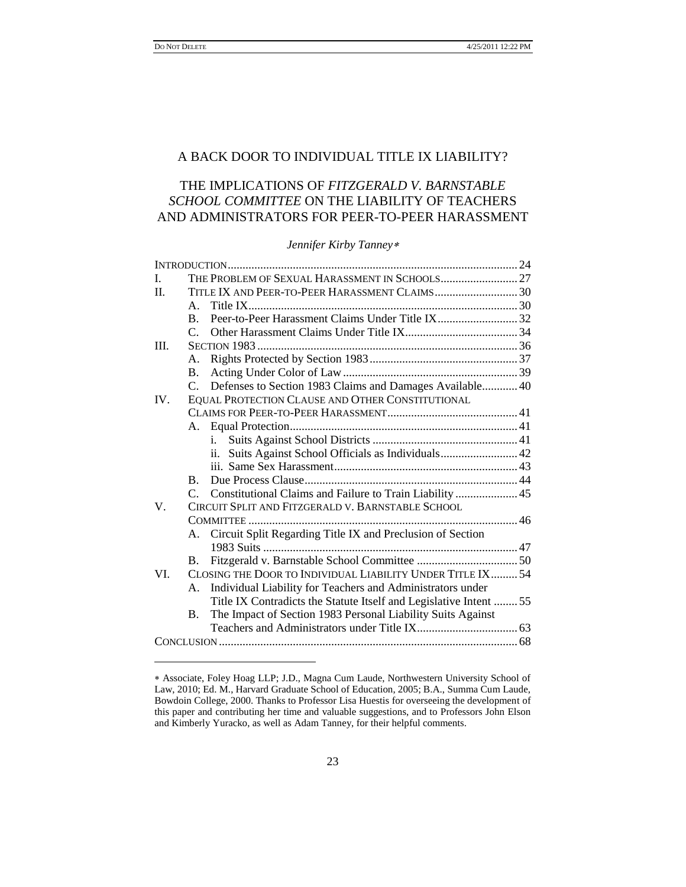l

# A BACK DOOR TO INDIVIDUAL TITLE IX LIABILITY?

# THE IMPLICATIONS OF *FITZGERALD V. BARNSTABLE SCHOOL COMMITTEE* ON THE LIABILITY OF TEACHERS AND ADMINISTRATORS FOR PEER-TO-PEER HARASSMENT

### *Jennifer Kirby Tanney*

| L.   |                                                            |                                                                   |  |
|------|------------------------------------------------------------|-------------------------------------------------------------------|--|
| H.   | TITLE IX AND PEER-TO-PEER HARASSMENT CLAIMS30              |                                                                   |  |
|      | $A_{\cdot}$                                                |                                                                   |  |
|      | $\mathbf{B}$ .                                             | Peer-to-Peer Harassment Claims Under Title IX32                   |  |
|      | $\mathsf{C}$                                               |                                                                   |  |
| III. |                                                            |                                                                   |  |
|      | Α.                                                         |                                                                   |  |
|      | В.                                                         |                                                                   |  |
|      |                                                            | C. Defenses to Section 1983 Claims and Damages Available 40       |  |
| IV.  | EQUAL PROTECTION CLAUSE AND OTHER CONSTITUTIONAL           |                                                                   |  |
|      |                                                            |                                                                   |  |
|      |                                                            |                                                                   |  |
|      |                                                            | i.                                                                |  |
|      |                                                            | Suits Against School Officials as Individuals 42<br>11.           |  |
|      |                                                            |                                                                   |  |
|      | B.                                                         |                                                                   |  |
|      | $\mathsf{C}$                                               | Constitutional Claims and Failure to Train Liability  45          |  |
| V    |                                                            | CIRCUIT SPLIT AND FITZGERALD V. BARNSTABLE SCHOOL                 |  |
|      |                                                            |                                                                   |  |
|      |                                                            | A. Circuit Split Regarding Title IX and Preclusion of Section     |  |
|      |                                                            |                                                                   |  |
|      | B.                                                         |                                                                   |  |
| VI.  | CLOSING THE DOOR TO INDIVIDUAL LIABILITY UNDER TITLE IX 54 |                                                                   |  |
|      | A.                                                         | Individual Liability for Teachers and Administrators under        |  |
|      |                                                            | Title IX Contradicts the Statute Itself and Legislative Intent 55 |  |
|      | В.                                                         | The Impact of Section 1983 Personal Liability Suits Against       |  |
|      |                                                            |                                                                   |  |
|      |                                                            |                                                                   |  |
|      |                                                            |                                                                   |  |

Associate, Foley Hoag LLP; J.D., Magna Cum Laude, Northwestern University School of Law, 2010; Ed. M., Harvard Graduate School of Education, 2005; B.A., Summa Cum Laude, Bowdoin College, 2000. Thanks to Professor Lisa Huestis for overseeing the development of this paper and contributing her time and valuable suggestions, and to Professors John Elson and Kimberly Yuracko, as well as Adam Tanney, for their helpful comments.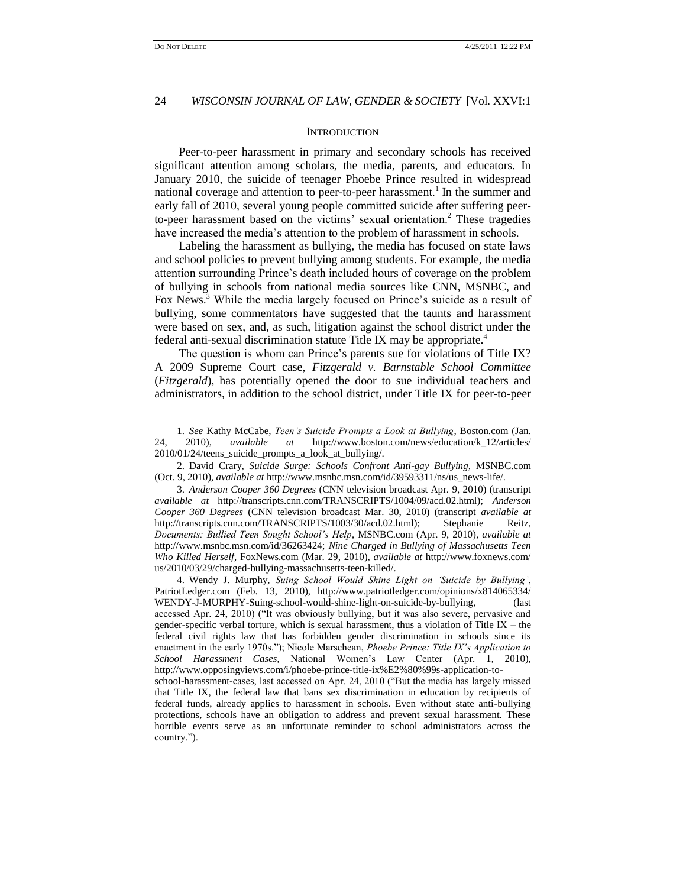l

# 24 *WISCONSIN JOURNAL OF LAW, GENDER & SOCIETY* [Vol. XXVI:1

#### **INTRODUCTION**

Peer-to-peer harassment in primary and secondary schools has received significant attention among scholars, the media, parents, and educators. In January 2010, the suicide of teenager Phoebe Prince resulted in widespread national coverage and attention to peer-to-peer harassment.<sup>1</sup> In the summer and early fall of 2010, several young people committed suicide after suffering peerto-peer harassment based on the victims' sexual orientation.<sup>2</sup> These tragedies have increased the media's attention to the problem of harassment in schools.

Labeling the harassment as bullying, the media has focused on state laws and school policies to prevent bullying among students. For example, the media attention surrounding Prince's death included hours of coverage on the problem of bullying in schools from national media sources like CNN, MSNBC, and Fox News.<sup>3</sup> While the media largely focused on Prince's suicide as a result of bullying, some commentators have suggested that the taunts and harassment were based on sex, and, as such, litigation against the school district under the federal anti-sexual discrimination statute Title IX may be appropriate.<sup>4</sup>

The question is whom can Prince's parents sue for violations of Title IX? A 2009 Supreme Court case, *Fitzgerald v. Barnstable School Committee*  (*Fitzgerald*), has potentially opened the door to sue individual teachers and administrators, in addition to the school district, under Title IX for peer-to-peer

<sup>1.</sup> *See* Kathy McCabe, *Teen"s Suicide Prompts a Look at Bullying*, Boston.com (Jan. 2010), *available at* http://www.boston.com/news/education/k\_12/articles/ 2010/01/24/teens\_suicide\_prompts\_a\_look\_at\_bullying/.

<sup>2.</sup> David Crary, *Suicide Surge: Schools Confront Anti-gay Bullying,* MSNBC.com (Oct. 9, 2010), *available at* http://www.msnbc.msn.com/id/39593311/ns/us\_news-life/.

<sup>3.</sup> *Anderson Cooper 360 Degrees* (CNN television broadcast Apr. 9, 2010) (transcript *available at* http://transcripts.cnn.com/TRANSCRIPTS/1004/09/acd.02.html); *Anderson Cooper 360 Degrees* (CNN television broadcast Mar. 30, 2010) (transcript *available at* http://transcripts.cnn.com/TRANSCRIPTS/1003/30/acd.02.html); Stephanie Reitz, *Documents: Bullied Teen Sought School"s Help*, MSNBC.com (Apr. 9, 2010), *available at* http://www.msnbc.msn.com/id/36263424; *Nine Charged in Bullying of Massachusetts Teen Who Killed Herself*, FoxNews.com (Mar. 29, 2010), *available at* http://www.foxnews.com/ us/2010/03/29/charged-bullying-massachusetts-teen-killed/.

<sup>4.</sup> Wendy J. Murphy, *Suing School Would Shine Light on "Suicide by Bullying"*, PatriotLedger.com (Feb. 13, 2010), http://www.patriotledger.com/opinions/x814065334/ WENDY-J-MURPHY-Suing-school-would-shine-light-on-suicide-by-bullying, (last accessed Apr. 24, 2010) ("It was obviously bullying, but it was also severe, pervasive and gender-specific verbal torture, which is sexual harassment, thus a violation of Title IX – the federal civil rights law that has forbidden gender discrimination in schools since its enactment in the early 1970s."); Nicole Marschean, *Phoebe Prince: Title IX's Application to School Harassment Cases*, National Women's Law Center (Apr. 1, 2010), http://www.opposingviews.com/i/phoebe-prince-title-ix%E2%80%99s-application-to-

school-harassment-cases, last accessed on Apr. 24, 2010 ("But the media has largely missed that Title IX, the federal law that bans sex discrimination in education by recipients of federal funds, already applies to harassment in schools. Even without state anti-bullying protections, schools have an obligation to address and prevent sexual harassment. These horrible events serve as an unfortunate reminder to school administrators across the country.").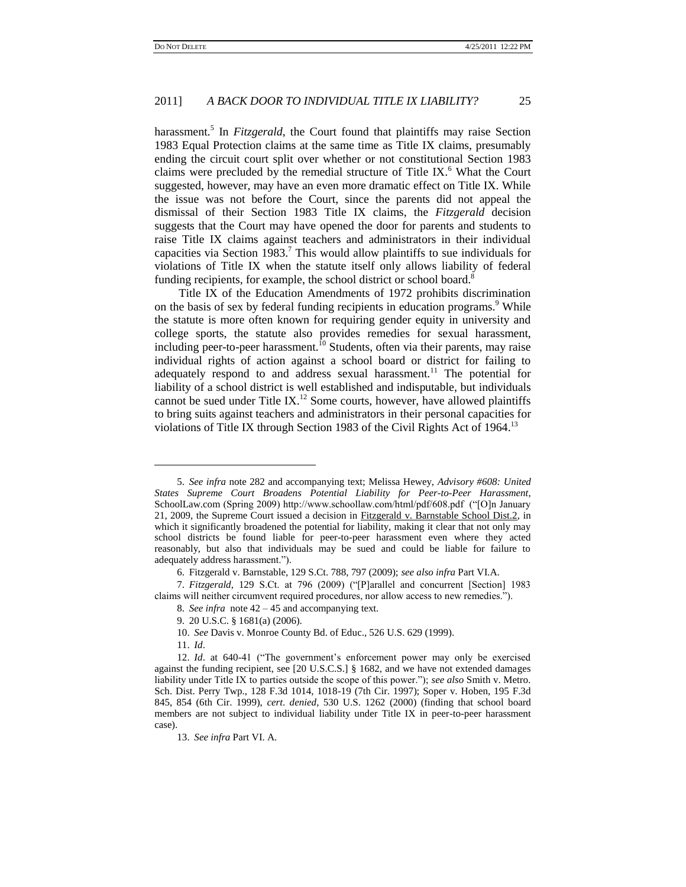harassment.<sup>5</sup> In *Fitzgerald*, the Court found that plaintiffs may raise Section 1983 Equal Protection claims at the same time as Title IX claims, presumably ending the circuit court split over whether or not constitutional Section 1983 claims were precluded by the remedial structure of Title IX.<sup>6</sup> What the Court suggested, however, may have an even more dramatic effect on Title IX. While the issue was not before the Court, since the parents did not appeal the dismissal of their Section 1983 Title IX claims, the *Fitzgerald* decision suggests that the Court may have opened the door for parents and students to raise Title IX claims against teachers and administrators in their individual capacities via Section 1983.<sup>7</sup> This would allow plaintiffs to sue individuals for violations of Title IX when the statute itself only allows liability of federal funding recipients, for example, the school district or school board.<sup>8</sup>

Title IX of the Education Amendments of 1972 prohibits discrimination on the basis of sex by federal funding recipients in education programs.<sup>9</sup> While the statute is more often known for requiring gender equity in university and college sports, the statute also provides remedies for sexual harassment, including peer-to-peer harassment.<sup>10</sup> Students, often via their parents, may raise individual rights of action against a school board or district for failing to adequately respond to and address sexual harassment.<sup>11</sup> The potential for liability of a school district is well established and indisputable, but individuals cannot be sued under Title IX.<sup>12</sup> Some courts, however, have allowed plaintiffs to bring suits against teachers and administrators in their personal capacities for violations of Title IX through Section 1983 of the Civil Rights Act of 1964.<sup>13</sup>

11. *Id*.

<sup>5.</sup> *See infra* note 282 and accompanying text; Melissa Hewey, *Advisory #608: United States Supreme Court Broadens Potential Liability for Peer-to-Peer Harassment*, SchoolLaw.com (Spring 2009) http://www.schoollaw.com/html/pdf/608.pdf ("[O]n January 21, 2009, the Supreme Court issued a decision in Fitzgerald v. Barnstable School Dist.2, in which it significantly broadened the potential for liability, making it clear that not only may school districts be found liable for peer-to-peer harassment even where they acted reasonably, but also that individuals may be sued and could be liable for failure to adequately address harassment.").

<sup>6.</sup> Fitzgerald v. Barnstable, 129 S.Ct. 788, 797 (2009); *see also infra* Par[t VI](#page-23-0)[.A.](#page-24-0)

<sup>7.</sup> Fitzgerald, 129 S.Ct. at 796 (2009) ("[P]arallel and concurrent [Section] 1983 claims will neither circumvent required procedures, nor allow access to new remedies.").

<sup>8.</sup> *See infra* note 42 – 45 and accompanying text.

<sup>9.</sup> 20 U.S.C. § 1681(a) (2006).

<sup>10.</sup> *See* Davis v. Monroe County Bd. of Educ., 526 U.S. 629 (1999).

<sup>12.</sup> *Id.* at 640-41 ("The government's enforcement power may only be exercised against the funding recipient, see [20 U.S.C.S.] § 1682, and we have not extended damages liability under Title IX to parties outside the scope of this power.‖); *see also* Smith v. Metro. Sch. Dist. Perry Twp., 128 F.3d 1014, 1018-19 (7th Cir. 1997); Soper v. Hoben, 195 F.3d 845, 854 (6th Cir. 1999), *cert*. *denied*, 530 U.S. 1262 (2000) (finding that school board members are not subject to individual liability under Title IX in peer-to-peer harassment case).

<sup>13.</sup> *See infra* Par[t VI](#page-23-0)[. A.](#page-24-0)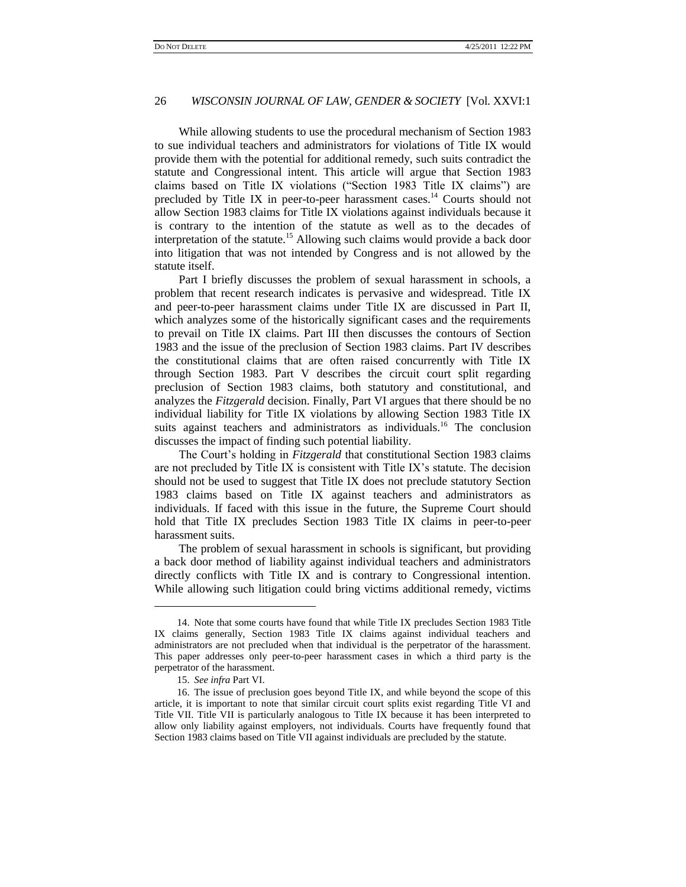While allowing students to use the procedural mechanism of Section 1983 to sue individual teachers and administrators for violations of Title IX would provide them with the potential for additional remedy, such suits contradict the statute and Congressional intent. This article will argue that Section 1983 claims based on Title IX violations ("Section 1983 Title IX claims") are precluded by Title IX in peer-to-peer harassment cases.<sup>14</sup> Courts should not allow Section 1983 claims for Title IX violations against individuals because it is contrary to the intention of the statute as well as to the decades of interpretation of the statute.<sup>15</sup> Allowing such claims would provide a back door into litigation that was not intended by Congress and is not allowed by the statute itself.

Part I briefly discusses the problem of sexual harassment in schools, a problem that recent research indicates is pervasive and widespread. Title IX and peer-to-peer harassment claims under Title IX are discussed in Part II, which analyzes some of the historically significant cases and the requirements to prevail on Title IX claims. Part III then discusses the contours of Section 1983 and the issue of the preclusion of Section 1983 claims. Part IV describes the constitutional claims that are often raised concurrently with Title IX through Section 1983. Part V describes the circuit court split regarding preclusion of Section 1983 claims, both statutory and constitutional, and analyzes the *Fitzgerald* decision. Finally, Part VI argues that there should be no individual liability for Title IX violations by allowing Section 1983 Title IX suits against teachers and administrators as individuals.<sup>16</sup> The conclusion discusses the impact of finding such potential liability.

The Court's holding in *Fitzgerald* that constitutional Section 1983 claims are not precluded by Title IX is consistent with Title IX's statute. The decision should not be used to suggest that Title IX does not preclude statutory Section 1983 claims based on Title IX against teachers and administrators as individuals. If faced with this issue in the future, the Supreme Court should hold that Title IX precludes Section 1983 Title IX claims in peer-to-peer harassment suits.

The problem of sexual harassment in schools is significant, but providing a back door method of liability against individual teachers and administrators directly conflicts with Title IX and is contrary to Congressional intention. While allowing such litigation could bring victims additional remedy, victims

<sup>14.</sup> Note that some courts have found that while Title IX precludes Section 1983 Title IX claims generally, Section 1983 Title IX claims against individual teachers and administrators are not precluded when that individual is the perpetrator of the harassment. This paper addresses only peer-to-peer harassment cases in which a third party is the perpetrator of the harassment.

<sup>15.</sup> *See infra* Part VI.

<sup>16.</sup> The issue of preclusion goes beyond Title IX, and while beyond the scope of this article, it is important to note that similar circuit court splits exist regarding Title VI and Title VII. Title VII is particularly analogous to Title IX because it has been interpreted to allow only liability against employers, not individuals. Courts have frequently found that Section 1983 claims based on Title VII against individuals are precluded by the statute.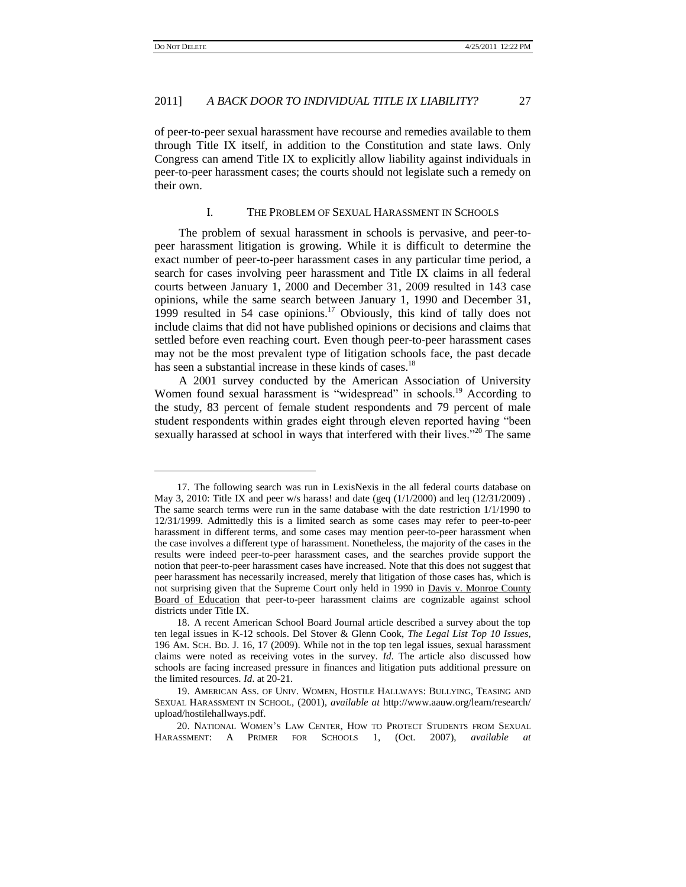$\overline{a}$ 

#### 2011] *A BACK DOOR TO INDIVIDUAL TITLE IX LIABILITY?* 27

of peer-to-peer sexual harassment have recourse and remedies available to them through Title IX itself, in addition to the Constitution and state laws. Only Congress can amend Title IX to explicitly allow liability against individuals in peer-to-peer harassment cases; the courts should not legislate such a remedy on their own.

#### I. THE PROBLEM OF SEXUAL HARASSMENT IN SCHOOLS

The problem of sexual harassment in schools is pervasive, and peer-topeer harassment litigation is growing. While it is difficult to determine the exact number of peer-to-peer harassment cases in any particular time period, a search for cases involving peer harassment and Title IX claims in all federal courts between January 1, 2000 and December 31, 2009 resulted in 143 case opinions, while the same search between January 1, 1990 and December 31, 1999 resulted in 54 case opinions. $17$  Obviously, this kind of tally does not include claims that did not have published opinions or decisions and claims that settled before even reaching court. Even though peer-to-peer harassment cases may not be the most prevalent type of litigation schools face, the past decade has seen a substantial increase in these kinds of cases.<sup>18</sup>

A 2001 survey conducted by the American Association of University Women found sexual harassment is "widespread" in schools.<sup>19</sup> According to the study, 83 percent of female student respondents and 79 percent of male student respondents within grades eight through eleven reported having "been sexually harassed at school in ways that interfered with their lives."<sup>20</sup> The same

<sup>17.</sup> The following search was run in LexisNexis in the all federal courts database on May 3, 2010: Title IX and peer w/s harass! and date (geq  $(1/1/2000)$  and leq  $(12/31/2009)$ . The same search terms were run in the same database with the date restriction 1/1/1990 to 12/31/1999. Admittedly this is a limited search as some cases may refer to peer-to-peer harassment in different terms, and some cases may mention peer-to-peer harassment when the case involves a different type of harassment. Nonetheless, the majority of the cases in the results were indeed peer-to-peer harassment cases, and the searches provide support the notion that peer-to-peer harassment cases have increased. Note that this does not suggest that peer harassment has necessarily increased, merely that litigation of those cases has, which is not surprising given that the Supreme Court only held in 1990 in Davis v. Monroe County Board of Education that peer-to-peer harassment claims are cognizable against school districts under Title IX.

<sup>18.</sup> A recent American School Board Journal article described a survey about the top ten legal issues in K-12 schools. Del Stover & Glenn Cook, *The Legal List Top 10 Issues,*  196 AM. SCH. BD. J. 16, 17 (2009). While not in the top ten legal issues, sexual harassment claims were noted as receiving votes in the survey. *Id*. The article also discussed how schools are facing increased pressure in finances and litigation puts additional pressure on the limited resources. *Id*. at 20-21.

<sup>19.</sup> AMERICAN ASS. OF UNIV. WOMEN, HOSTILE HALLWAYS: BULLYING, TEASING AND SEXUAL HARASSMENT IN SCHOOL, (2001), *available at* http://www.aauw.org/learn/research/ upload/hostilehallways.pdf.

<sup>20.</sup> NATIONAL WOMEN'S LAW CENTER, HOW TO PROTECT STUDENTS FROM SEXUAL HARASSMENT: A PRIMER FOR SCHOOLS 1, (Oct. 2007), *available at*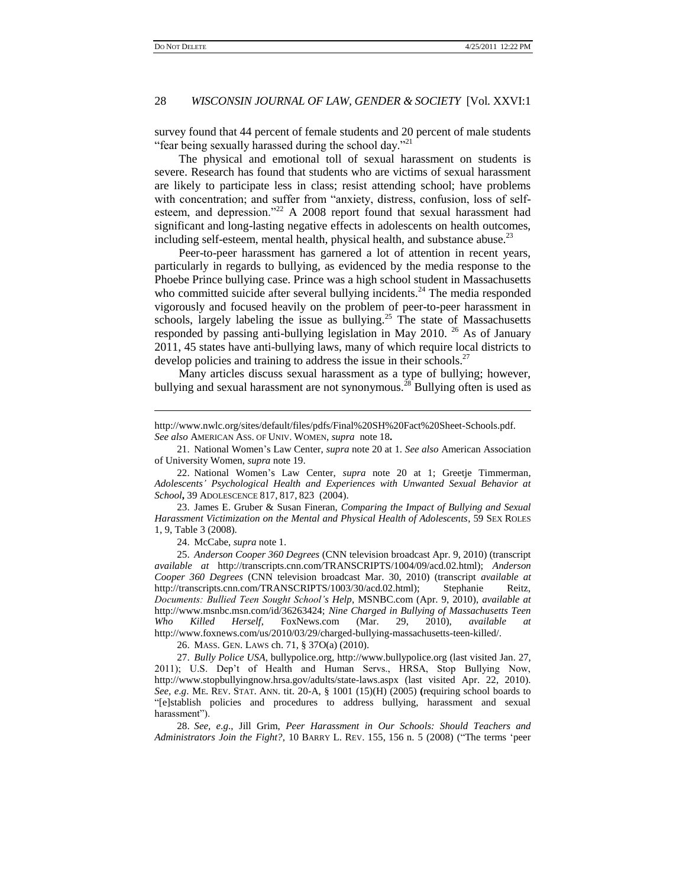$\overline{a}$ 

# 28 *WISCONSIN JOURNAL OF LAW, GENDER & SOCIETY* [Vol. XXVI:1

survey found that 44 percent of female students and 20 percent of male students "fear being sexually harassed during the school day."<sup>21</sup>

The physical and emotional toll of sexual harassment on students is severe. Research has found that students who are victims of sexual harassment are likely to participate less in class; resist attending school; have problems with concentration; and suffer from "anxiety, distress, confusion, loss of selfesteem, and depression.<sup>22</sup> A 2008 report found that sexual harassment had significant and long-lasting negative effects in adolescents on health outcomes, including self-esteem, mental health, physical health, and substance abuse.<sup>23</sup>

Peer-to-peer harassment has garnered a lot of attention in recent years, particularly in regards to bullying, as evidenced by the media response to the Phoebe Prince bullying case. Prince was a high school student in Massachusetts who committed suicide after several bullying incidents.<sup>24</sup> The media responded vigorously and focused heavily on the problem of peer-to-peer harassment in schools, largely labeling the issue as bullying. $25$  The state of Massachusetts responded by passing anti-bullying legislation in May 2010. <sup>26</sup> As of January 2011, 45 states have anti-bullying laws, many of which require local districts to develop policies and training to address the issue in their schools.<sup>27</sup>

Many articles discuss sexual harassment as a type of bullying; however, bullying and sexual harassment are not synonymous.<sup>28</sup> Bullying often is used as

23. James E. Gruber & Susan Fineran, *Comparing the Impact of Bullying and Sexual Harassment Victimization on the Mental and Physical Health of Adolescents*, 59 SEX ROLES 1, 9, Table 3 (2008).

24. McCabe, *supra* note 1.

25. *Anderson Cooper 360 Degrees* (CNN television broadcast Apr. 9, 2010) (transcript *available at* http://transcripts.cnn.com/TRANSCRIPTS/1004/09/acd.02.html); *Anderson Cooper 360 Degrees* (CNN television broadcast Mar. 30, 2010) (transcript *available at* http://transcripts.cnn.com/TRANSCRIPTS/1003/30/acd.02.html); Stephanie Reitz, *Documents: Bullied Teen Sought School"s Help*, MSNBC.com (Apr. 9, 2010), *available at* http://www.msnbc.msn.com/id/36263424; *Nine Charged in Bullying of Massachusetts Teen Who Killed Herself*, FoxNews.com (Mar. 29, 2010), *available at*  http://www.foxnews.com/us/2010/03/29/charged-bullying-massachusetts-teen-killed/.

26. MASS. GEN. LAWS ch. 71, § 37O(a) (2010).

27. *Bully Police USA*, bullypolice.org, http://www.bullypolice.org (last visited Jan. 27, 2011); U.S. Dep't of Health and Human Servs., HRSA, Stop Bullying Now, http://www.stopbullyingnow.hrsa.gov/adults/state-laws.aspx (last visited Apr. 22, 2010). *See, e*.*g*. ME. REV. STAT. ANN. tit. 20-A, § 1001 (15)(H) (2005) **(**requiring school boards to ―[e]stablish policies and procedures to address bullying, harassment and sexual harassment").

28. *See, e*.*g*., Jill Grim, *Peer Harassment in Our Schools: Should Teachers and Administrators Join the Fight?*, 10 BARRY L. REV. 155, 156 n. 5 (2008) ("The terms 'peer

http://www.nwlc.org/sites/default/files/pdfs/Final%20SH%20Fact%20Sheet-Schools.pdf. *See also* AMERICAN ASS. OF UNIV. WOMEN, *supra*note 18**.**

<sup>21.</sup> National Women's Law Center, *supra* note 20 at 1. *See also* American Association of University Women, *supra* note 19.

<sup>22.</sup> National Women's Law Center, *supra* note 20 at 1; Greetje Timmerman, *Adolescents" Psychological Health and Experiences with Unwanted Sexual Behavior at School***,** 39 ADOLESCENCE 817, 817, 823 (2004).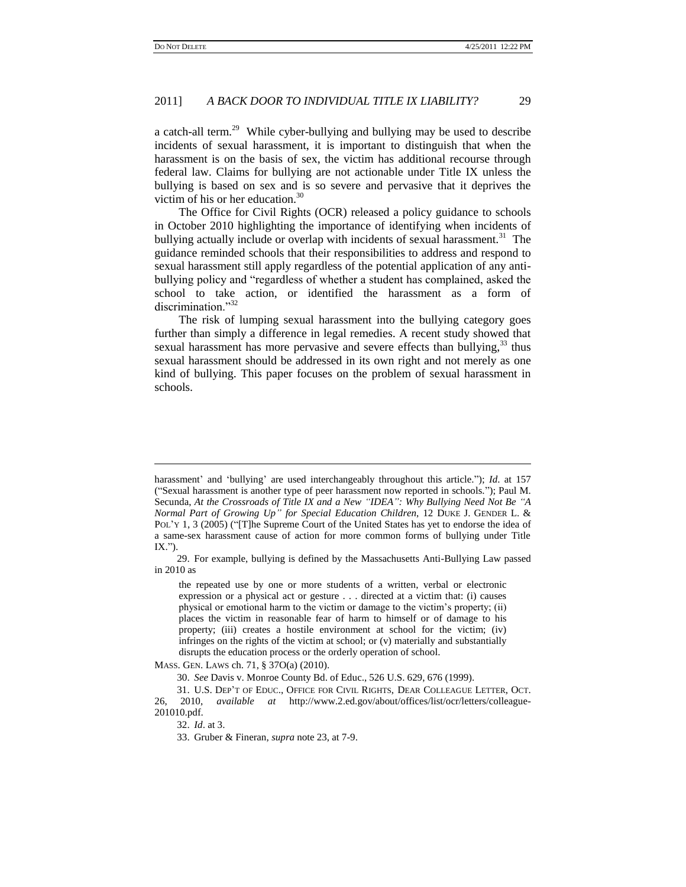a catch-all term.<sup>29</sup> While cyber-bullying and bullying may be used to describe incidents of sexual harassment, it is important to distinguish that when the harassment is on the basis of sex, the victim has additional recourse through federal law. Claims for bullying are not actionable under Title IX unless the bullying is based on sex and is so severe and pervasive that it deprives the victim of his or her education.<sup>30</sup>

The Office for Civil Rights (OCR) released a policy guidance to schools in October 2010 highlighting the importance of identifying when incidents of bullying actually include or overlap with incidents of sexual harassment.<sup>31</sup> The guidance reminded schools that their responsibilities to address and respond to sexual harassment still apply regardless of the potential application of any antibullying policy and "regardless of whether a student has complained, asked the school to take action, or identified the harassment as a form of discrimination."32

The risk of lumping sexual harassment into the bullying category goes further than simply a difference in legal remedies. A recent study showed that sexual harassment has more pervasive and severe effects than bullying,  $33$  thus sexual harassment should be addressed in its own right and not merely as one kind of bullying. This paper focuses on the problem of sexual harassment in schools.

 $\overline{a}$ 

harassment' and 'bullying' are used interchangeably throughout this article."); *Id.* at 157 (―Sexual harassment is another type of peer harassment now reported in schools.‖); Paul M. Secunda, *At the Crossroads of Title IX and a New "IDEA": Why Bullying Need Not Be "A Normal Part of Growing Up" for Special Education Children*, 12 DUKE J. GENDER L. & POL'Y 1, 3 (2005) ("[T]he Supreme Court of the United States has yet to endorse the idea of a same-sex harassment cause of action for more common forms of bullying under Title IX.").

<sup>29.</sup> For example, bullying is defined by the Massachusetts Anti-Bullying Law passed in 2010 as

the repeated use by one or more students of a written, verbal or electronic expression or a physical act or gesture . . . directed at a victim that: (i) causes physical or emotional harm to the victim or damage to the victim's property; (ii) places the victim in reasonable fear of harm to himself or of damage to his property; (iii) creates a hostile environment at school for the victim; (iv) infringes on the rights of the victim at school; or (v) materially and substantially disrupts the education process or the orderly operation of school.

MASS. GEN. LAWS ch. 71, § 37O(a) (2010).

<sup>30.</sup> *See* Davis v. Monroe County Bd. of Educ., 526 U.S. 629, 676 (1999).

<sup>31.</sup> U.S. DEP'T OF EDUC., OFFICE FOR CIVIL RIGHTS, DEAR COLLEAGUE LETTER, OCT. 26, 2010, *available at* http://www.2.ed.gov/about/offices/list/ocr/letters/colleague-201010.pdf.

<sup>32.</sup> *Id*. at 3.

<sup>33.</sup> Gruber & Fineran, *supra* note 23, at 7-9.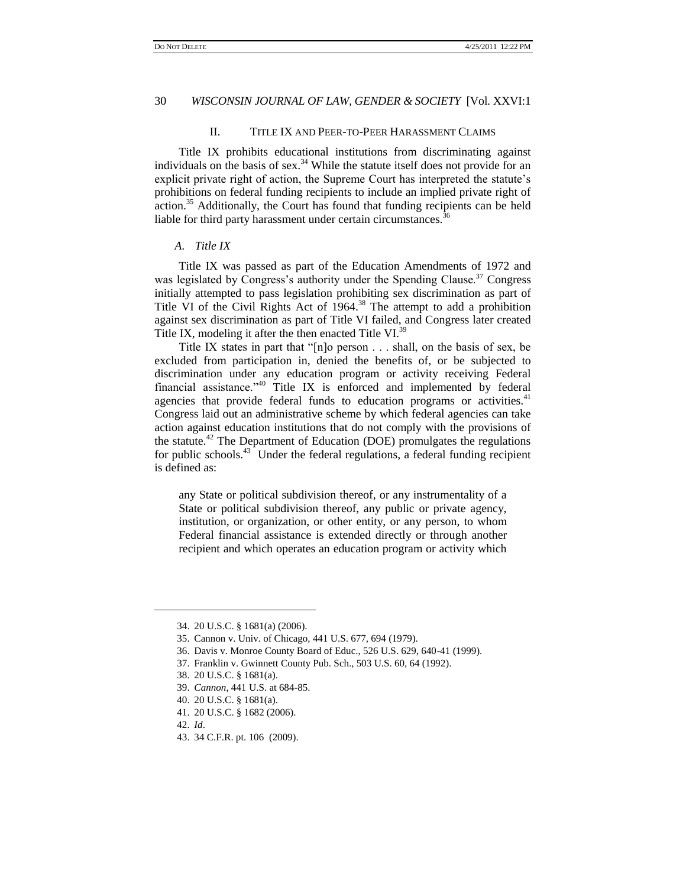# II. TITLE IX AND PEER-TO-PEER HARASSMENT CLAIMS

Title IX prohibits educational institutions from discriminating against individuals on the basis of sex.<sup>34</sup> While the statute itself does not provide for an explicit private right of action, the Supreme Court has interpreted the statute's prohibitions on federal funding recipients to include an implied private right of action.<sup>35</sup> Additionally, the Court has found that funding recipients can be held liable for third party harassment under certain circumstances.<sup>36</sup>

# *A. Title IX*

Title IX was passed as part of the Education Amendments of 1972 and was legislated by Congress's authority under the Spending Clause.<sup>37</sup> Congress initially attempted to pass legislation prohibiting sex discrimination as part of Title VI of the Civil Rights Act of 1964.<sup>38</sup> The attempt to add a prohibition against sex discrimination as part of Title VI failed, and Congress later created Title IX, modeling it after the then enacted Title VI.<sup>39</sup>

Title IX states in part that "[n]o person  $\dots$  shall, on the basis of sex, be excluded from participation in, denied the benefits of, or be subjected to discrimination under any education program or activity receiving Federal financial assistance."<sup>40</sup> Title IX is enforced and implemented by federal agencies that provide federal funds to education programs or activities.<sup>41</sup> Congress laid out an administrative scheme by which federal agencies can take action against education institutions that do not comply with the provisions of the statute.<sup>42</sup> The Department of Education (DOE) promulgates the regulations for public schools.<sup>43</sup> Under the federal regulations, a federal funding recipient is defined as:

any State or political subdivision thereof, or any instrumentality of a State or political subdivision thereof, any public or private agency, institution, or organization, or other entity, or any person, to whom Federal financial assistance is extended directly or through another recipient and which operates an education program or activity which

<sup>34.</sup> 20 U.S.C. § 1681(a) (2006).

<sup>35.</sup> Cannon v. Univ. of Chicago, 441 U.S. 677, 694 (1979).

<sup>36.</sup> Davis v. Monroe County Board of Educ., 526 U.S. 629, 640-41 (1999).

<sup>37.</sup> Franklin v. Gwinnett County Pub. Sch., 503 U.S. 60, 64 (1992).

<sup>38.</sup> 20 U.S.C. § 1681(a).

<sup>39.</sup> *Cannon*, 441 U.S. at 684-85.

<sup>40.</sup> 20 U.S.C. § 1681(a).

<sup>41.</sup> 20 U.S.C. § 1682 (2006).

<sup>42.</sup> *Id*.

<sup>43.</sup> 34 C.F.R. pt. 106 (2009).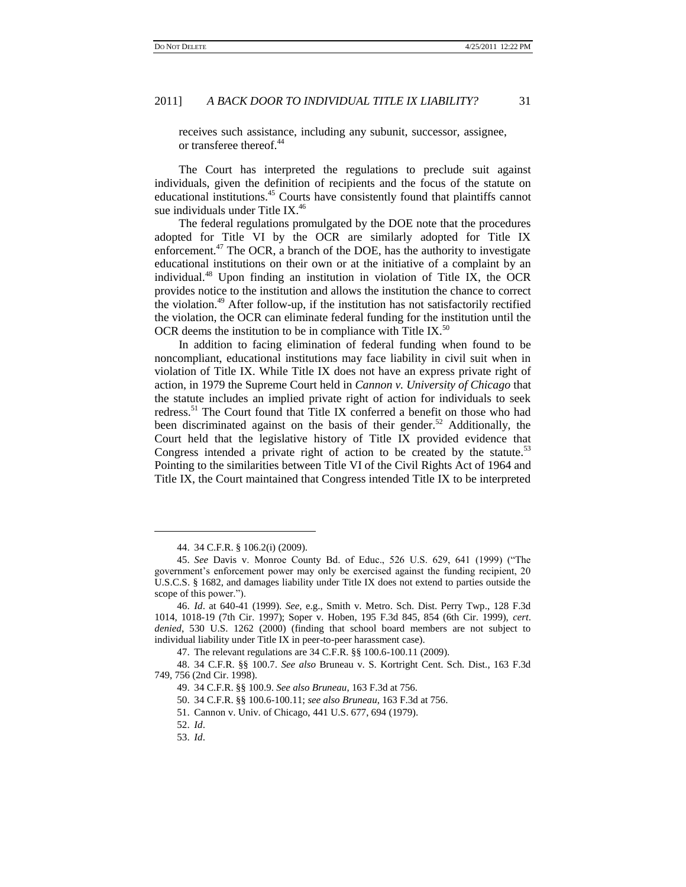receives such assistance, including any subunit, successor, assignee, or transferee thereof.<sup>44</sup>

The Court has interpreted the regulations to preclude suit against individuals, given the definition of recipients and the focus of the statute on educational institutions.<sup>45</sup> Courts have consistently found that plaintiffs cannot sue individuals under Title IX.<sup>46</sup>

The federal regulations promulgated by the DOE note that the procedures adopted for Title VI by the OCR are similarly adopted for Title IX enforcement.<sup>47</sup> The OCR, a branch of the DOE, has the authority to investigate educational institutions on their own or at the initiative of a complaint by an individual.<sup>48</sup> Upon finding an institution in violation of Title IX, the OCR provides notice to the institution and allows the institution the chance to correct the violation.<sup>49</sup> After follow-up, if the institution has not satisfactorily rectified the violation, the OCR can eliminate federal funding for the institution until the OCR deems the institution to be in compliance with Title IX.<sup>50</sup>

In addition to facing elimination of federal funding when found to be noncompliant, educational institutions may face liability in civil suit when in violation of Title IX. While Title IX does not have an express private right of action, in 1979 the Supreme Court held in *Cannon v. University of Chicago* that the statute includes an implied private right of action for individuals to seek redress.<sup>51</sup> The Court found that Title IX conferred a benefit on those who had been discriminated against on the basis of their gender.<sup>52</sup> Additionally, the Court held that the legislative history of Title IX provided evidence that Congress intended a private right of action to be created by the statute.<sup>53</sup> Pointing to the similarities between Title VI of the Civil Rights Act of 1964 and Title IX, the Court maintained that Congress intended Title IX to be interpreted

47. The relevant regulations are 34 C.F.R. §§ 100.6-100.11 (2009).

 $\overline{a}$ 

<sup>44.</sup> 34 C.F.R. § 106.2(i) (2009).

<sup>45.</sup> *See Davis v. Monroe County Bd. of Educ.*, 526 U.S. 629, 641 (1999) ("The government's enforcement power may only be exercised against the funding recipient, 20 U.S.C.S. § 1682, and damages liability under Title IX does not extend to parties outside the scope of this power.").

<sup>46.</sup> *Id*. at 640-41 (1999). *See,* e.g., Smith v. Metro. Sch. Dist. Perry Twp., 128 F.3d 1014, 1018-19 (7th Cir. 1997); Soper v. Hoben, 195 F.3d 845, 854 (6th Cir. 1999), *cert*. *denied*, 530 U.S. 1262 (2000) (finding that school board members are not subject to individual liability under Title IX in peer-to-peer harassment case).

<sup>48.</sup> 34 C.F.R. §§ 100.7. *See also* Bruneau v. S. Kortright Cent. Sch. Dist., 163 F.3d 749, 756 (2nd Cir. 1998).

<sup>49.</sup> 34 C.F.R. §§ 100.9. *See also Bruneau*, 163 F.3d at 756.

<sup>50.</sup> 34 C.F.R. §§ 100.6-100.11; *see also Bruneau*, 163 F.3d at 756.

<sup>51.</sup> Cannon v. Univ. of Chicago, 441 U.S. 677, 694 (1979).

<sup>52.</sup> *Id*.

<sup>53.</sup> *Id*.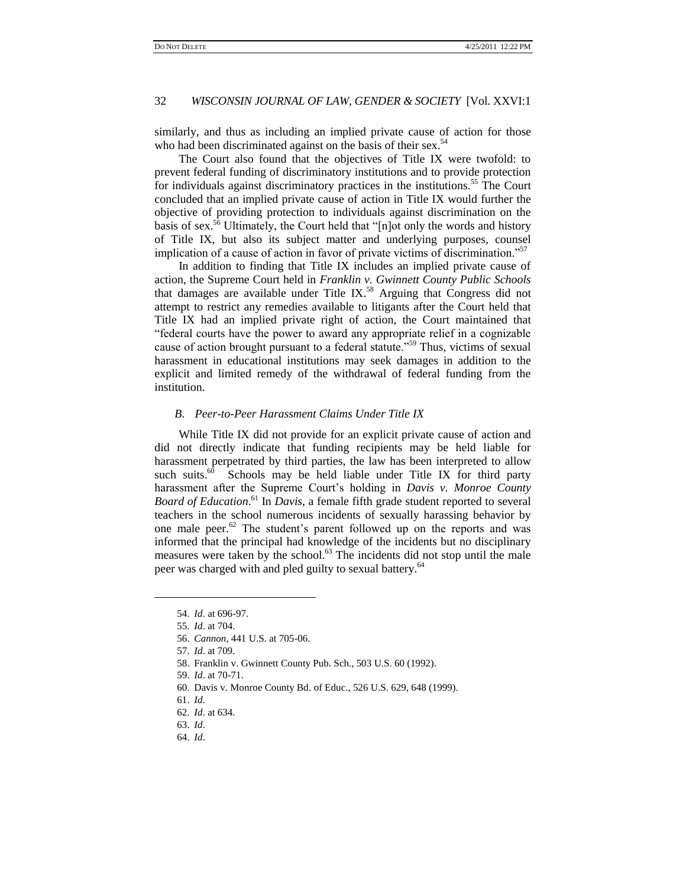similarly, and thus as including an implied private cause of action for those who had been discriminated against on the basis of their sex.<sup>54</sup>

The Court also found that the objectives of Title IX were twofold: to prevent federal funding of discriminatory institutions and to provide protection for individuals against discriminatory practices in the institutions.<sup>55</sup> The Court concluded that an implied private cause of action in Title IX would further the objective of providing protection to individuals against discrimination on the basis of sex.<sup>56</sup> Ultimately, the Court held that "[n]ot only the words and history of Title IX, but also its subject matter and underlying purposes, counsel implication of a cause of action in favor of private victims of discrimination.<sup>557</sup>

In addition to finding that Title IX includes an implied private cause of action, the Supreme Court held in *Franklin v. Gwinnett County Public Schools* that damages are available under Title IX.<sup>58</sup> Arguing that Congress did not attempt to restrict any remedies available to litigants after the Court held that Title IX had an implied private right of action, the Court maintained that ―federal courts have the power to award any appropriate relief in a cognizable cause of action brought pursuant to a federal statute."<sup>59</sup> Thus, victims of sexual harassment in educational institutions may seek damages in addition to the explicit and limited remedy of the withdrawal of federal funding from the institution.

# *B. Peer-to-Peer Harassment Claims Under Title IX*

While Title IX did not provide for an explicit private cause of action and did not directly indicate that funding recipients may be held liable for harassment perpetrated by third parties, the law has been interpreted to allow such suits. $60$  Schools may be held liable under Title IX for third party harassment after the Supreme Court's holding in *Davis v. Monroe County Board of Education*. <sup>61</sup> In *Davis*, a female fifth grade student reported to several teachers in the school numerous incidents of sexually harassing behavior by one male peer. $62$  The student's parent followed up on the reports and was informed that the principal had knowledge of the incidents but no disciplinary measures were taken by the school.<sup>63</sup> The incidents did not stop until the male peer was charged with and pled guilty to sexual battery.<sup>64</sup>

60. Davis v. Monroe County Bd. of Educ., 526 U.S. 629, 648 (1999).

<sup>54.</sup> *Id*. at 696-97.

<sup>55.</sup> *Id*. at 704.

<sup>56.</sup> *Cannon*, 441 U.S. at 705-06.

<sup>57.</sup> *Id*. at 709.

<sup>58.</sup> Franklin v. Gwinnett County Pub. Sch., 503 U.S. 60 (1992).

<sup>59.</sup> *Id*. at 70-71.

<sup>61.</sup> *Id*.

<sup>62.</sup> *Id*. at 634.

<sup>63.</sup> *Id*.

<sup>64.</sup> *Id*.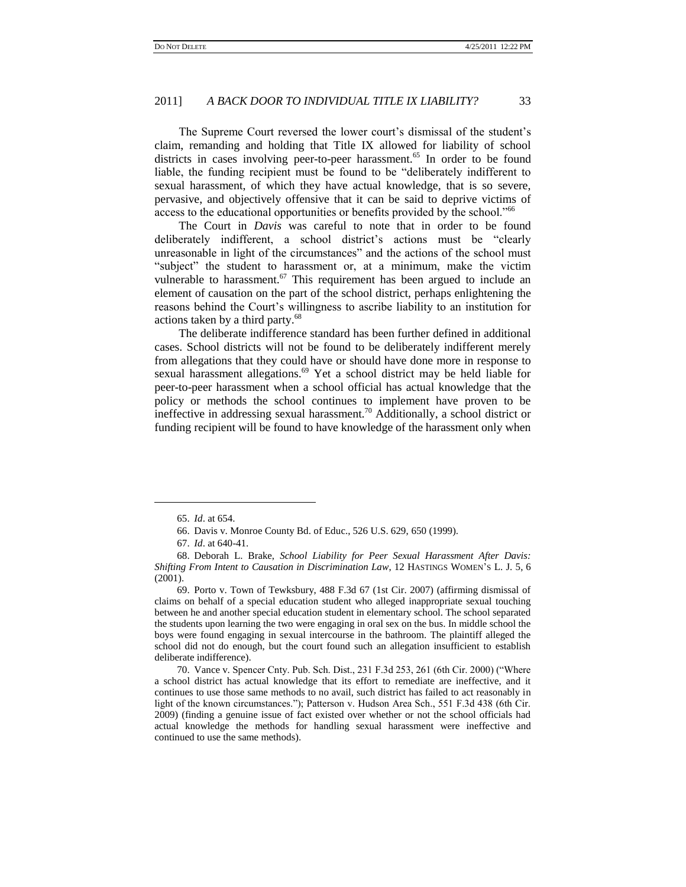The Supreme Court reversed the lower court's dismissal of the student's claim, remanding and holding that Title IX allowed for liability of school districts in cases involving peer-to-peer harassment.<sup>65</sup> In order to be found liable, the funding recipient must be found to be "deliberately indifferent to sexual harassment, of which they have actual knowledge, that is so severe, pervasive, and objectively offensive that it can be said to deprive victims of access to the educational opportunities or benefits provided by the school.<sup>166</sup>

The Court in *Davis* was careful to note that in order to be found deliberately indifferent, a school district's actions must be "clearly unreasonable in light of the circumstances" and the actions of the school must "subject" the student to harassment or, at a minimum, make the victim vulnerable to harassment.<sup>67</sup> This requirement has been argued to include an element of causation on the part of the school district, perhaps enlightening the reasons behind the Court's willingness to ascribe liability to an institution for actions taken by a third party.<sup>68</sup>

The deliberate indifference standard has been further defined in additional cases. School districts will not be found to be deliberately indifferent merely from allegations that they could have or should have done more in response to sexual harassment allegations.<sup>69</sup> Yet a school district may be held liable for peer-to-peer harassment when a school official has actual knowledge that the policy or methods the school continues to implement have proven to be ineffective in addressing sexual harassment.<sup>70</sup> Additionally, a school district or funding recipient will be found to have knowledge of the harassment only when

<sup>65.</sup> *Id*. at 654.

<sup>66.</sup> Davis v. Monroe County Bd. of Educ., 526 U.S. 629, 650 (1999).

<sup>67.</sup> *Id*. at 640-41.

<sup>68.</sup> Deborah L. Brake, *School Liability for Peer Sexual Harassment After Davis: Shifting From Intent to Causation in Discrimination Law*, 12 HASTINGS WOMEN'S L. J. 5, 6 (2001).

<sup>69.</sup> Porto v. Town of Tewksbury, 488 F.3d 67 (1st Cir. 2007) (affirming dismissal of claims on behalf of a special education student who alleged inappropriate sexual touching between he and another special education student in elementary school. The school separated the students upon learning the two were engaging in oral sex on the bus. In middle school the boys were found engaging in sexual intercourse in the bathroom. The plaintiff alleged the school did not do enough, but the court found such an allegation insufficient to establish deliberate indifference).

<sup>70.</sup> Vance v. Spencer Cnty. Pub. Sch. Dist., 231 F.3d 253, 261 (6th Cir. 2000) ("Where a school district has actual knowledge that its effort to remediate are ineffective, and it continues to use those same methods to no avail, such district has failed to act reasonably in light of the known circumstances."); Patterson v. Hudson Area Sch., 551 F.3d 438 (6th Cir. 2009) (finding a genuine issue of fact existed over whether or not the school officials had actual knowledge the methods for handling sexual harassment were ineffective and continued to use the same methods).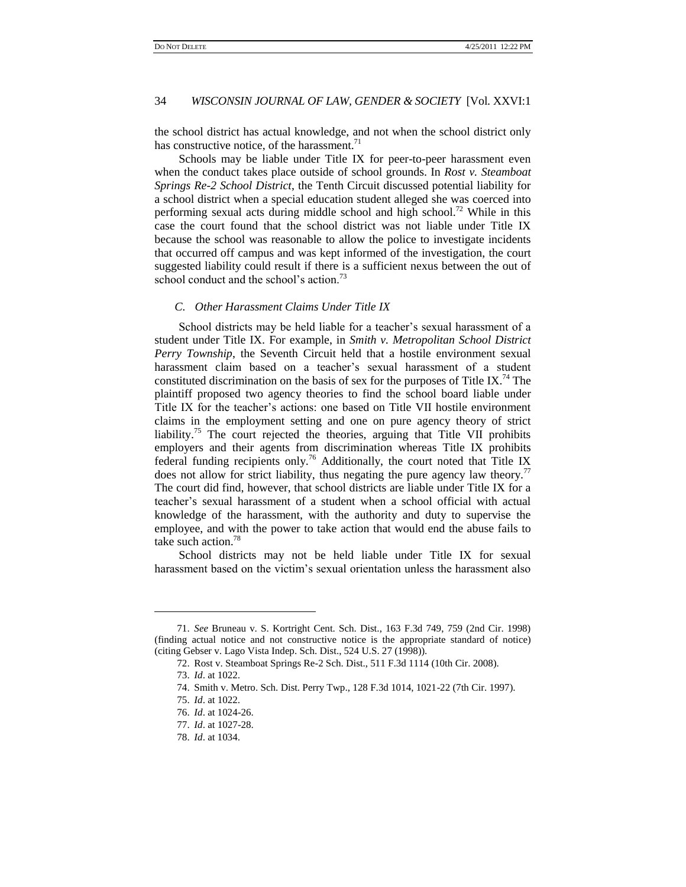the school district has actual knowledge, and not when the school district only has constructive notice, of the harassment. $11$ 

Schools may be liable under Title IX for peer-to-peer harassment even when the conduct takes place outside of school grounds. In *Rost v. Steamboat Springs Re-2 School District*, the Tenth Circuit discussed potential liability for a school district when a special education student alleged she was coerced into performing sexual acts during middle school and high school.<sup>72</sup> While in this case the court found that the school district was not liable under Title IX because the school was reasonable to allow the police to investigate incidents that occurred off campus and was kept informed of the investigation, the court suggested liability could result if there is a sufficient nexus between the out of school conduct and the school's action.<sup>73</sup>

#### *C. Other Harassment Claims Under Title IX*

School districts may be held liable for a teacher's sexual harassment of a student under Title IX. For example, in *Smith v. Metropolitan School District Perry Township*, the Seventh Circuit held that a hostile environment sexual harassment claim based on a teacher's sexual harassment of a student constituted discrimination on the basis of sex for the purposes of Title IX.<sup>74</sup> The plaintiff proposed two agency theories to find the school board liable under Title IX for the teacher's actions: one based on Title VII hostile environment claims in the employment setting and one on pure agency theory of strict liability.<sup>75</sup> The court rejected the theories, arguing that Title VII prohibits employers and their agents from discrimination whereas Title IX prohibits federal funding recipients only.<sup>76</sup> Additionally, the court noted that Title IX does not allow for strict liability, thus negating the pure agency law theory.<sup>77</sup> The court did find, however, that school districts are liable under Title IX for a teacher's sexual harassment of a student when a school official with actual knowledge of the harassment, with the authority and duty to supervise the employee, and with the power to take action that would end the abuse fails to take such action.<sup>78</sup>

School districts may not be held liable under Title IX for sexual harassment based on the victim's sexual orientation unless the harassment also

 $\overline{a}$ 

<sup>71.</sup> *See* Bruneau v. S. Kortright Cent. Sch. Dist., 163 F.3d 749, 759 (2nd Cir. 1998) (finding actual notice and not constructive notice is the appropriate standard of notice) (citing Gebser v. Lago Vista Indep. Sch. Dist., 524 U.S. 27 (1998)).

<sup>72.</sup> Rost v. Steamboat Springs Re-2 Sch. Dist., 511 F.3d 1114 (10th Cir. 2008).

<sup>73.</sup> *Id*. at 1022.

<sup>74.</sup> Smith v. Metro. Sch. Dist. Perry Twp., 128 F.3d 1014, 1021-22 (7th Cir. 1997).

<sup>75.</sup> *Id*. at 1022.

<sup>76.</sup> *Id*. at 1024-26.

<sup>77.</sup> *Id*. at 1027-28.

<sup>78.</sup> *Id*. at 1034.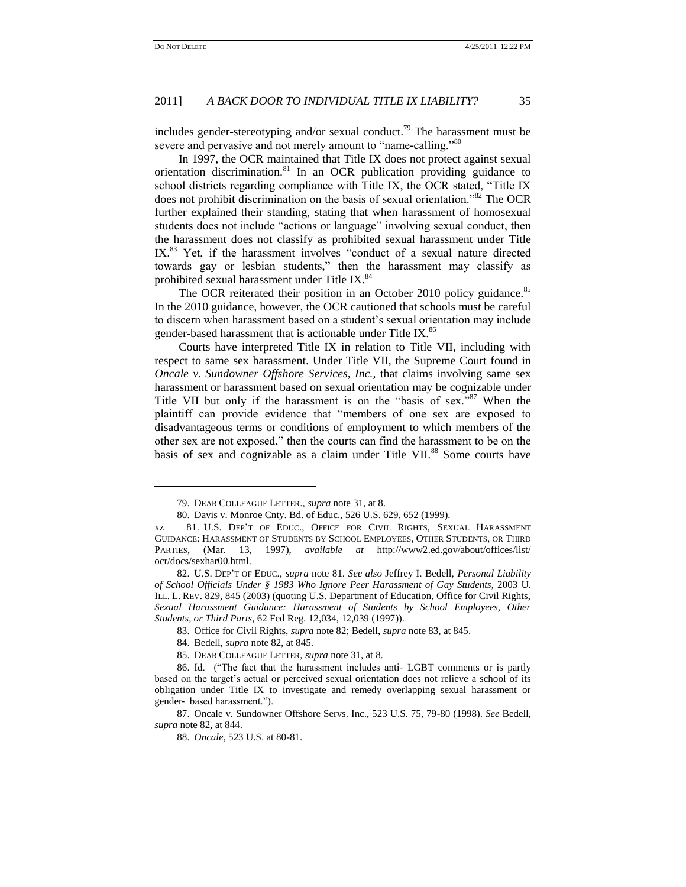l

### 2011] *A BACK DOOR TO INDIVIDUAL TITLE IX LIABILITY?* 35

includes gender-stereotyping and/or sexual conduct.<sup>79</sup> The harassment must be severe and pervasive and not merely amount to "name-calling."<sup>80</sup>

In 1997, the OCR maintained that Title IX does not protect against sexual orientation discrimination.<sup>81</sup> In an OCR publication providing guidance to school districts regarding compliance with Title IX, the OCR stated, "Title IX does not prohibit discrimination on the basis of sexual orientation.<sup>82</sup> The OCR further explained their standing, stating that when harassment of homosexual students does not include "actions or language" involving sexual conduct, then the harassment does not classify as prohibited sexual harassment under Title IX. $83$  Yet, if the harassment involves "conduct of a sexual nature directed towards gay or lesbian students," then the harassment may classify as prohibited sexual harassment under Title IX.<sup>84</sup>

The OCR reiterated their position in an October 2010 policy guidance.<sup>85</sup> In the 2010 guidance, however, the OCR cautioned that schools must be careful to discern when harassment based on a student's sexual orientation may include gender-based harassment that is actionable under Title IX.<sup>86</sup>

Courts have interpreted Title IX in relation to Title VII, including with respect to same sex harassment. Under Title VII, the Supreme Court found in *Oncale v. Sundowner Offshore Services, Inc.,* that claims involving same sex harassment or harassment based on sexual orientation may be cognizable under Title VII but only if the harassment is on the "basis of sex." $87$  When the plaintiff can provide evidence that "members of one sex are exposed to disadvantageous terms or conditions of employment to which members of the other sex are not exposed,‖ then the courts can find the harassment to be on the basis of sex and cognizable as a claim under Title VII.<sup>88</sup> Some courts have

<sup>79.</sup> DEAR COLLEAGUE LETTER., *supra* note 31, at 8.

<sup>80.</sup> Davis v. Monroe Cnty. Bd. of Educ., 526 U.S. 629, 652 (1999).

xz 81. U.S. DEP'T OF EDUC., OFFICE FOR CIVIL RIGHTS, SEXUAL HARASSMENT GUIDANCE: HARASSMENT OF STUDENTS BY SCHOOL EMPLOYEES, OTHER STUDENTS, OR THIRD PARTIES, (Mar. 13, 1997), *available at* http://www2.ed.gov/about/offices/list/ ocr/docs/sexhar00.html.

<sup>82.</sup> U.S. DEP'T OF EDUC., *supra* note 81. *See also* Jeffrey I. Bedell, *Personal Liability of School Officials Under § 1983 Who Ignore Peer Harassment of Gay Students*, 2003 U. ILL. L. REV. 829, 845 (2003) (quoting U.S. Department of Education, Office for Civil Rights, *Sexual Harassment Guidance: Harassment of Students by School Employees, Other Students, or Third Parts*, 62 Fed Reg. 12,034, 12,039 (1997)).

<sup>83.</sup> Office for Civil Rights, *supra* note 82; Bedell, *supra* note 83, at 845.

<sup>84.</sup> Bedell, *supra* note 82, at 845.

<sup>85.</sup> DEAR COLLEAGUE LETTER, *supra* note 31, at 8.

<sup>86.</sup> Id. ("The fact that the harassment includes anti- LGBT comments or is partly based on the target's actual or perceived sexual orientation does not relieve a school of its obligation under Title IX to investigate and remedy overlapping sexual harassment or gender- based harassment.").

<sup>87.</sup> Oncale v. Sundowner Offshore Servs. Inc., 523 U.S. 75, 79-80 (1998). *See* Bedell, *supra* note 82, at 844.

<sup>88.</sup> *Oncale*, 523 U.S. at 80-81.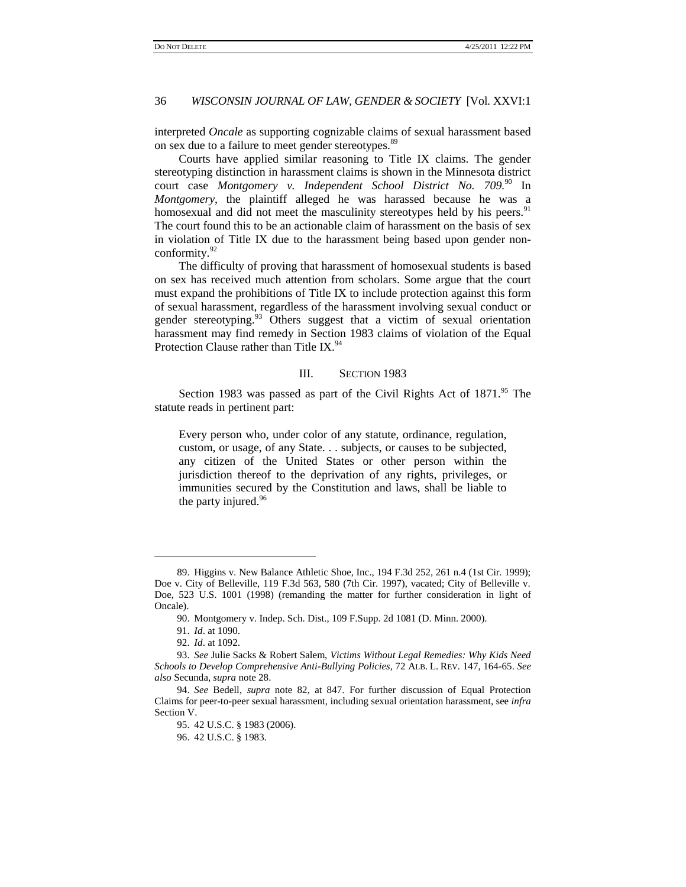interpreted *Oncale* as supporting cognizable claims of sexual harassment based on sex due to a failure to meet gender stereotypes.<sup>89</sup>

Courts have applied similar reasoning to Title IX claims. The gender stereotyping distinction in harassment claims is shown in the Minnesota district court case *Montgomery v. Independent School District No. 709.*<sup>90</sup> In *Montgomery*, the plaintiff alleged he was harassed because he was a homosexual and did not meet the masculinity stereotypes held by his peers.<sup>91</sup> The court found this to be an actionable claim of harassment on the basis of sex in violation of Title IX due to the harassment being based upon gender nonconformity.<sup>92</sup>

The difficulty of proving that harassment of homosexual students is based on sex has received much attention from scholars. Some argue that the court must expand the prohibitions of Title IX to include protection against this form of sexual harassment, regardless of the harassment involving sexual conduct or gender stereotyping.<sup>93</sup> Others suggest that a victim of sexual orientation harassment may find remedy in Section 1983 claims of violation of the Equal Protection Clause rather than Title IX.<sup>94</sup>

#### III. SECTION 1983

Section 1983 was passed as part of the Civil Rights Act of 1871.<sup>95</sup> The statute reads in pertinent part:

Every person who, under color of any statute, ordinance, regulation, custom, or usage, of any State. . . subjects, or causes to be subjected, any citizen of the United States or other person within the jurisdiction thereof to the deprivation of any rights, privileges, or immunities secured by the Constitution and laws, shall be liable to the party injured.<sup>96</sup>

<sup>89.</sup> Higgins v. New Balance Athletic Shoe, Inc., 194 F.3d 252, 261 n.4 (1st Cir. 1999); Doe v. City of Belleville, 119 F.3d 563, 580 (7th Cir. 1997), vacated; City of Belleville v. Doe, 523 U.S. 1001 (1998) (remanding the matter for further consideration in light of Oncale).

<sup>90.</sup> Montgomery v. Indep. Sch. Dist., 109 F.Supp. 2d 1081 (D. Minn. 2000).

<sup>91.</sup> *Id*. at 1090.

<sup>92.</sup> *Id*. at 1092.

<sup>93.</sup> *See* Julie Sacks & Robert Salem, *Victims Without Legal Remedies: Why Kids Need Schools to Develop Comprehensive Anti-Bullying Policies*, 72 ALB. L. REV. 147, 164-65. *See also* Secunda, *supra* note 28.

<sup>94.</sup> *See* Bedell, *supra* note 82, at 847. For further discussion of Equal Protection Claims for peer-to-peer sexual harassment, including sexual orientation harassment, see *infra*  Section V.

<sup>95.</sup> 42 U.S.C. § 1983 (2006).

<sup>96.</sup> 42 U.S.C. § 1983.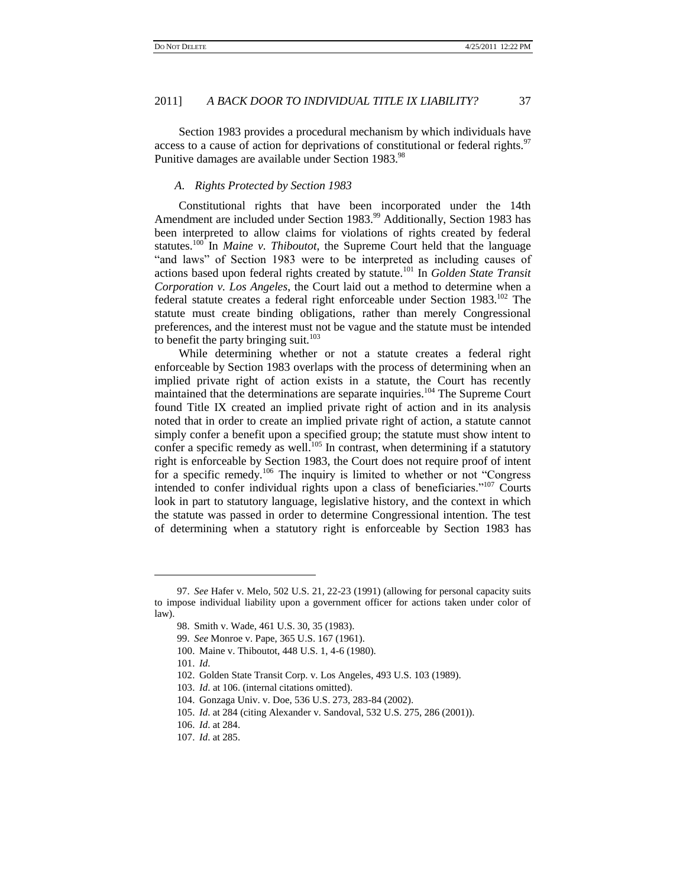Section 1983 provides a procedural mechanism by which individuals have access to a cause of action for deprivations of constitutional or federal rights.<sup>97</sup> Punitive damages are available under Section 1983.<sup>98</sup>

#### *A. Rights Protected by Section 1983*

Constitutional rights that have been incorporated under the 14th Amendment are included under Section 1983.<sup>99</sup> Additionally, Section 1983 has been interpreted to allow claims for violations of rights created by federal statutes.<sup>100</sup> In *Maine v. Thiboutot*, the Supreme Court held that the language "and laws" of Section 1983 were to be interpreted as including causes of actions based upon federal rights created by statute.<sup>101</sup> In *Golden State Transit Corporation v. Los Angeles*, the Court laid out a method to determine when a federal statute creates a federal right enforceable under Section 1983.<sup>102</sup> The statute must create binding obligations, rather than merely Congressional preferences, and the interest must not be vague and the statute must be intended to benefit the party bringing suit. $103$ 

While determining whether or not a statute creates a federal right enforceable by Section 1983 overlaps with the process of determining when an implied private right of action exists in a statute, the Court has recently maintained that the determinations are separate inquiries.<sup>104</sup> The Supreme Court found Title IX created an implied private right of action and in its analysis noted that in order to create an implied private right of action, a statute cannot simply confer a benefit upon a specified group; the statute must show intent to confer a specific remedy as well.<sup>105</sup> In contrast, when determining if a statutory right is enforceable by Section 1983, the Court does not require proof of intent for a specific remedy.<sup>106</sup> The inquiry is limited to whether or not "Congress" intended to confer individual rights upon a class of beneficiaries."<sup>107</sup> Courts look in part to statutory language, legislative history, and the context in which the statute was passed in order to determine Congressional intention. The test of determining when a statutory right is enforceable by Section 1983 has

 $\overline{a}$ 

<sup>97.</sup> *See* Hafer v. Melo, 502 U.S. 21, 22-23 (1991) (allowing for personal capacity suits to impose individual liability upon a government officer for actions taken under color of law).

<sup>98.</sup> Smith v. Wade, 461 U.S. 30, 35 (1983).

<sup>99.</sup> *See* Monroe v. Pape, 365 U.S. 167 (1961).

<sup>100.</sup> Maine v. Thiboutot, 448 U.S. 1, 4-6 (1980).

<sup>101.</sup> *Id*.

<sup>102.</sup> Golden State Transit Corp. v. Los Angeles, 493 U.S. 103 (1989).

<sup>103.</sup> *Id*. at 106. (internal citations omitted).

<sup>104.</sup> Gonzaga Univ. v. Doe, 536 U.S. 273, 283-84 (2002).

<sup>105.</sup> *Id*. at 284 (citing Alexander v. Sandoval, 532 U.S. 275, 286 (2001)).

<sup>106.</sup> *Id*. at 284.

<sup>107.</sup> *Id*. at 285.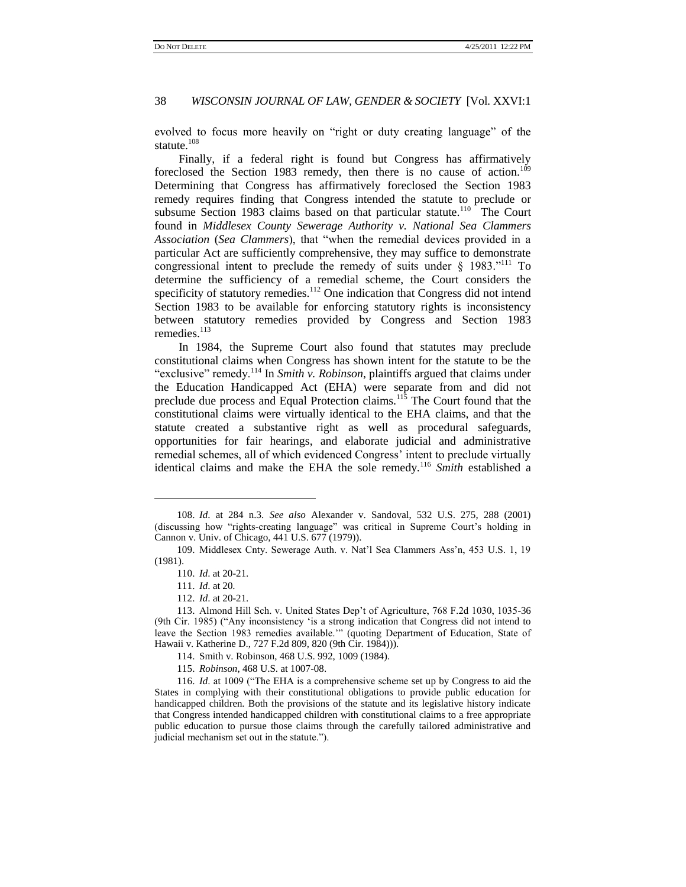evolved to focus more heavily on "right or duty creating language" of the statute.<sup>108</sup>

Finally, if a federal right is found but Congress has affirmatively foreclosed the Section 1983 remedy, then there is no cause of action.<sup>109</sup> Determining that Congress has affirmatively foreclosed the Section 1983 remedy requires finding that Congress intended the statute to preclude or subsume Section 1983 claims based on that particular statute.<sup>110</sup> The Court found in *Middlesex County Sewerage Authority v. National Sea Clammers Association* (*Sea Clammers*), that "when the remedial devices provided in a particular Act are sufficiently comprehensive, they may suffice to demonstrate congressional intent to preclude the remedy of suits under  $\S$  1983."<sup>111</sup> To determine the sufficiency of a remedial scheme, the Court considers the specificity of statutory remedies.<sup>112</sup> One indication that Congress did not intend Section 1983 to be available for enforcing statutory rights is inconsistency between statutory remedies provided by Congress and Section 1983 remedies.<sup>113</sup>

In 1984, the Supreme Court also found that statutes may preclude constitutional claims when Congress has shown intent for the statute to be the "exclusive" remedy.<sup>114</sup> In *Smith v. Robinson*, plaintiffs argued that claims under the Education Handicapped Act (EHA) were separate from and did not preclude due process and Equal Protection claims.<sup>115</sup> The Court found that the constitutional claims were virtually identical to the EHA claims, and that the statute created a substantive right as well as procedural safeguards, opportunities for fair hearings, and elaborate judicial and administrative remedial schemes, all of which evidenced Congress' intent to preclude virtually identical claims and make the EHA the sole remedy.<sup>116</sup> *Smith* established a

<sup>108.</sup> *Id*. at 284 n.3. *See also* Alexander v. Sandoval, 532 U.S. 275, 288 (2001) (discussing how ―rights-creating language‖ was critical in Supreme Court's holding in Cannon v. Univ. of Chicago, 441 U.S. 677 (1979)).

<sup>109.</sup> Middlesex Cnty. Sewerage Auth. v. Nat'l Sea Clammers Ass'n, 453 U.S. 1, 19 (1981).

<sup>110.</sup> *Id*. at 20-21.

<sup>111.</sup> *Id*. at 20.

<sup>112.</sup> *Id*. at 20-21.

<sup>113.</sup> Almond Hill Sch. v. United States Dep't of Agriculture, 768 F.2d 1030, 1035-36 (9th Cir. 1985) ("Any inconsistency 'is a strong indication that Congress did not intend to leave the Section 1983 remedies available." (quoting Department of Education, State of Hawaii v. Katherine D., 727 F.2d 809, 820 (9th Cir. 1984))).

<sup>114.</sup> Smith v. Robinson, 468 U.S. 992, 1009 (1984).

<sup>115.</sup> *Robinson*, 468 U.S. at 1007-08.

<sup>116.</sup> *Id.* at 1009 ("The EHA is a comprehensive scheme set up by Congress to aid the States in complying with their constitutional obligations to provide public education for handicapped children. Both the provisions of the statute and its legislative history indicate that Congress intended handicapped children with constitutional claims to a free appropriate public education to pursue those claims through the carefully tailored administrative and judicial mechanism set out in the statute.").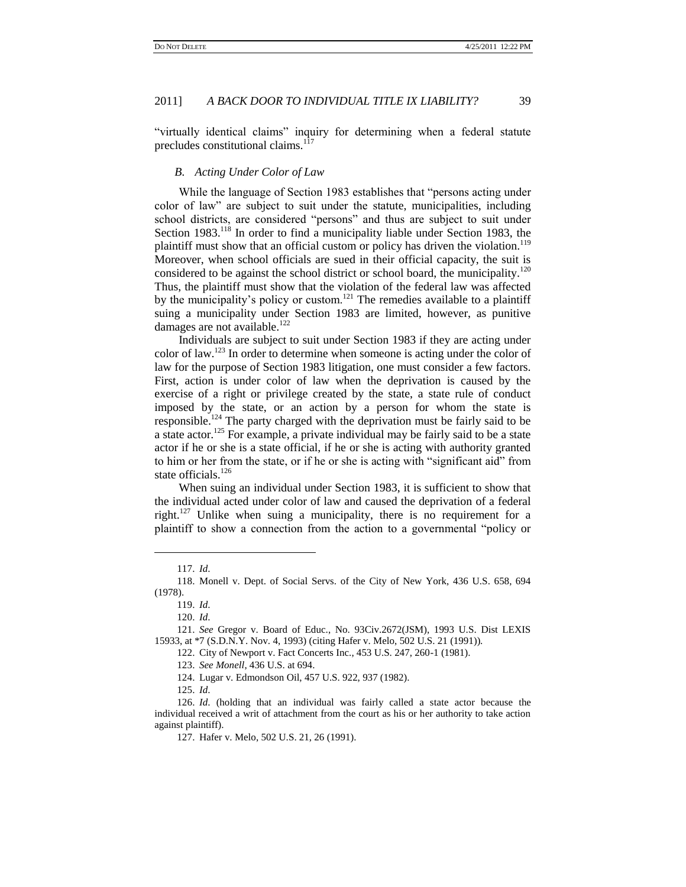"virtually identical claims" inquiry for determining when a federal statute precludes constitutional claims.<sup>117</sup>

# *B. Acting Under Color of Law*

While the language of Section 1983 establishes that "persons acting under color of law" are subject to suit under the statute, municipalities, including school districts, are considered "persons" and thus are subject to suit under Section 1983.<sup>118</sup> In order to find a municipality liable under Section 1983, the plaintiff must show that an official custom or policy has driven the violation.<sup>119</sup> Moreover, when school officials are sued in their official capacity, the suit is considered to be against the school district or school board, the municipality.<sup>120</sup> Thus, the plaintiff must show that the violation of the federal law was affected by the municipality's policy or custom.<sup>121</sup> The remedies available to a plaintiff suing a municipality under Section 1983 are limited, however, as punitive damages are not available. $122$ 

Individuals are subject to suit under Section 1983 if they are acting under color of law.<sup>123</sup> In order to determine when someone is acting under the color of law for the purpose of Section 1983 litigation, one must consider a few factors. First, action is under color of law when the deprivation is caused by the exercise of a right or privilege created by the state, a state rule of conduct imposed by the state, or an action by a person for whom the state is responsible.<sup>124</sup> The party charged with the deprivation must be fairly said to be a state actor.<sup>125</sup> For example, a private individual may be fairly said to be a state actor if he or she is a state official, if he or she is acting with authority granted to him or her from the state, or if he or she is acting with "significant aid" from state officials.<sup>126</sup>

When suing an individual under Section 1983, it is sufficient to show that the individual acted under color of law and caused the deprivation of a federal right.<sup>127</sup> Unlike when suing a municipality, there is no requirement for a plaintiff to show a connection from the action to a governmental "policy or

<sup>117.</sup> *Id*.

<sup>118.</sup> Monell v. Dept. of Social Servs. of the City of New York, 436 U.S. 658, 694 (1978).

<sup>119.</sup> *Id*.

<sup>120.</sup> *Id*.

<sup>121.</sup> *See* Gregor v. Board of Educ., No. 93Civ.2672(JSM), 1993 U.S. Dist LEXIS 15933, at \*7 (S.D.N.Y. Nov. 4, 1993) (citing Hafer v. Melo, 502 U.S. 21 (1991)).

<sup>122.</sup> City of Newport v. Fact Concerts Inc., 453 U.S. 247, 260-1 (1981).

<sup>123.</sup> *See Monell*, 436 U.S. at 694.

<sup>124.</sup> Lugar v. Edmondson Oil, 457 U.S. 922, 937 (1982).

<sup>125.</sup> *Id*.

<sup>126.</sup> *Id*. (holding that an individual was fairly called a state actor because the individual received a writ of attachment from the court as his or her authority to take action against plaintiff).

<sup>127.</sup> Hafer v. Melo, 502 U.S. 21, 26 (1991).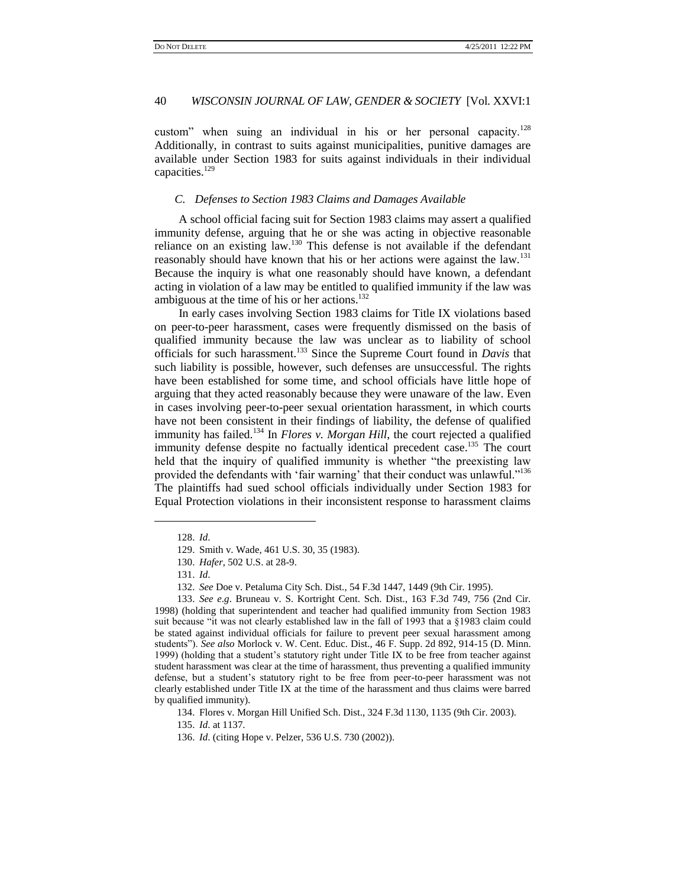custom" when suing an individual in his or her personal capacity.<sup>128</sup> Additionally, in contrast to suits against municipalities, punitive damages are available under Section 1983 for suits against individuals in their individual capacities.<sup>129</sup>

#### *C. Defenses to Section 1983 Claims and Damages Available*

A school official facing suit for Section 1983 claims may assert a qualified immunity defense, arguing that he or she was acting in objective reasonable reliance on an existing law.<sup>130</sup> This defense is not available if the defendant reasonably should have known that his or her actions were against the law.<sup>131</sup> Because the inquiry is what one reasonably should have known, a defendant acting in violation of a law may be entitled to qualified immunity if the law was ambiguous at the time of his or her actions.<sup>132</sup>

In early cases involving Section 1983 claims for Title IX violations based on peer-to-peer harassment, cases were frequently dismissed on the basis of qualified immunity because the law was unclear as to liability of school officials for such harassment.<sup>133</sup> Since the Supreme Court found in *Davis* that such liability is possible, however, such defenses are unsuccessful. The rights have been established for some time, and school officials have little hope of arguing that they acted reasonably because they were unaware of the law. Even in cases involving peer-to-peer sexual orientation harassment, in which courts have not been consistent in their findings of liability, the defense of qualified immunity has failed.<sup>134</sup> In *Flores v. Morgan Hill*, the court rejected a qualified immunity defense despite no factually identical precedent case.<sup>135</sup> The court held that the inquiry of qualified immunity is whether "the preexisting law provided the defendants with 'fair warning' that their conduct was unlawful."<sup>136</sup> The plaintiffs had sued school officials individually under Section 1983 for Equal Protection violations in their inconsistent response to harassment claims

 $\overline{a}$ 

134. Flores v. Morgan Hill Unified Sch. Dist., 324 F.3d 1130, 1135 (9th Cir. 2003).

<sup>128.</sup> *Id*.

<sup>129.</sup> Smith v. Wade, 461 U.S. 30, 35 (1983).

<sup>130.</sup> *Hafer*, 502 U.S. at 28-9.

<sup>131.</sup> *Id*.

<sup>132.</sup> *See* Doe v. Petaluma City Sch. Dist., 54 F.3d 1447, 1449 (9th Cir. 1995).

<sup>133.</sup> *See e*.*g*. Bruneau v. S. Kortright Cent. Sch. Dist., 163 F.3d 749, 756 (2nd Cir. 1998) (holding that superintendent and teacher had qualified immunity from Section 1983 suit because "it was not clearly established law in the fall of 1993 that a §1983 claim could be stated against individual officials for failure to prevent peer sexual harassment among students‖). *See also* Morlock v. W. Cent. Educ. Dist., 46 F. Supp. 2d 892, 914-15 (D. Minn. 1999) (holding that a student's statutory right under Title IX to be free from teacher against student harassment was clear at the time of harassment, thus preventing a qualified immunity defense, but a student's statutory right to be free from peer-to-peer harassment was not clearly established under Title IX at the time of the harassment and thus claims were barred by qualified immunity).

<sup>135.</sup> *Id*. at 1137.

<sup>136.</sup> *Id*. (citing Hope v. Pelzer, 536 U.S. 730 (2002)).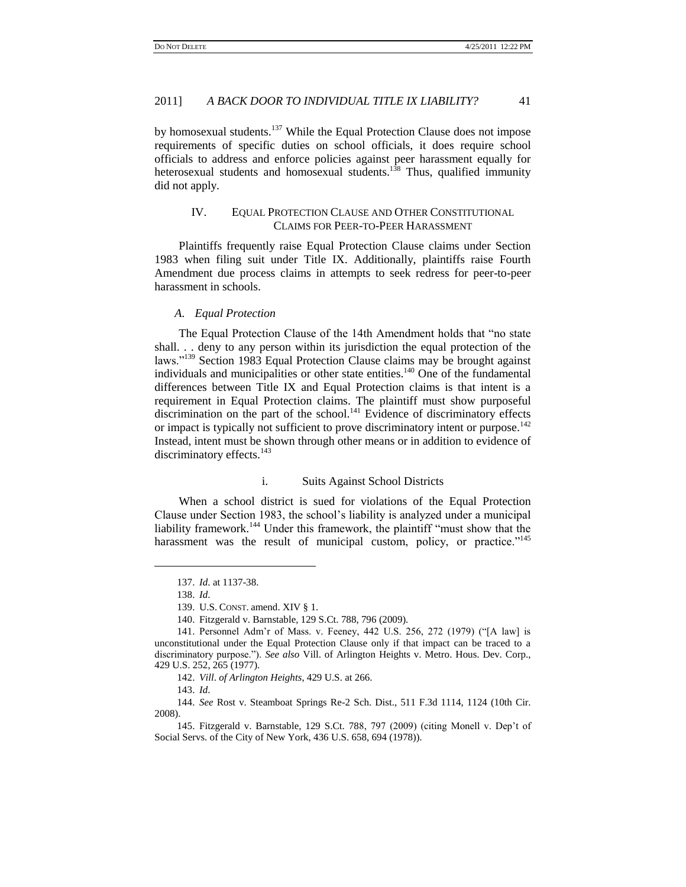by homosexual students.<sup>137</sup> While the Equal Protection Clause does not impose requirements of specific duties on school officials, it does require school officials to address and enforce policies against peer harassment equally for heterosexual students and homosexual students.<sup>138</sup> Thus, qualified immunity did not apply.

# <span id="page-18-0"></span>IV. EQUAL PROTECTION CLAUSE AND OTHER CONSTITUTIONAL CLAIMS FOR PEER-TO-PEER HARASSMENT

Plaintiffs frequently raise Equal Protection Clause claims under Section 1983 when filing suit under Title IX. Additionally, plaintiffs raise Fourth Amendment due process claims in attempts to seek redress for peer-to-peer harassment in schools.

# *A. Equal Protection*

The Equal Protection Clause of the 14th Amendment holds that "no state" shall. . . deny to any person within its jurisdiction the equal protection of the laws."<sup>139</sup> Section 1983 Equal Protection Clause claims may be brought against individuals and municipalities or other state entities.<sup>140</sup> One of the fundamental differences between Title IX and Equal Protection claims is that intent is a requirement in Equal Protection claims. The plaintiff must show purposeful discrimination on the part of the school.<sup>141</sup> Evidence of discriminatory effects or impact is typically not sufficient to prove discriminatory intent or purpose.<sup>142</sup> Instead, intent must be shown through other means or in addition to evidence of discriminatory effects.<sup>143</sup>

# i. Suits Against School Districts

When a school district is sued for violations of the Equal Protection Clause under Section 1983, the school's liability is analyzed under a municipal liability framework.<sup>144</sup> Under this framework, the plaintiff "must show that the harassment was the result of municipal custom, policy, or practice."<sup>145</sup>

l

144. *See* Rost v. Steamboat Springs Re-2 Sch. Dist., 511 F.3d 1114, 1124 (10th Cir. 2008).

<sup>137.</sup> *Id*. at 1137-38.

<sup>138.</sup> *Id*.

<sup>139.</sup> U.S. CONST. amend. XIV § 1.

<sup>140.</sup> Fitzgerald v. Barnstable, 129 S.Ct. 788, 796 (2009).

<sup>141.</sup> Personnel Adm'r of Mass. v. Feeney, 442 U.S. 256, 272 (1979) ("[A law] is unconstitutional under the Equal Protection Clause only if that impact can be traced to a discriminatory purpose."). *See also* Vill. of Arlington Heights v. Metro. Hous. Dev. Corp., 429 U.S. 252, 265 (1977).

<sup>142.</sup> *Vill*. *of Arlington Heights*, 429 U.S. at 266.

<sup>143.</sup> *Id*.

<sup>145.</sup> Fitzgerald v. Barnstable, 129 S.Ct. 788, 797 (2009) (citing Monell v. Dep't of Social Servs. of the City of New York, 436 U.S. 658, 694 (1978)).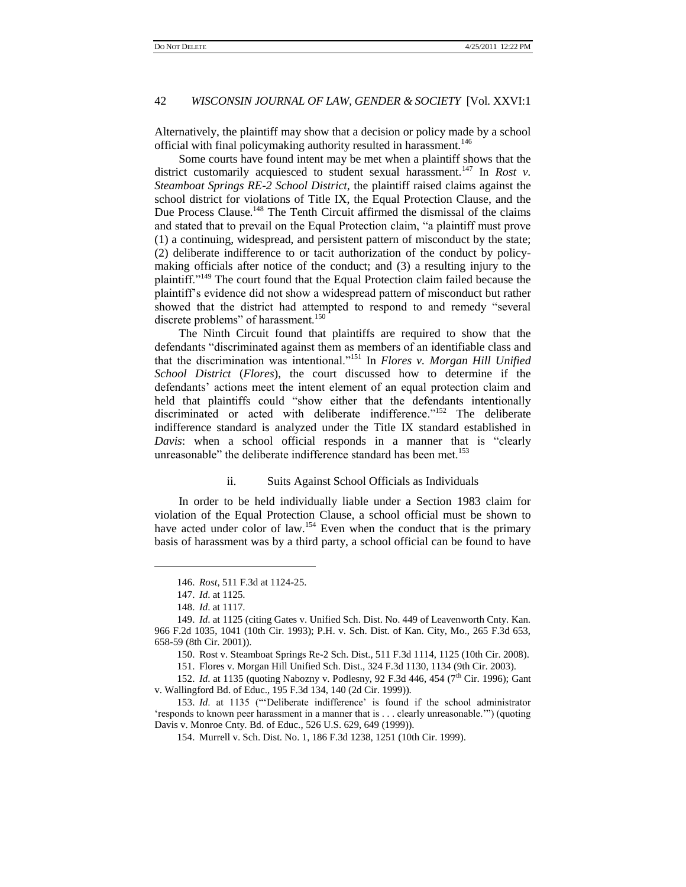Alternatively, the plaintiff may show that a decision or policy made by a school official with final policymaking authority resulted in harassment.<sup>146</sup>

Some courts have found intent may be met when a plaintiff shows that the district customarily acquiesced to student sexual harassment.<sup>147</sup> In *Rost v*. *Steamboat Springs RE-2 School District*, the plaintiff raised claims against the school district for violations of Title IX, the Equal Protection Clause, and the Due Process Clause.<sup>148</sup> The Tenth Circuit affirmed the dismissal of the claims and stated that to prevail on the Equal Protection claim, "a plaintiff must prove (1) a continuing, widespread, and persistent pattern of misconduct by the state; (2) deliberate indifference to or tacit authorization of the conduct by policymaking officials after notice of the conduct; and (3) a resulting injury to the plaintiff."<sup>149</sup> The court found that the Equal Protection claim failed because the plaintiff's evidence did not show a widespread pattern of misconduct but rather showed that the district had attempted to respond to and remedy "several discrete problems" of harassment.<sup>150</sup>

The Ninth Circuit found that plaintiffs are required to show that the defendants "discriminated against them as members of an identifiable class and that the discrimination was intentional.<sup>7151</sup> In *Flores v. Morgan Hill Unified School District* (*Flores*), the court discussed how to determine if the defendants' actions meet the intent element of an equal protection claim and held that plaintiffs could "show either that the defendants intentionally discriminated or acted with deliberate indifference."<sup>152</sup> The deliberate indifference standard is analyzed under the Title IX standard established in *Davis*: when a school official responds in a manner that is "clearly unreasonable" the deliberate indifference standard has been met.<sup>153</sup>

#### ii. Suits Against School Officials as Individuals

In order to be held individually liable under a Section 1983 claim for violation of the Equal Protection Clause, a school official must be shown to have acted under color of law.<sup>154</sup> Even when the conduct that is the primary basis of harassment was by a third party, a school official can be found to have

<sup>146.</sup> *Rost*, 511 F.3d at 1124-25.

<sup>147.</sup> *Id*. at 1125.

<sup>148.</sup> *Id*. at 1117.

<sup>149.</sup> *Id*. at 1125 (citing Gates v. Unified Sch. Dist. No. 449 of Leavenworth Cnty. Kan. 966 F.2d 1035, 1041 (10th Cir. 1993); P.H. v. Sch. Dist. of Kan. City, Mo., 265 F.3d 653, 658-59 (8th Cir. 2001)).

<sup>150.</sup> Rost v. Steamboat Springs Re-2 Sch. Dist., 511 F.3d 1114, 1125 (10th Cir. 2008).

<sup>151.</sup> Flores v. Morgan Hill Unified Sch. Dist., 324 F.3d 1130, 1134 (9th Cir. 2003).

<sup>152.</sup> *Id.* at 1135 (quoting Nabozny v. Podlesny, 92 F.3d 446, 454 (7<sup>th</sup> Cir. 1996); Gant v. Wallingford Bd. of Educ., 195 F.3d 134, 140 (2d Cir. 1999)).

<sup>153.</sup> *Id.* at 1135 ("Deliberate indifference' is found if the school administrator 'responds to known peer harassment in a manner that is . . . clearly unreasonable.'") (quoting Davis v. Monroe Cnty. Bd. of Educ., 526 U.S. 629, 649 (1999)).

<sup>154.</sup> Murrell v. Sch. Dist. No. 1, 186 F.3d 1238, 1251 (10th Cir. 1999).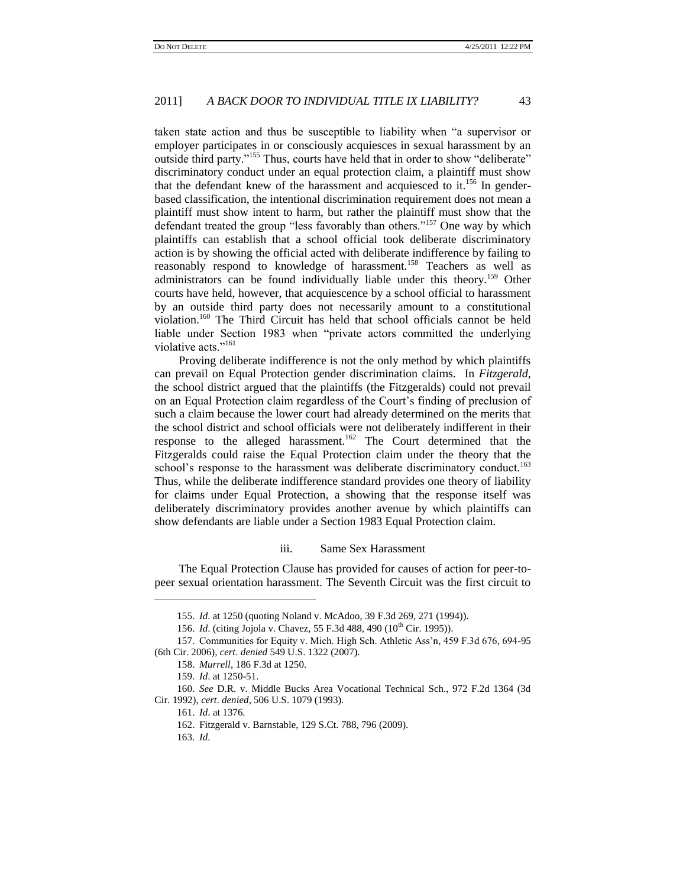taken state action and thus be susceptible to liability when "a supervisor or employer participates in or consciously acquiesces in sexual harassment by an outside third party."<sup>155</sup> Thus, courts have held that in order to show "deliberate" discriminatory conduct under an equal protection claim, a plaintiff must show that the defendant knew of the harassment and acquiesced to it.<sup>156</sup> In genderbased classification, the intentional discrimination requirement does not mean a plaintiff must show intent to harm, but rather the plaintiff must show that the defendant treated the group "less favorably than others."<sup>157</sup> One way by which plaintiffs can establish that a school official took deliberate discriminatory action is by showing the official acted with deliberate indifference by failing to reasonably respond to knowledge of harassment.<sup>158</sup> Teachers as well as administrators can be found individually liable under this theory.<sup>159</sup> Other courts have held, however, that acquiescence by a school official to harassment by an outside third party does not necessarily amount to a constitutional violation.<sup>160</sup> The Third Circuit has held that school officials cannot be held liable under Section 1983 when "private actors committed the underlying violative acts."<sup>161</sup>

Proving deliberate indifference is not the only method by which plaintiffs can prevail on Equal Protection gender discrimination claims. In *Fitzgerald*, the school district argued that the plaintiffs (the Fitzgeralds) could not prevail on an Equal Protection claim regardless of the Court's finding of preclusion of such a claim because the lower court had already determined on the merits that the school district and school officials were not deliberately indifferent in their response to the alleged harassment.<sup>162</sup> The Court determined that the Fitzgeralds could raise the Equal Protection claim under the theory that the school's response to the harassment was deliberate discriminatory conduct.<sup>163</sup> Thus, while the deliberate indifference standard provides one theory of liability for claims under Equal Protection, a showing that the response itself was deliberately discriminatory provides another avenue by which plaintiffs can show defendants are liable under a Section 1983 Equal Protection claim.

#### iii. Same Sex Harassment

The Equal Protection Clause has provided for causes of action for peer-topeer sexual orientation harassment. The Seventh Circuit was the first circuit to

<sup>155.</sup> *Id*. at 1250 (quoting Noland v. McAdoo, 39 F.3d 269, 271 (1994)).

<sup>156.</sup> *Id.* (citing Jojola v. Chavez, 55 F.3d 488, 490 (10<sup>th</sup> Cir. 1995)).

<sup>157.</sup> Communities for Equity v. Mich. High Sch. Athletic Ass'n, 459 F.3d 676, 694-95 (6th Cir. 2006), *cert*. *denied* 549 U.S. 1322 (2007).

<sup>158.</sup> *Murrell*, 186 F.3d at 1250.

<sup>159.</sup> *Id*. at 1250-51.

<sup>160.</sup> *See* D.R. v. Middle Bucks Area Vocational Technical Sch., 972 F.2d 1364 (3d Cir. 1992), *cert*. *denied*, 506 U.S. 1079 (1993).

<sup>161.</sup> *Id*. at 1376.

<sup>162.</sup> Fitzgerald v. Barnstable, 129 S.Ct. 788, 796 (2009).

<sup>163.</sup> *Id*.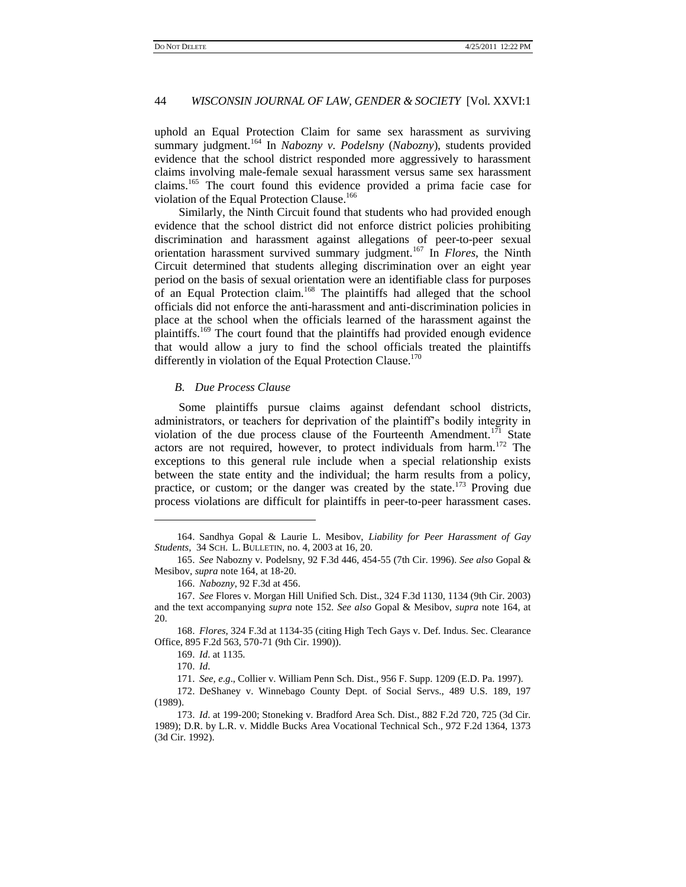uphold an Equal Protection Claim for same sex harassment as surviving summary judgment.<sup>164</sup> In *Nabozny v. Podelsny* (*Nabozny*), students provided evidence that the school district responded more aggressively to harassment claims involving male-female sexual harassment versus same sex harassment claims.<sup>165</sup> The court found this evidence provided a prima facie case for violation of the Equal Protection Clause.<sup>166</sup>

Similarly, the Ninth Circuit found that students who had provided enough evidence that the school district did not enforce district policies prohibiting discrimination and harassment against allegations of peer-to-peer sexual orientation harassment survived summary judgment.<sup>167</sup> In *Flores*, the Ninth Circuit determined that students alleging discrimination over an eight year period on the basis of sexual orientation were an identifiable class for purposes of an Equal Protection claim.<sup>168</sup> The plaintiffs had alleged that the school officials did not enforce the anti-harassment and anti-discrimination policies in place at the school when the officials learned of the harassment against the plaintiffs.<sup>169</sup> The court found that the plaintiffs had provided enough evidence that would allow a jury to find the school officials treated the plaintiffs differently in violation of the Equal Protection Clause.<sup>170</sup>

# *B. Due Process Clause*

Some plaintiffs pursue claims against defendant school districts, administrators, or teachers for deprivation of the plaintiff's bodily integrity in violation of the due process clause of the Fourteenth Amendment.<sup>171</sup> State actors are not required, however, to protect individuals from harm.<sup>172</sup> The exceptions to this general rule include when a special relationship exists between the state entity and the individual; the harm results from a policy, practice, or custom; or the danger was created by the state.<sup>173</sup> Proving due process violations are difficult for plaintiffs in peer-to-peer harassment cases.

169. *Id*. at 1135.

l

172. DeShaney v. Winnebago County Dept. of Social Servs., 489 U.S. 189, 197 (1989).

<sup>164.</sup> Sandhya Gopal & Laurie L. Mesibov, *Liability for Peer Harassment of Gay Students*, 34 SCH. L. BULLETIN, no. 4, 2003 at 16, 20.

<sup>165.</sup> *See* Nabozny v. Podelsny, 92 F.3d 446, 454-55 (7th Cir. 1996). *See also* Gopal & Mesibov, *supra* note 164, at 18-20.

<sup>166.</sup> *Nabozny*, 92 F.3d at 456.

<sup>167.</sup> *See* Flores v. Morgan Hill Unified Sch. Dist., 324 F.3d 1130, 1134 (9th Cir. 2003) and the text accompanying *supra* note 152. *See also* Gopal & Mesibov, *supra* note 164, at 20.

<sup>168.</sup> *Flores*, 324 F.3d at 1134-35 (citing High Tech Gays v. Def. Indus. Sec. Clearance Office, 895 F.2d 563, 570-71 (9th Cir. 1990)).

<sup>170.</sup> *Id*.

<sup>171.</sup> *See, e*.*g*., Collier v. William Penn Sch. Dist., 956 F. Supp. 1209 (E.D. Pa. 1997).

<sup>173.</sup> *Id*. at 199-200; Stoneking v. Bradford Area Sch. Dist., 882 F.2d 720, 725 (3d Cir. 1989); D.R. by L.R. v. Middle Bucks Area Vocational Technical Sch., 972 F.2d 1364, 1373 (3d Cir. 1992).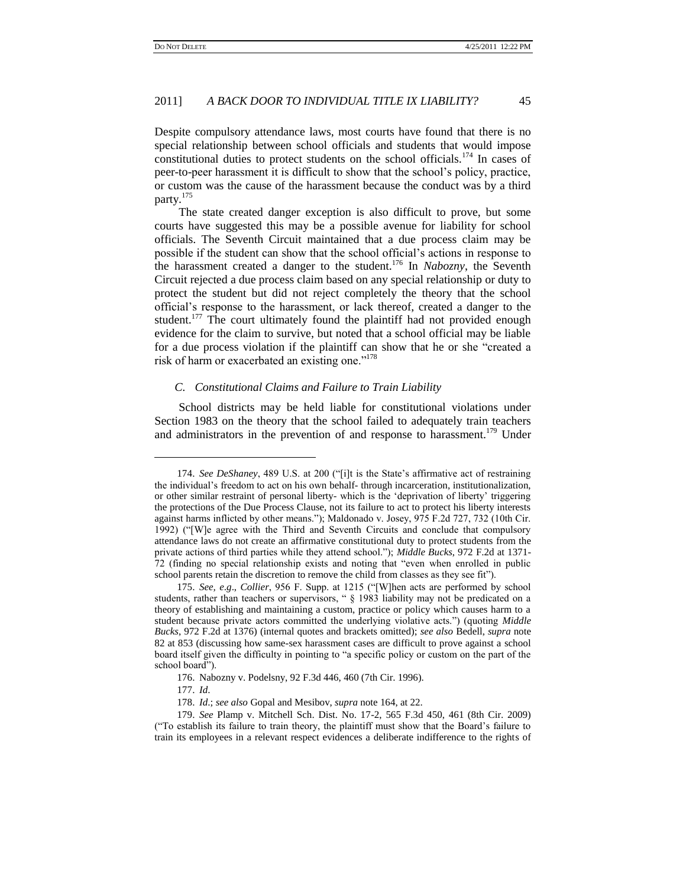Despite compulsory attendance laws, most courts have found that there is no special relationship between school officials and students that would impose constitutional duties to protect students on the school officials.<sup>174</sup> In cases of peer-to-peer harassment it is difficult to show that the school's policy, practice, or custom was the cause of the harassment because the conduct was by a third party.<sup>175</sup>

The state created danger exception is also difficult to prove, but some courts have suggested this may be a possible avenue for liability for school officials. The Seventh Circuit maintained that a due process claim may be possible if the student can show that the school official's actions in response to the harassment created a danger to the student.<sup>176</sup> In *Nabozny*, the Seventh Circuit rejected a due process claim based on any special relationship or duty to protect the student but did not reject completely the theory that the school official's response to the harassment, or lack thereof, created a danger to the student. $177$  The court ultimately found the plaintiff had not provided enough evidence for the claim to survive, but noted that a school official may be liable for a due process violation if the plaintiff can show that he or she "created a risk of harm or exacerbated an existing one."<sup>178</sup>

# <span id="page-22-0"></span>*C. Constitutional Claims and Failure to Train Liability*

School districts may be held liable for constitutional violations under Section 1983 on the theory that the school failed to adequately train teachers and administrators in the prevention of and response to harassment.<sup>179</sup> Under

 $\overline{a}$ 

<sup>174.</sup> *See DeShaney*, 489 U.S. at 200 ("[i]t is the State's affirmative act of restraining the individual's freedom to act on his own behalf- through incarceration, institutionalization, or other similar restraint of personal liberty- which is the ‗deprivation of liberty' triggering the protections of the Due Process Clause, not its failure to act to protect his liberty interests against harms inflicted by other means."); Maldonado v. Josey, 975 F.2d 727, 732 (10th Cir. 1992) ("[W]e agree with the Third and Seventh Circuits and conclude that compulsory attendance laws do not create an affirmative constitutional duty to protect students from the private actions of third parties while they attend school.‖); *Middle Bucks*, 972 F.2d at 1371- 72 (finding no special relationship exists and noting that "even when enrolled in public school parents retain the discretion to remove the child from classes as they see fit").

<sup>175.</sup> *See, e.g., Collier*, 956 F. Supp. at 1215 ("[W]hen acts are performed by school students, rather than teachers or supervisors, " § 1983 liability may not be predicated on a theory of establishing and maintaining a custom, practice or policy which causes harm to a student because private actors committed the underlying violative acts.") (quoting *Middle Bucks*, 972 F.2d at 1376) (internal quotes and brackets omitted); *see also* Bedell, *supra* note 82 at 853 (discussing how same-sex harassment cases are difficult to prove against a school board itself given the difficulty in pointing to "a specific policy or custom on the part of the school board").

<sup>176.</sup> Nabozny v. Podelsny, 92 F.3d 446, 460 (7th Cir. 1996).

<sup>177.</sup> *Id*.

<sup>178.</sup> *Id*.; *see also* Gopal and Mesibov, *supra* note 164, at 22.

<sup>179.</sup> *See* Plamp v. Mitchell Sch. Dist. No. 17-2, 565 F.3d 450, 461 (8th Cir. 2009) (―To establish its failure to train theory, the plaintiff must show that the Board's failure to train its employees in a relevant respect evidences a deliberate indifference to the rights of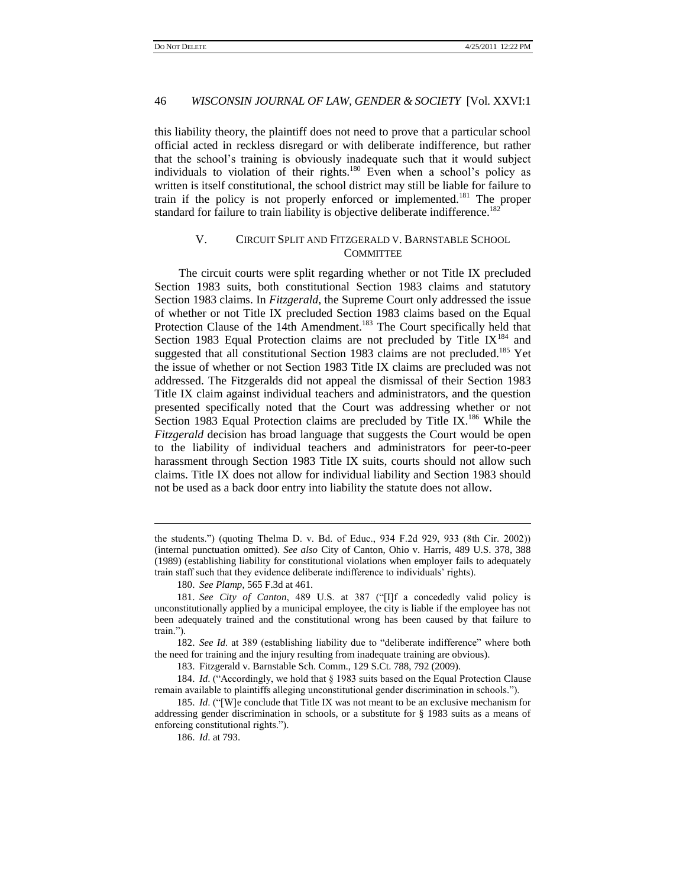this liability theory, the plaintiff does not need to prove that a particular school official acted in reckless disregard or with deliberate indifference, but rather that the school's training is obviously inadequate such that it would subject individuals to violation of their rights.<sup>180</sup> Even when a school's policy as written is itself constitutional, the school district may still be liable for failure to train if the policy is not properly enforced or implemented.<sup>181</sup> The proper standard for failure to train liability is objective deliberate indifference.<sup>182</sup>

# <span id="page-23-0"></span>V. CIRCUIT SPLIT AND FITZGERALD V. BARNSTABLE SCHOOL **COMMITTEE**

The circuit courts were split regarding whether or not Title IX precluded Section 1983 suits, both constitutional Section 1983 claims and statutory Section 1983 claims. In *Fitzgerald*, the Supreme Court only addressed the issue of whether or not Title IX precluded Section 1983 claims based on the Equal Protection Clause of the 14th Amendment.<sup>183</sup> The Court specifically held that Section 1983 Equal Protection claims are not precluded by Title  $IX^{184}$  and suggested that all constitutional Section 1983 claims are not precluded.<sup>185</sup> Yet the issue of whether or not Section 1983 Title IX claims are precluded was not addressed. The Fitzgeralds did not appeal the dismissal of their Section 1983 Title IX claim against individual teachers and administrators, and the question presented specifically noted that the Court was addressing whether or not Section 1983 Equal Protection claims are precluded by Title IX.<sup>186</sup> While the *Fitzgerald* decision has broad language that suggests the Court would be open to the liability of individual teachers and administrators for peer-to-peer harassment through Section 1983 Title IX suits, courts should not allow such claims. Title IX does not allow for individual liability and Section 1983 should not be used as a back door entry into liability the statute does not allow.

180. *See Plamp*, 565 F.3d at 461.

the students.‖) (quoting Thelma D. v. Bd. of Educ., 934 F.2d 929, 933 (8th Cir. 2002)) (internal punctuation omitted). *See also* City of Canton, Ohio v. Harris, 489 U.S. 378, 388 (1989) (establishing liability for constitutional violations when employer fails to adequately train staff such that they evidence deliberate indifference to individuals' rights).

<sup>181.</sup> See City of Canton, 489 U.S. at 387 ("[I]f a concededly valid policy is unconstitutionally applied by a municipal employee, the city is liable if the employee has not been adequately trained and the constitutional wrong has been caused by that failure to train.").

<sup>182.</sup> *See Id.* at 389 (establishing liability due to "deliberate indifference" where both the need for training and the injury resulting from inadequate training are obvious).

<sup>183.</sup> Fitzgerald v. Barnstable Sch. Comm., 129 S.Ct. 788, 792 (2009).

<sup>184.</sup> *Id.* ("Accordingly, we hold that § 1983 suits based on the Equal Protection Clause remain available to plaintiffs alleging unconstitutional gender discrimination in schools.").

<sup>185.</sup> *Id.* ("[W]e conclude that Title IX was not meant to be an exclusive mechanism for addressing gender discrimination in schools, or a substitute for § 1983 suits as a means of enforcing constitutional rights.").

<sup>186.</sup> *Id*. at 793.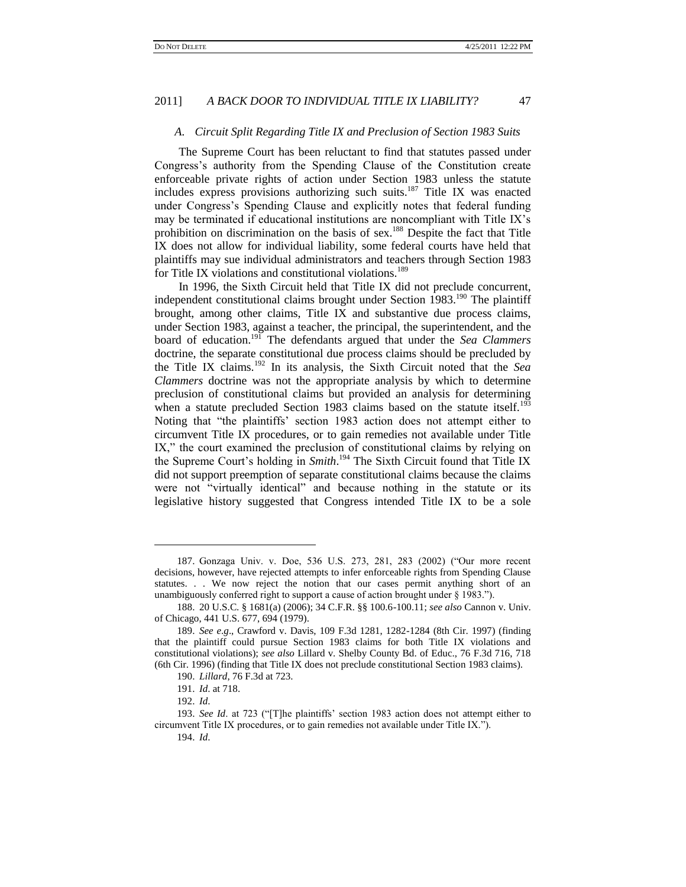#### <span id="page-24-0"></span>*A. Circuit Split Regarding Title IX and Preclusion of Section 1983 Suits*

The Supreme Court has been reluctant to find that statutes passed under Congress's authority from the Spending Clause of the Constitution create enforceable private rights of action under Section 1983 unless the statute includes express provisions authorizing such suits.<sup>187</sup> Title IX was enacted under Congress's Spending Clause and explicitly notes that federal funding may be terminated if educational institutions are noncompliant with Title IX's prohibition on discrimination on the basis of sex.<sup>188</sup> Despite the fact that Title IX does not allow for individual liability, some federal courts have held that plaintiffs may sue individual administrators and teachers through Section 1983 for Title IX violations and constitutional violations.<sup>189</sup>

In 1996, the Sixth Circuit held that Title IX did not preclude concurrent, independent constitutional claims brought under Section  $1983$ <sup>190</sup>. The plaintiff brought, among other claims, Title IX and substantive due process claims, under Section 1983, against a teacher, the principal, the superintendent, and the board of education.<sup>191</sup> The defendants argued that under the *Sea Clammers* doctrine, the separate constitutional due process claims should be precluded by the Title IX claims.<sup>192</sup> In its analysis, the Sixth Circuit noted that the *Sea Clammers* doctrine was not the appropriate analysis by which to determine preclusion of constitutional claims but provided an analysis for determining when a statute precluded Section 1983 claims based on the statute itself.<sup>193</sup> Noting that "the plaintiffs' section 1983 action does not attempt either to circumvent Title IX procedures, or to gain remedies not available under Title IX," the court examined the preclusion of constitutional claims by relying on the Supreme Court's holding in *Smith*. <sup>194</sup> The Sixth Circuit found that Title IX did not support preemption of separate constitutional claims because the claims were not "virtually identical" and because nothing in the statute or its legislative history suggested that Congress intended Title IX to be a sole

 $\overline{a}$ 

<sup>187.</sup> Gonzaga Univ. v. Doe, 536 U.S. 273, 281, 283 (2002) ("Our more recent decisions, however, have rejected attempts to infer enforceable rights from Spending Clause statutes. . . We now reject the notion that our cases permit anything short of an unambiguously conferred right to support a cause of action brought under  $\S$  1983.").

<sup>188.</sup> 20 U.S.C. § 1681(a) (2006); 34 C.F.R. §§ 100.6-100.11; *see also* Cannon v. Univ. of Chicago, 441 U.S. 677, 694 (1979).

<sup>189.</sup> *See e*.*g*., Crawford v. Davis, 109 F.3d 1281, 1282-1284 (8th Cir. 1997) (finding that the plaintiff could pursue Section 1983 claims for both Title IX violations and constitutional violations); *see also* Lillard v. Shelby County Bd. of Educ., 76 F.3d 716, 718 (6th Cir. 1996) (finding that Title IX does not preclude constitutional Section 1983 claims).

<sup>190.</sup> *Lillard*, 76 F.3d at 723.

<sup>191.</sup> *Id*. at 718.

<sup>192.</sup> *Id*.

<sup>193.</sup> *See Id.* at 723 ("[T]he plaintiffs' section 1983 action does not attempt either to circumvent Title IX procedures, or to gain remedies not available under Title IX.").

<sup>194.</sup> *Id*.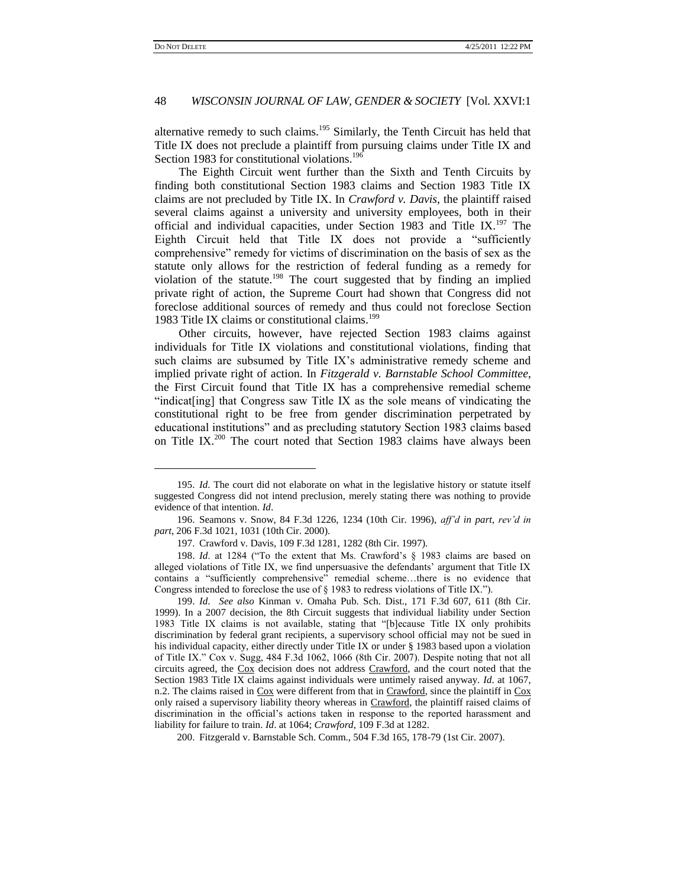l

# 48 *WISCONSIN JOURNAL OF LAW, GENDER & SOCIETY* [Vol. XXVI:1

alternative remedy to such claims.<sup>195</sup> Similarly, the Tenth Circuit has held that Title IX does not preclude a plaintiff from pursuing claims under Title IX and Section 1983 for constitutional violations.<sup>196</sup>

The Eighth Circuit went further than the Sixth and Tenth Circuits by finding both constitutional Section 1983 claims and Section 1983 Title IX claims are not precluded by Title IX. In *Crawford v. Davis*, the plaintiff raised several claims against a university and university employees, both in their official and individual capacities, under Section 1983 and Title IX.<sup>197</sup> The Eighth Circuit held that Title IX does not provide a "sufficiently comprehensive" remedy for victims of discrimination on the basis of sex as the statute only allows for the restriction of federal funding as a remedy for violation of the statute.<sup>198</sup> The court suggested that by finding an implied private right of action, the Supreme Court had shown that Congress did not foreclose additional sources of remedy and thus could not foreclose Section 1983 Title IX claims or constitutional claims.<sup>199</sup>

Other circuits, however, have rejected Section 1983 claims against individuals for Title IX violations and constitutional violations, finding that such claims are subsumed by Title IX's administrative remedy scheme and implied private right of action. In *Fitzgerald v. Barnstable School Committee*, the First Circuit found that Title IX has a comprehensive remedial scheme ―indicat[ing] that Congress saw Title IX as the sole means of vindicating the constitutional right to be free from gender discrimination perpetrated by educational institutions" and as precluding statutory Section 1983 claims based on Title IX.<sup>200</sup> The court noted that Section 1983 claims have always been

<sup>195.</sup> *Id*. The court did not elaborate on what in the legislative history or statute itself suggested Congress did not intend preclusion, merely stating there was nothing to provide evidence of that intention. *Id*.

<sup>196.</sup> Seamons v. Snow, 84 F.3d 1226, 1234 (10th Cir. 1996), *aff"d in part*, *rev"d in part*, 206 F.3d 1021, 1031 (10th Cir. 2000).

<sup>197.</sup> Crawford v. Davis, 109 F.3d 1281, 1282 (8th Cir. 1997).

<sup>198.</sup> *Id.* at 1284 ("To the extent that Ms. Crawford's § 1983 claims are based on alleged violations of Title IX, we find unpersuasive the defendants' argument that Title IX contains a "sufficiently comprehensive" remedial scheme...there is no evidence that Congress intended to foreclose the use of § 1983 to redress violations of Title IX.").

<sup>199.</sup> *Id*. *See also* Kinman v. Omaha Pub. Sch. Dist., 171 F.3d 607, 611 (8th Cir. 1999). In a 2007 decision, the 8th Circuit suggests that individual liability under Section 1983 Title IX claims is not available, stating that "[b]ecause Title IX only prohibits discrimination by federal grant recipients, a supervisory school official may not be sued in his individual capacity, either directly under Title IX or under § 1983 based upon a violation of Title IX." Cox v. Sugg, 484 F.3d 1062, 1066 (8th Cir. 2007). Despite noting that not all circuits agreed, the Cox decision does not address Crawford, and the court noted that the Section 1983 Title IX claims against individuals were untimely raised anyway. *Id*. at 1067, n.2. The claims raised in Cox were different from that in Crawford, since the plaintiff in Cox only raised a supervisory liability theory whereas in Crawford, the plaintiff raised claims of discrimination in the official's actions taken in response to the reported harassment and liability for failure to train. *Id*. at 1064; *Crawford*, 109 F.3d at 1282.

<sup>200.</sup> Fitzgerald v. Barnstable Sch. Comm., 504 F.3d 165, 178-79 (1st Cir. 2007).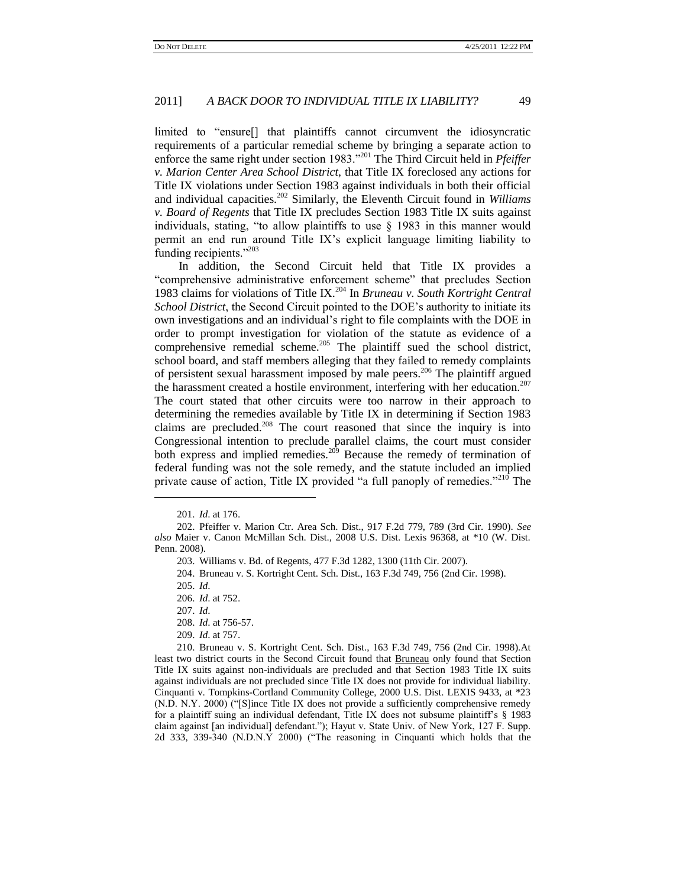limited to "ensure<sup>[]</sup> that plaintiffs cannot circumvent the idiosyncratic requirements of a particular remedial scheme by bringing a separate action to enforce the same right under section 1983."<sup>201</sup> The Third Circuit held in *Pfeiffer v. Marion Center Area School District*, that Title IX foreclosed any actions for Title IX violations under Section 1983 against individuals in both their official and individual capacities.<sup>202</sup> Similarly, the Eleventh Circuit found in *Williams v. Board of Regents* that Title IX precludes Section 1983 Title IX suits against individuals, stating, "to allow plaintiffs to use  $\S$  1983 in this manner would permit an end run around Title IX's explicit language limiting liability to funding recipients."203

In addition, the Second Circuit held that Title IX provides a ―comprehensive administrative enforcement scheme‖ that precludes Section 1983 claims for violations of Title IX.<sup>204</sup> In *Bruneau v. South Kortright Central School District*, the Second Circuit pointed to the DOE's authority to initiate its own investigations and an individual's right to file complaints with the DOE in order to prompt investigation for violation of the statute as evidence of a comprehensive remedial scheme.<sup>205</sup> The plaintiff sued the school district, school board, and staff members alleging that they failed to remedy complaints of persistent sexual harassment imposed by male peers.<sup>206</sup> The plaintiff argued the harassment created a hostile environment, interfering with her education.<sup>207</sup> The court stated that other circuits were too narrow in their approach to determining the remedies available by Title IX in determining if Section 1983 claims are precluded.<sup>208</sup> The court reasoned that since the inquiry is into Congressional intention to preclude parallel claims, the court must consider both express and implied remedies.<sup>209</sup> Because the remedy of termination of federal funding was not the sole remedy, and the statute included an implied private cause of action, Title IX provided "a full panoply of remedies."<sup>210</sup> The

 $\overline{a}$ 

209. *Id*. at 757.

210. Bruneau v. S. Kortright Cent. Sch. Dist., 163 F.3d 749, 756 (2nd Cir. 1998).At least two district courts in the Second Circuit found that Bruneau only found that Section Title IX suits against non-individuals are precluded and that Section 1983 Title IX suits against individuals are not precluded since Title IX does not provide for individual liability. Cinquanti v. Tompkins-Cortland Community College, 2000 U.S. Dist. LEXIS 9433, at \*23 (N.D. N.Y. 2000) ("S lince Title IX does not provide a sufficiently comprehensive remedy for a plaintiff suing an individual defendant, Title IX does not subsume plaintiff's [§ 1983](http://www.lexis.com/research/buttonTFLink?_m=eccfead163730529e81ed72ec28e82c9&_xfercite=%3ccite%20cc%3d%22USA%22%3e%3c%21%5bCDATA%5b2000%20U.S.%20Dist.%20LEXIS%209433%5d%5d%3e%3c%2fcite%3e&_butType=4&_butStat=0&_butNum=133&_butInline=1&_butinfo=42%20U.S.C.%201983&_fmtstr=FULL&docnum=7&_startdoc=1&wchp=dGLbVlW-zSkAb&_md5=5afdc94556e9fde823b47d1ecf7abf1d) claim against [an individual] defendant."); Hayut v. State Univ. of New York, 127 F. Supp. 2d 333, 339-340 (N.D.N.Y 2000) ("The reasoning in Cinquanti which holds that the

<sup>201.</sup> *Id*. at 176.

<sup>202.</sup> Pfeiffer v. Marion Ctr. Area Sch. Dist., 917 F.2d 779, 789 (3rd Cir. 1990). *See also* Maier v. Canon McMillan Sch. Dist., 2008 U.S. Dist. Lexis 96368, at \*10 (W. Dist. Penn. 2008).

<sup>203.</sup> Williams v. Bd. of Regents, 477 F.3d 1282, 1300 (11th Cir. 2007).

<sup>204.</sup> Bruneau v. S. Kortright Cent. Sch. Dist., 163 F.3d 749, 756 (2nd Cir. 1998).

<sup>205.</sup> *Id*.

<sup>206.</sup> *Id*. at 752.

<sup>207.</sup> *Id*.

<sup>208.</sup> *Id*. at 756-57.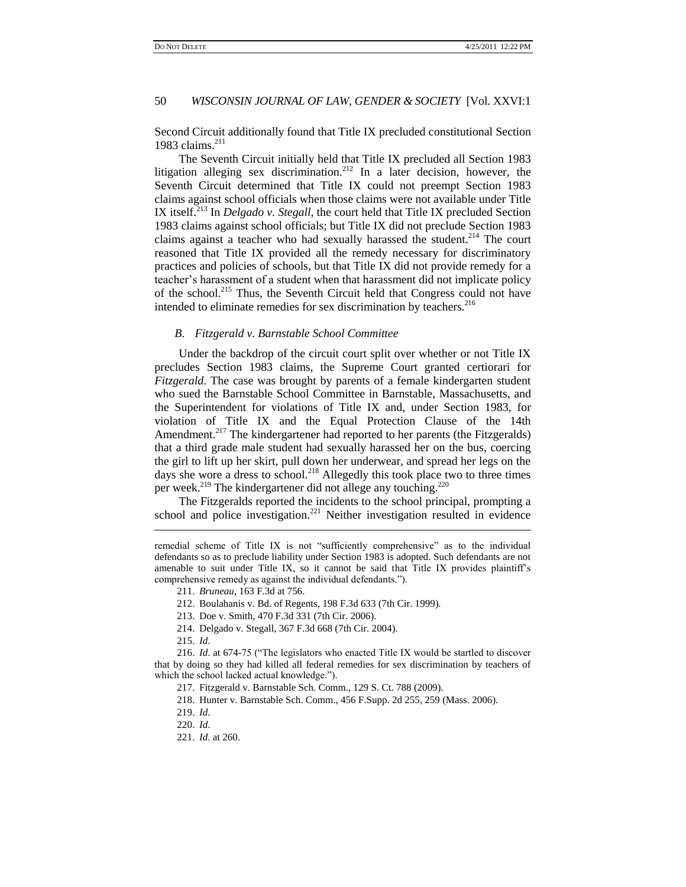Second Circuit additionally found that Title IX precluded constitutional Section 1983 claims. $211$ 

The Seventh Circuit initially held that Title IX precluded all Section 1983 litigation alleging sex discrimination.<sup>212</sup> In a later decision, however, the Seventh Circuit determined that Title IX could not preempt Section 1983 claims against school officials when those claims were not available under Title IX itself.<sup>213</sup> In *Delgado v. Stegall*, the court held that Title IX precluded Section 1983 claims against school officials; but Title IX did not preclude Section 1983 claims against a teacher who had sexually harassed the student.<sup>214</sup> The court reasoned that Title IX provided all the remedy necessary for discriminatory practices and policies of schools, but that Title IX did not provide remedy for a teacher's harassment of a student when that harassment did not implicate policy of the school.<sup>215</sup> Thus, the Seventh Circuit held that Congress could not have intended to eliminate remedies for sex discrimination by teachers.<sup>216</sup>

### *B. Fitzgerald v. Barnstable School Committee*

Under the backdrop of the circuit court split over whether or not Title IX precludes Section 1983 claims, the Supreme Court granted certiorari for *Fitzgerald*. The case was brought by parents of a female kindergarten student who sued the Barnstable School Committee in Barnstable, Massachusetts, and the Superintendent for violations of Title IX and, under Section 1983, for violation of Title IX and the Equal Protection Clause of the 14th Amendment.<sup>217</sup> The kindergartener had reported to her parents (the Fitzgeralds) that a third grade male student had sexually harassed her on the bus, coercing the girl to lift up her skirt, pull down her underwear, and spread her legs on the days she wore a dress to school.<sup>218</sup> Allegedly this took place two to three times per week.<sup>219</sup> The kindergartener did not allege any touching.<sup>220</sup>

The Fitzgeralds reported the incidents to the school principal, prompting a school and police investigation.<sup>221</sup> Neither investigation resulted in evidence

215. *Id*.

l

216. *Id.* at 674-75 ("The legislators who enacted Title IX would be startled to discover that by doing so they had killed all federal remedies for sex discrimination by teachers of which the school lacked actual knowledge.").

remedial scheme of Title IX is not "sufficiently comprehensive" as to the individual defendants so as to preclude liability under Section 1983 is adopted. Such defendants are not amenable to suit under Title IX, so it cannot be said that Title IX provides plaintiff's comprehensive remedy as against the individual defendants.").

<sup>211.</sup> *Bruneau,* 163 F.3d at 756.

<sup>212.</sup> Boulahanis v. Bd. of Regents, 198 F.3d 633 (7th Cir. 1999).

<sup>213.</sup> Doe v. Smith, 470 F.3d 331 (7th Cir. 2006).

<sup>214.</sup> Delgado v. Stegall, 367 F.3d 668 (7th Cir. 2004).

<sup>217.</sup> Fitzgerald v. Barnstable Sch. Comm., 129 S. Ct. 788 (2009).

<sup>218.</sup> Hunter v. Barnstable Sch. Comm., 456 F.Supp. 2d 255, 259 (Mass. 2006).

<sup>219.</sup> *Id*.

<sup>220.</sup> *Id*.

<sup>221.</sup> *Id*. at 260.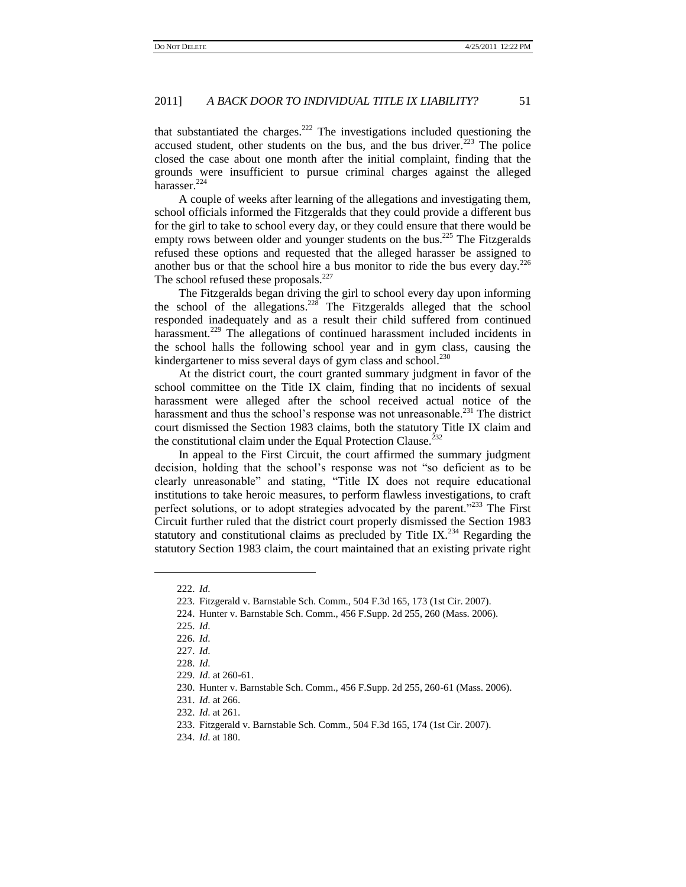that substantiated the charges.<sup>222</sup> The investigations included questioning the accused student, other students on the bus, and the bus driver.<sup>223</sup> The police closed the case about one month after the initial complaint, finding that the grounds were insufficient to pursue criminal charges against the alleged harasser.<sup>224</sup>

A couple of weeks after learning of the allegations and investigating them, school officials informed the Fitzgeralds that they could provide a different bus for the girl to take to school every day, or they could ensure that there would be empty rows between older and younger students on the bus.<sup>225</sup> The Fitzgeralds refused these options and requested that the alleged harasser be assigned to another bus or that the school hire a bus monitor to ride the bus every day.<sup>226</sup> The school refused these proposals. $227$ 

The Fitzgeralds began driving the girl to school every day upon informing the school of the allegations.<sup>228</sup> The Fitzgeralds alleged that the school responded inadequately and as a result their child suffered from continued harassment.<sup>229</sup> The allegations of continued harassment included incidents in the school halls the following school year and in gym class, causing the kindergartener to miss several days of gym class and school.<sup>230</sup>

At the district court, the court granted summary judgment in favor of the school committee on the Title IX claim, finding that no incidents of sexual harassment were alleged after the school received actual notice of the harassment and thus the school's response was not unreasonable.<sup>231</sup> The district court dismissed the Section 1983 claims, both the statutory Title IX claim and the constitutional claim under the Equal Protection Clause.<sup>232</sup>

In appeal to the First Circuit, the court affirmed the summary judgment decision, holding that the school's response was not "so deficient as to be clearly unreasonable" and stating, "Title IX does not require educational institutions to take heroic measures, to perform flawless investigations, to craft perfect solutions, or to adopt strategies advocated by the parent."<sup>233</sup> The First Circuit further ruled that the district court properly dismissed the Section 1983 statutory and constitutional claims as precluded by Title IX.<sup>234</sup> Regarding the statutory Section 1983 claim, the court maintained that an existing private right

<sup>222.</sup> *Id*.

<sup>223.</sup> Fitzgerald v. Barnstable Sch. Comm., 504 F.3d 165, 173 (1st Cir. 2007).

<sup>224.</sup> Hunter v. Barnstable Sch. Comm., 456 F.Supp. 2d 255, 260 (Mass. 2006).

<sup>225.</sup> *Id*.

<sup>226.</sup> *Id*.

<sup>227.</sup> *Id*.

<sup>228.</sup> *Id*.

<sup>229.</sup> *Id*. at 260-61.

<sup>230.</sup> Hunter v. Barnstable Sch. Comm., 456 F.Supp. 2d 255, 260-61 (Mass. 2006).

<sup>231.</sup> *Id*. at 266.

<sup>232.</sup> *Id*. at 261.

<sup>233.</sup> Fitzgerald v. Barnstable Sch. Comm., 504 F.3d 165, 174 (1st Cir. 2007).

<sup>234.</sup> *Id*. at 180.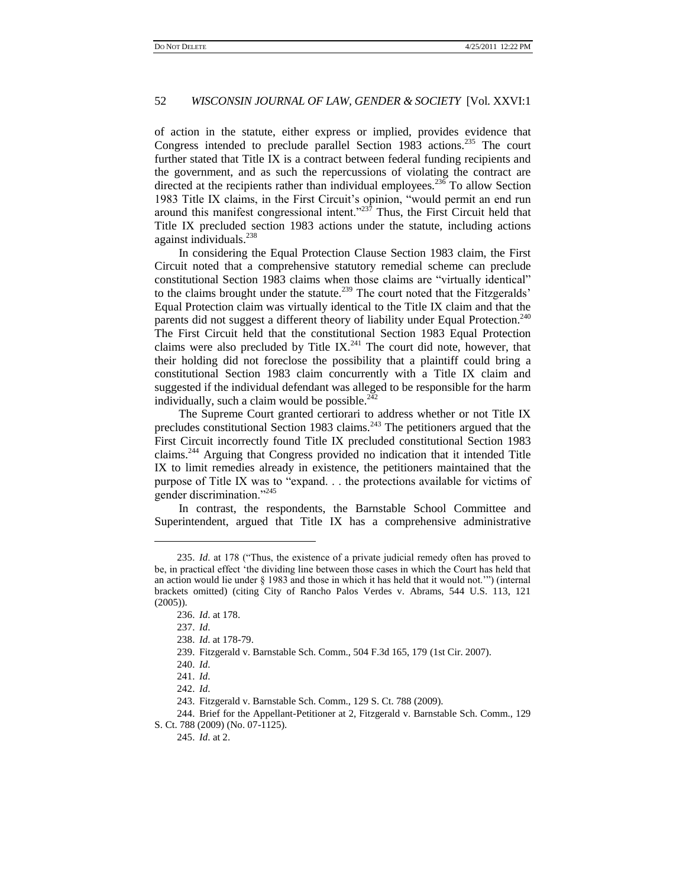of action in the statute, either express or implied, provides evidence that Congress intended to preclude parallel Section 1983 actions.<sup>235</sup> The court further stated that Title IX is a contract between federal funding recipients and the government, and as such the repercussions of violating the contract are directed at the recipients rather than individual employees.<sup>236</sup> To allow Section 1983 Title IX claims, in the First Circuit's opinion, "would permit an end run around this manifest congressional intent." $237$  Thus, the First Circuit held that Title IX precluded section 1983 actions under the statute, including actions against individuals.<sup>238</sup>

In considering the Equal Protection Clause Section 1983 claim, the First Circuit noted that a comprehensive statutory remedial scheme can preclude constitutional Section 1983 claims when those claims are "virtually identical" to the claims brought under the statute.<sup>239</sup> The court noted that the Fitzgeralds' Equal Protection claim was virtually identical to the Title IX claim and that the parents did not suggest a different theory of liability under Equal Protection.<sup>240</sup> The First Circuit held that the constitutional Section 1983 Equal Protection claims were also precluded by Title IX.<sup>241</sup> The court did note, however, that their holding did not foreclose the possibility that a plaintiff could bring a constitutional Section 1983 claim concurrently with a Title IX claim and suggested if the individual defendant was alleged to be responsible for the harm individually, such a claim would be possible. $242$ 

The Supreme Court granted certiorari to address whether or not Title IX precludes constitutional Section 1983 claims. $243$  The petitioners argued that the First Circuit incorrectly found Title IX precluded constitutional Section 1983 claims.<sup>244</sup> Arguing that Congress provided no indication that it intended Title IX to limit remedies already in existence, the petitioners maintained that the purpose of Title IX was to "expand. . . the protections available for victims of gender discrimination."<sup>245</sup>

In contrast, the respondents, the Barnstable School Committee and Superintendent, argued that Title IX has a comprehensive administrative

 $\overline{a}$ 

<sup>235.</sup> *Id.* at 178 ("Thus, the existence of a private judicial remedy often has proved to be, in practical effect 'the dividing line between those cases in which the Court has held that an action would lie under  $\S$  1983 and those in which it has held that it would not."") (internal brackets omitted) (citing City of Rancho Palos Verdes v. Abrams, 544 U.S. 113, 121 (2005)).

<sup>236.</sup> *Id*. at 178.

<sup>237.</sup> *Id*.

<sup>238.</sup> *Id*. at 178-79.

<sup>239.</sup> Fitzgerald v. Barnstable Sch. Comm., 504 F.3d 165, 179 (1st Cir. 2007).

<sup>240.</sup> *Id*.

<sup>241.</sup> *Id*.

<sup>242.</sup> *Id*.

<sup>243.</sup> Fitzgerald v. Barnstable Sch. Comm., 129 S. Ct. 788 (2009).

<sup>244.</sup> Brief for the Appellant-Petitioner at 2, Fitzgerald v. Barnstable Sch. Comm., 129 S. Ct. 788 (2009) (No. 07-1125).

<sup>245.</sup> *Id*. at 2.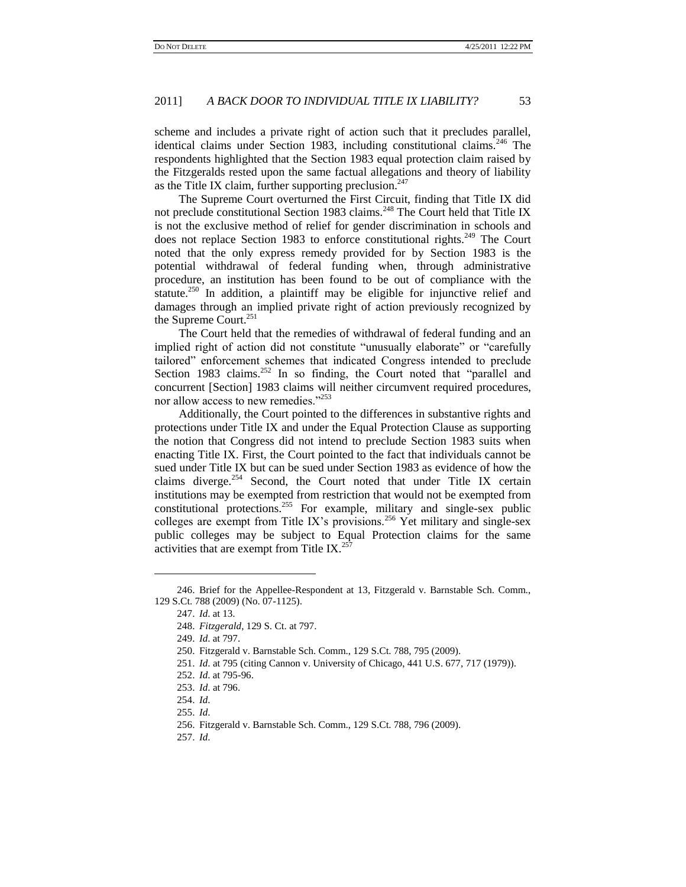scheme and includes a private right of action such that it precludes parallel, identical claims under Section 1983, including constitutional claims.<sup>246</sup> The respondents highlighted that the Section 1983 equal protection claim raised by the Fitzgeralds rested upon the same factual allegations and theory of liability as the Title IX claim, further supporting preclusion. $247$ 

The Supreme Court overturned the First Circuit, finding that Title IX did not preclude constitutional Section 1983 claims.<sup>248</sup> The Court held that Title IX is not the exclusive method of relief for gender discrimination in schools and does not replace Section 1983 to enforce constitutional rights.<sup>249</sup> The Court noted that the only express remedy provided for by Section 1983 is the potential withdrawal of federal funding when, through administrative procedure, an institution has been found to be out of compliance with the statute.<sup>250</sup> In addition, a plaintiff may be eligible for injunctive relief and damages through an implied private right of action previously recognized by the Supreme Court.<sup>251</sup>

The Court held that the remedies of withdrawal of federal funding and an implied right of action did not constitute "unusually elaborate" or "carefully tailored‖ enforcement schemes that indicated Congress intended to preclude Section 1983 claims.<sup>252</sup> In so finding, the Court noted that "parallel and concurrent [Section] 1983 claims will neither circumvent required procedures, nor allow access to new remedies."<sup>253</sup>

Additionally, the Court pointed to the differences in substantive rights and protections under Title IX and under the Equal Protection Clause as supporting the notion that Congress did not intend to preclude Section 1983 suits when enacting Title IX. First, the Court pointed to the fact that individuals cannot be sued under Title IX but can be sued under Section 1983 as evidence of how the claims diverge.<sup>254</sup> Second, the Court noted that under Title IX certain institutions may be exempted from restriction that would not be exempted from constitutional protections.<sup>255</sup> For example, military and single-sex public colleges are exempt from Title IX's provisions.<sup>256</sup> Yet military and single-sex public colleges may be subject to Equal Protection claims for the same activities that are exempt from Title IX. $^{257}$ 

<sup>246.</sup> Brief for the Appellee-Respondent at 13, Fitzgerald v. Barnstable Sch. Comm., 129 S.Ct. 788 (2009) (No. 07-1125).

<sup>247.</sup> *Id*. at 13.

<sup>248.</sup> *Fitzgerald*, 129 S. Ct. at 797.

<sup>249.</sup> *Id*. at 797.

<sup>250.</sup> Fitzgerald v. Barnstable Sch. Comm., 129 S.Ct. 788, 795 (2009).

<sup>251.</sup> *Id*. at 795 (citing Cannon v. University of Chicago, 441 U.S. 677, 717 (1979)).

<sup>252.</sup> *Id*. at 795-96.

<sup>253.</sup> *Id*. at 796.

<sup>254.</sup> *Id*.

<sup>255.</sup> *Id*.

<sup>256.</sup> Fitzgerald v. Barnstable Sch. Comm., 129 S.Ct. 788, 796 (2009).

<sup>257.</sup> *Id*.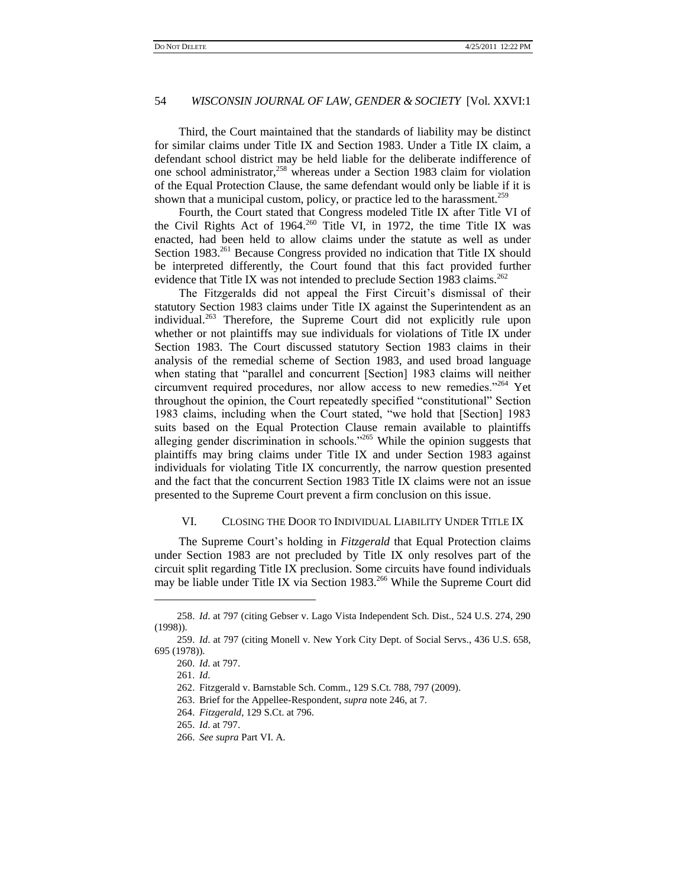Third, the Court maintained that the standards of liability may be distinct for similar claims under Title IX and Section 1983. Under a Title IX claim, a defendant school district may be held liable for the deliberate indifference of one school administrator,<sup>258</sup> whereas under a Section 1983 claim for violation of the Equal Protection Clause, the same defendant would only be liable if it is shown that a municipal custom, policy, or practice led to the harassment.<sup>259</sup>

Fourth, the Court stated that Congress modeled Title IX after Title VI of the Civil Rights Act of 1964.<sup>260</sup> Title VI, in 1972, the time Title IX was enacted, had been held to allow claims under the statute as well as under Section 1983.<sup>261</sup> Because Congress provided no indication that Title IX should be interpreted differently, the Court found that this fact provided further evidence that Title IX was not intended to preclude Section 1983 claims.<sup>262</sup>

The Fitzgeralds did not appeal the First Circuit's dismissal of their statutory Section 1983 claims under Title IX against the Superintendent as an individual.<sup>263</sup> Therefore, the Supreme Court did not explicitly rule upon whether or not plaintiffs may sue individuals for violations of Title IX under Section 1983. The Court discussed statutory Section 1983 claims in their analysis of the remedial scheme of Section 1983, and used broad language when stating that "parallel and concurrent [Section] 1983 claims will neither circumvent required procedures, nor allow access to new remedies."264 Yet throughout the opinion, the Court repeatedly specified "constitutional" Section 1983 claims, including when the Court stated, "we hold that [Section] 1983 suits based on the Equal Protection Clause remain available to plaintiffs alleging gender discrimination in schools.<sup> $265$ </sup> While the opinion suggests that plaintiffs may bring claims under Title IX and under Section 1983 against individuals for violating Title IX concurrently, the narrow question presented and the fact that the concurrent Section 1983 Title IX claims were not an issue presented to the Supreme Court prevent a firm conclusion on this issue.

#### VI. CLOSING THE DOOR TO INDIVIDUAL LIABILITY UNDER TITLE IX

The Supreme Court's holding in *Fitzgerald* that Equal Protection claims under Section 1983 are not precluded by Title IX only resolves part of the circuit split regarding Title IX preclusion. Some circuits have found individuals may be liable under Title IX via Section 1983.<sup>266</sup> While the Supreme Court did

<sup>258.</sup> *Id*. at 797 (citing Gebser v. Lago Vista Independent Sch. Dist., 524 U.S. 274, 290 (1998)).

<sup>259.</sup> *Id*. at 797 (citing Monell v. New York City Dept. of Social Servs., 436 U.S. 658, 695 (1978)).

<sup>260.</sup> *Id*. at 797.

<sup>261.</sup> *Id*.

<sup>262.</sup> Fitzgerald v. Barnstable Sch. Comm., 129 S.Ct. 788, 797 (2009).

<sup>263.</sup> Brief for the Appellee-Respondent, *supra* note 246, at 7.

<sup>264.</sup> *Fitzgerald*, 129 S.Ct. at 796.

<sup>265.</sup> *Id*. at 797.

<sup>266.</sup> *See supra* Part VI. A.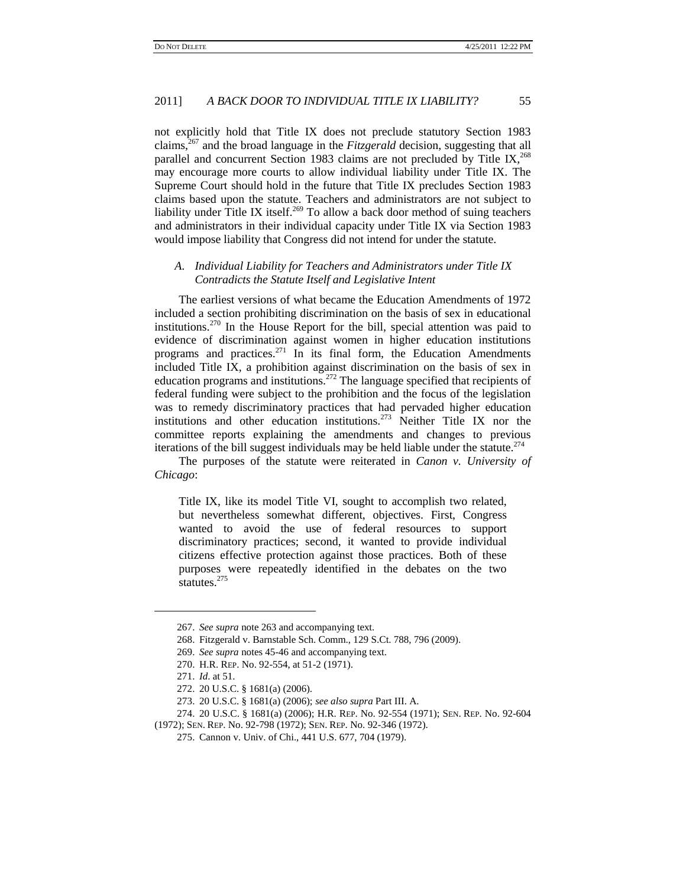not explicitly hold that Title IX does not preclude statutory Section 1983 claims,<sup>267</sup> and the broad language in the *Fitzgerald* decision, suggesting that all parallel and concurrent Section 1983 claims are not precluded by Title IX,  $^{268}$ may encourage more courts to allow individual liability under Title IX. The Supreme Court should hold in the future that Title IX precludes Section 1983 claims based upon the statute. Teachers and administrators are not subject to liability under Title IX itself.<sup>269</sup> To allow a back door method of suing teachers and administrators in their individual capacity under Title IX via Section 1983 would impose liability that Congress did not intend for under the statute.

# *A. Individual Liability for Teachers and Administrators under Title IX Contradicts the Statute Itself and Legislative Intent*

The earliest versions of what became the Education Amendments of 1972 included a section prohibiting discrimination on the basis of sex in educational institutions.<sup>270</sup> In the House Report for the bill, special attention was paid to evidence of discrimination against women in higher education institutions programs and practices.<sup>271</sup> In its final form, the Education Amendments included Title IX, a prohibition against discrimination on the basis of sex in education programs and institutions.<sup>272</sup> The language specified that recipients of federal funding were subject to the prohibition and the focus of the legislation was to remedy discriminatory practices that had pervaded higher education institutions and other education institutions.<sup>273</sup> Neither Title IX nor the committee reports explaining the amendments and changes to previous iterations of the bill suggest individuals may be held liable under the statute.<sup> $274$ </sup>

The purposes of the statute were reiterated in *Canon v. University of Chicago*:

Title IX, like its model Title VI, sought to accomplish two related, but nevertheless somewhat different, objectives. First, Congress wanted to avoid the use of federal resources to support discriminatory practices; second, it wanted to provide individual citizens effective protection against those practices. Both of these purposes were repeatedly identified in the debates on the two statutes.<sup>275</sup>

<sup>267.</sup> *See supra* note 263 and accompanying text.

<sup>268.</sup> Fitzgerald v. Barnstable Sch. Comm., 129 S.Ct. 788, 796 (2009).

<sup>269.</sup> *See supra* notes 45-46 and accompanying text.

<sup>270.</sup> H.R. REP. No. 92-554, at 51-2 (1971).

<sup>271.</sup> *Id*. at 51.

<sup>272.</sup> 20 U.S.C. § 1681(a) (2006).

<sup>273.</sup> 20 U.S.C. § 1681(a) (2006); *see also supra* Part III. A.

<sup>274.</sup> 20 U.S.C. § 1681(a) (2006); H.R. REP. No. 92-554 (1971); SEN. REP. No. 92-604 (1972); SEN. REP. No. 92-798 (1972); SEN. REP. No. 92-346 (1972).

<sup>275.</sup> Cannon v. Univ. of Chi., 441 U.S. 677, 704 (1979).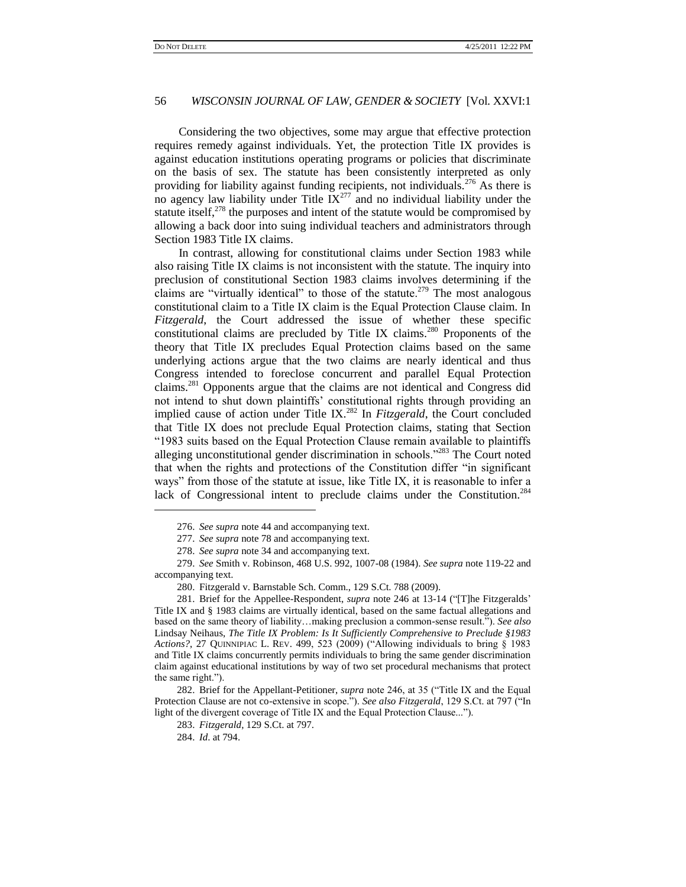Considering the two objectives, some may argue that effective protection requires remedy against individuals. Yet, the protection Title IX provides is against education institutions operating programs or policies that discriminate on the basis of sex. The statute has been consistently interpreted as only providing for liability against funding recipients, not individuals.<sup>276</sup> As there is no agency law liability under Title  $IX^{277}$  and no individual liability under the statute itself, $278$  the purposes and intent of the statute would be compromised by allowing a back door into suing individual teachers and administrators through Section 1983 Title IX claims.

In contrast, allowing for constitutional claims under Section 1983 while also raising Title IX claims is not inconsistent with the statute. The inquiry into preclusion of constitutional Section 1983 claims involves determining if the claims are "virtually identical" to those of the statute.<sup>279</sup> The most analogous constitutional claim to a Title IX claim is the Equal Protection Clause claim. In *Fitzgerald*, the Court addressed the issue of whether these specific constitutional claims are precluded by Title IX claims.<sup>280</sup> Proponents of the theory that Title IX precludes Equal Protection claims based on the same underlying actions argue that the two claims are nearly identical and thus Congress intended to foreclose concurrent and parallel Equal Protection claims.<sup>281</sup> Opponents argue that the claims are not identical and Congress did not intend to shut down plaintiffs' constitutional rights through providing an implied cause of action under Title IX.<sup>282</sup> In *Fitzgerald*, the Court concluded that Title IX does not preclude Equal Protection claims, stating that Section ―1983 suits based on the Equal Protection Clause remain available to plaintiffs alleging unconstitutional gender discrimination in schools.<sup> $283$ </sup> The Court noted that when the rights and protections of the Constitution differ "in significant ways" from those of the statute at issue, like Title IX, it is reasonable to infer a lack of Congressional intent to preclude claims under the Constitution.<sup>284</sup>

<sup>276.</sup> *See supra* note 44 and accompanying text.

<sup>277.</sup> *See supra* note 78 and accompanying text.

<sup>278.</sup> *See supra* note 34 and accompanying text.

<sup>279.</sup> *See* Smith v. Robinson, 468 U.S. 992, 1007-08 (1984). *See supra* note 119-22 and accompanying text.

<sup>280.</sup> Fitzgerald v. Barnstable Sch. Comm., 129 S.Ct. 788 (2009).

<sup>281.</sup> Brief for the Appellee-Respondent, *supra* note 246 at 13-14 ("The Fitzgeralds" Title IX and § 1983 claims are virtually identical, based on the same factual allegations and based on the same theory of liability...making preclusion a common-sense result."). See also Lindsay Neihaus, *The Title IX Problem: Is It Sufficiently Comprehensive to Preclude §1983 Actions?*, 27 QUINNIPIAC L. REV. 499, 523 (2009) ("Allowing individuals to bring § 1983 and Title IX claims concurrently permits individuals to bring the same gender discrimination claim against educational institutions by way of two set procedural mechanisms that protect the same right.").

<sup>282.</sup> Brief for the Appellant-Petitioner, *supra* note 246, at 35 ("Title IX and the Equal Protection Clause are not co-extensive in scope."). *See also Fitzgerald*, 129 S.Ct. at 797 ("In light of the divergent coverage of Title IX and the Equal Protection Clause...").

<sup>283.</sup> *Fitzgerald*, 129 S.Ct. at 797.

<sup>284.</sup> *Id*. at 794.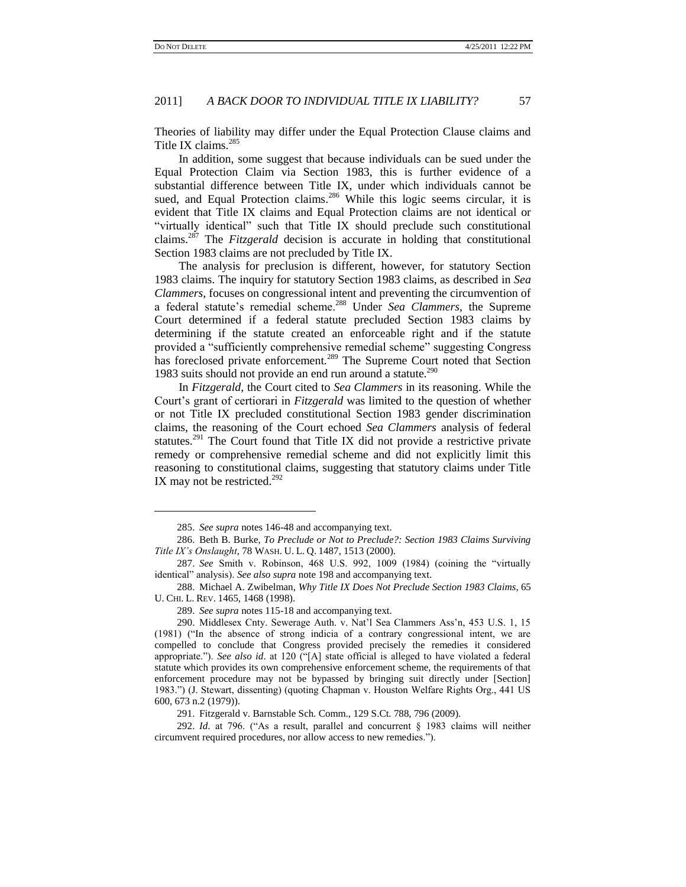$\overline{a}$ 

# 2011] *A BACK DOOR TO INDIVIDUAL TITLE IX LIABILITY?* 57

Theories of liability may differ under the Equal Protection Clause claims and Title IX claims.<sup>285</sup>

In addition, some suggest that because individuals can be sued under the Equal Protection Claim via Section 1983, this is further evidence of a substantial difference between Title IX, under which individuals cannot be sued, and Equal Protection claims.<sup>286</sup> While this logic seems circular, it is evident that Title IX claims and Equal Protection claims are not identical or "virtually identical" such that Title IX should preclude such constitutional claims.<sup>287</sup> The *Fitzgerald* decision is accurate in holding that constitutional Section 1983 claims are not precluded by Title IX.

The analysis for preclusion is different, however, for statutory Section 1983 claims. The inquiry for statutory Section 1983 claims, as described in *Sea Clammers*, focuses on congressional intent and preventing the circumvention of a federal statute's remedial scheme.<sup>288</sup> Under *Sea Clammers*, the Supreme Court determined if a federal statute precluded Section 1983 claims by determining if the statute created an enforceable right and if the statute provided a "sufficiently comprehensive remedial scheme" suggesting Congress has foreclosed private enforcement.<sup>289</sup> The Supreme Court noted that Section 1983 suits should not provide an end run around a statute.<sup>290</sup>

In *Fitzgerald*, the Court cited to *Sea Clammers* in its reasoning. While the Court's grant of certiorari in *Fitzgerald* was limited to the question of whether or not Title IX precluded constitutional Section 1983 gender discrimination claims, the reasoning of the Court echoed *Sea Clammers* analysis of federal statutes.<sup>291</sup> The Court found that Title IX did not provide a restrictive private remedy or comprehensive remedial scheme and did not explicitly limit this reasoning to constitutional claims, suggesting that statutory claims under Title IX may not be restricted.<sup>292</sup>

<sup>285.</sup> *See supra* notes 146-48 and accompanying text.

<sup>286.</sup> Beth B. Burke, *To Preclude or Not to Preclude?: Section 1983 Claims Surviving Title IX"s Onslaught*, 78 WASH. U. L. Q. 1487, 1513 (2000).

<sup>287.</sup> *See* Smith v. Robinson, 468 U.S. 992, 1009 (1984) (coining the "virtually identical" analysis). See also supra note 198 and accompanying text.

<sup>288.</sup> Michael A. Zwibelman, *Why Title IX Does Not Preclude Section 1983 Claims*, 65 U. CHI. L. REV. 1465, 1468 (1998).

<sup>289.</sup> *See supra* notes 115-18 and accompanying text.

<sup>290.</sup> Middlesex Cnty. Sewerage Auth. v. Nat'l Sea Clammers Ass'n, 453 U.S. 1, 15 (1981) ("In the absence of strong indicia of a contrary congressional intent, we are compelled to conclude that Congress provided precisely the remedies it considered appropriate."). *See also id.* at 120 ("[A] state official is alleged to have violated a federal statute which provides its own comprehensive enforcement scheme, the requirements of that enforcement procedure may not be bypassed by bringing suit directly under [Section] 1983.‖) (J. Stewart, dissenting) (quoting Chapman v. Houston Welfare Rights Org., 441 US 600, 673 n.2 (1979)).

<sup>291.</sup> Fitzgerald v. Barnstable Sch. Comm., 129 S.Ct. 788, 796 (2009).

<sup>292.</sup> *Id.* at 796. ("As a result, parallel and concurrent § 1983 claims will neither circumvent required procedures, nor allow access to new remedies.").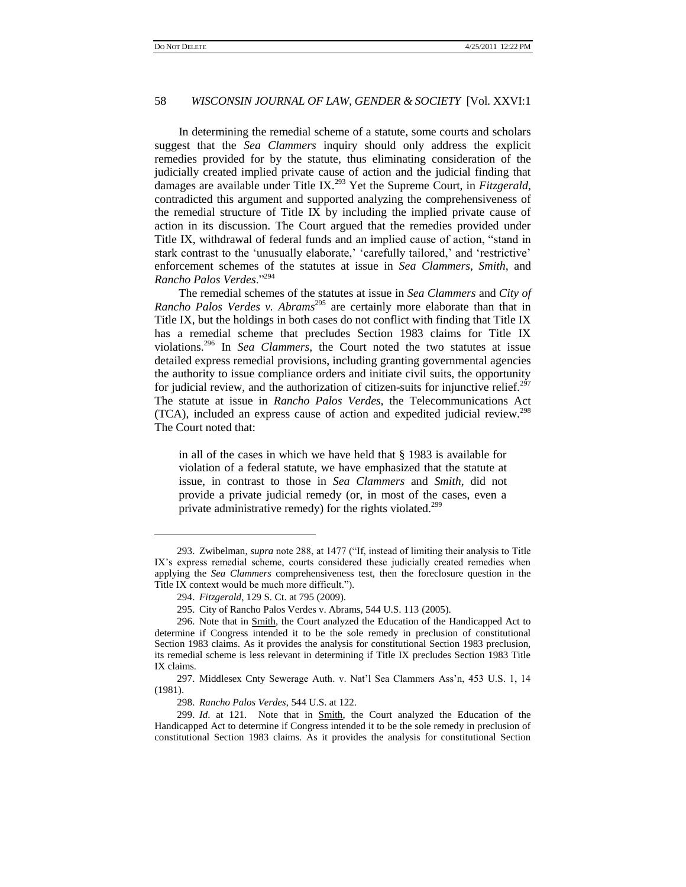In determining the remedial scheme of a statute, some courts and scholars suggest that the *Sea Clammers* inquiry should only address the explicit remedies provided for by the statute, thus eliminating consideration of the judicially created implied private cause of action and the judicial finding that damages are available under Title IX.<sup>293</sup> Yet the Supreme Court, in *Fitzgerald*, contradicted this argument and supported analyzing the comprehensiveness of the remedial structure of Title IX by including the implied private cause of action in its discussion. The Court argued that the remedies provided under Title IX, withdrawal of federal funds and an implied cause of action, "stand in stark contrast to the 'unusually elaborate,' 'carefully tailored,' and 'restrictive' enforcement schemes of the statutes at issue in *Sea Clammers*, *Smith*, and *Rancho Palos Verdes.*"294

The remedial schemes of the statutes at issue in *Sea Clammers* and *City of Rancho Palos Verdes v. Abrams*<sup>295</sup> are certainly more elaborate than that in Title IX, but the holdings in both cases do not conflict with finding that Title IX has a remedial scheme that precludes Section 1983 claims for Title IX violations.<sup>296</sup> In *Sea Clammers*, the Court noted the two statutes at issue detailed express remedial provisions, including granting governmental agencies the authority to issue compliance orders and initiate civil suits, the opportunity for judicial review, and the authorization of citizen-suits for injunctive relief.<sup>297</sup> The statute at issue in *Rancho Palos Verdes*, the Telecommunications Act (TCA), included an express cause of action and expedited judicial review.<sup>298</sup> The Court noted that:

in all of the cases in which we have held that § 1983 is available for violation of a federal statute, we have emphasized that the statute at issue, in contrast to those in *Sea Clammers* and *Smith*, did not provide a private judicial remedy (or, in most of the cases, even a private administrative remedy) for the rights violated.<sup>299</sup>

 $\overline{a}$ 

298. *Rancho Palos Verdes*, 544 U.S. at 122.

<sup>293.</sup> Zwibelman, *supra* note 288, at 1477 ("If, instead of limiting their analysis to Title IX's express remedial scheme, courts considered these judicially created remedies when applying the *Sea Clammers* comprehensiveness test, then the foreclosure question in the Title IX context would be much more difficult.").

<sup>294.</sup> *Fitzgerald*, 129 S. Ct. at 795 (2009).

<sup>295.</sup> City of Rancho Palos Verdes v. Abrams, 544 U.S. 113 (2005).

<sup>296.</sup> Note that in Smith, the Court analyzed the Education of the Handicapped Act to determine if Congress intended it to be the sole remedy in preclusion of constitutional Section 1983 claims. As it provides the analysis for constitutional Section 1983 preclusion, its remedial scheme is less relevant in determining if Title IX precludes Section 1983 Title IX claims.

<sup>297.</sup> Middlesex Cnty Sewerage Auth. v. Nat'l Sea Clammers Ass'n, 453 U.S. 1, 14 (1981).

<sup>299.</sup> *Id*. at 121. Note that in Smith, the Court analyzed the Education of the Handicapped Act to determine if Congress intended it to be the sole remedy in preclusion of constitutional Section 1983 claims. As it provides the analysis for constitutional Section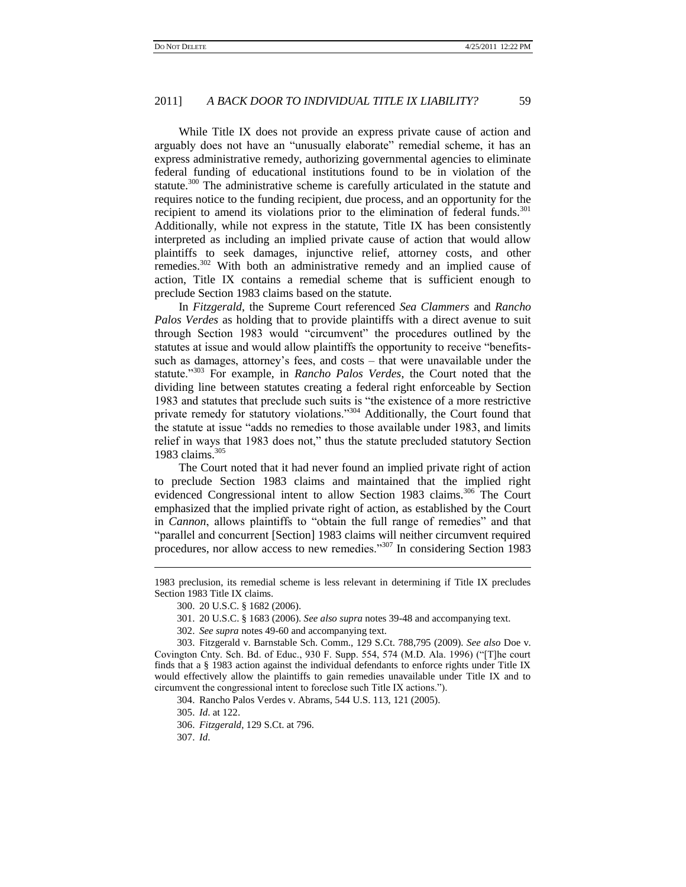While Title IX does not provide an express private cause of action and arguably does not have an "unusually elaborate" remedial scheme, it has an express administrative remedy, authorizing governmental agencies to eliminate federal funding of educational institutions found to be in violation of the statute.<sup>300</sup> The administrative scheme is carefully articulated in the statute and requires notice to the funding recipient, due process, and an opportunity for the recipient to amend its violations prior to the elimination of federal funds.<sup>301</sup> Additionally, while not express in the statute, Title IX has been consistently interpreted as including an implied private cause of action that would allow plaintiffs to seek damages, injunctive relief, attorney costs, and other remedies.<sup>302</sup> With both an administrative remedy and an implied cause of action, Title IX contains a remedial scheme that is sufficient enough to preclude Section 1983 claims based on the statute.

In *Fitzgerald*, the Supreme Court referenced *Sea Clammers* and *Rancho Palos Verdes* as holding that to provide plaintiffs with a direct avenue to suit through Section 1983 would "circumvent" the procedures outlined by the statutes at issue and would allow plaintiffs the opportunity to receive "benefitssuch as damages, attorney's fees, and costs – that were unavailable under the statute.<sup>3303</sup> For example, in *Rancho Palos Verdes*, the Court noted that the dividing line between statutes creating a federal right enforceable by Section 1983 and statutes that preclude such suits is "the existence of a more restrictive private remedy for statutory violations."<sup>304</sup> Additionally, the Court found that the statute at issue "adds no remedies to those available under 1983, and limits relief in ways that 1983 does not," thus the statute precluded statutory Section 1983 claims.<sup>305</sup>

The Court noted that it had never found an implied private right of action to preclude Section 1983 claims and maintained that the implied right evidenced Congressional intent to allow Section 1983 claims.<sup>306</sup> The Court emphasized that the implied private right of action, as established by the Court in *Cannon*, allows plaintiffs to "obtain the full range of remedies" and that "parallel and concurrent [Section] 1983 claims will neither circumvent required procedures, nor allow access to new remedies."<sup>307</sup> In considering Section 1983

304. Rancho Palos Verdes v. Abrams, 544 U.S. 113, 121 (2005).

305. *Id*. at 122.

306. *Fitzgerald*, 129 S.Ct. at 796.

307. *Id*.

<sup>1983</sup> preclusion, its remedial scheme is less relevant in determining if Title IX precludes Section 1983 Title IX claims.

<sup>300.</sup> 20 U.S.C. § 1682 (2006).

<sup>301.</sup> 20 U.S.C. § 1683 (2006). *See also supra* notes 39-48 and accompanying text.

<sup>302.</sup> *See supra* notes 49-60 and accompanying text.

<sup>303.</sup> Fitzgerald v. Barnstable Sch. Comm., 129 S.Ct. 788,795 (2009). *See also* Doe v. Covington Cnty. Sch. Bd. of Educ.,  $930$  F. Supp. 554, 574 (M.D. Ala. 1996) ("The court finds that a § 1983 action against the individual defendants to enforce rights under Title IX would effectively allow the plaintiffs to gain remedies unavailable under Title IX and to circumvent the congressional intent to foreclose such Title IX actions.").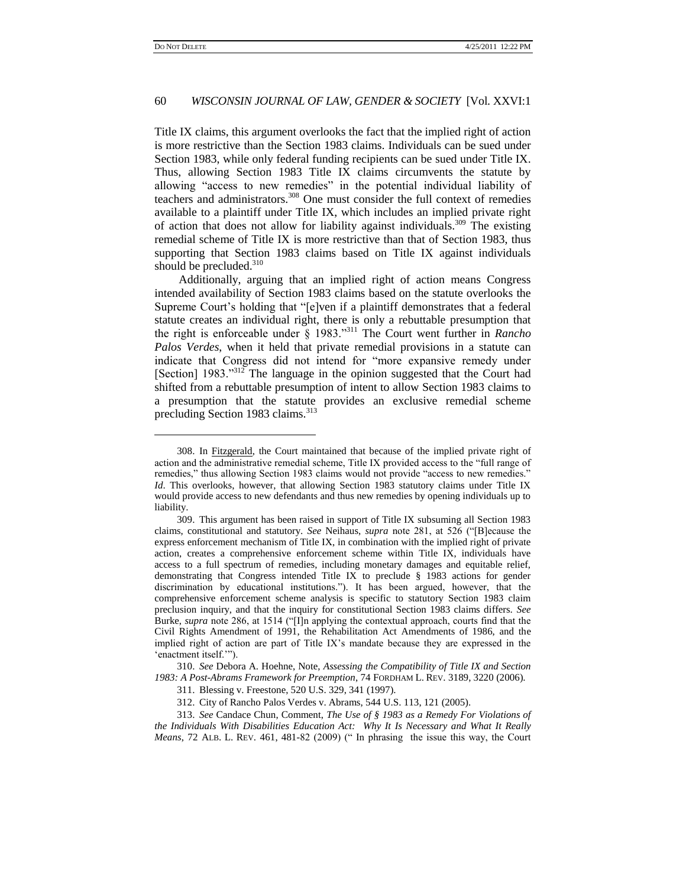l

### 60 *WISCONSIN JOURNAL OF LAW, GENDER & SOCIETY* [Vol. XXVI:1

Title IX claims, this argument overlooks the fact that the implied right of action is more restrictive than the Section 1983 claims. Individuals can be sued under Section 1983, while only federal funding recipients can be sued under Title IX. Thus, allowing Section 1983 Title IX claims circumvents the statute by allowing "access to new remedies" in the potential individual liability of teachers and administrators.<sup>308</sup> One must consider the full context of remedies available to a plaintiff under Title IX, which includes an implied private right of action that does not allow for liability against individuals.<sup>309</sup> The existing remedial scheme of Title IX is more restrictive than that of Section 1983, thus supporting that Section 1983 claims based on Title IX against individuals should be precluded.<sup>310</sup>

Additionally, arguing that an implied right of action means Congress intended availability of Section 1983 claims based on the statute overlooks the Supreme Court's holding that "[e]ven if a plaintiff demonstrates that a federal statute creates an individual right, there is only a rebuttable presumption that the right is enforceable under § 1983."<sup>311</sup> The Court went further in *Rancho Palos Verdes*, when it held that private remedial provisions in a statute can indicate that Congress did not intend for "more expansive remedy under [Section] 1983."<sup>312</sup> The language in the opinion suggested that the Court had shifted from a rebuttable presumption of intent to allow Section 1983 claims to a presumption that the statute provides an exclusive remedial scheme precluding Section 1983 claims.<sup>313</sup>

310. *See* Debora A. Hoehne, Note, *Assessing the Compatibility of Title IX and Section 1983: A Post-Abrams Framework for Preemption*, 74 FORDHAM L. REV. 3189, 3220 (2006).

<sup>308.</sup> In Fitzgerald, the Court maintained that because of the implied private right of action and the administrative remedial scheme, Title IX provided access to the "full range of remedies," thus allowing Section 1983 claims would not provide "access to new remedies." *Id*. This overlooks, however, that allowing Section 1983 statutory claims under Title IX would provide access to new defendants and thus new remedies by opening individuals up to liability.

<sup>309.</sup> This argument has been raised in support of Title IX subsuming all Section 1983 claims, constitutional and statutory. *See* Neihaus, *supra* note 281, at 526 ("[B]ecause the express enforcement mechanism of Title IX, in combination with the implied right of private action, creates a comprehensive enforcement scheme within Title IX, individuals have access to a full spectrum of remedies, including monetary damages and equitable relief, demonstrating that Congress intended Title IX to preclude § 1983 actions for gender discrimination by educational institutions."). It has been argued, however, that the comprehensive enforcement scheme analysis is specific to statutory Section 1983 claim preclusion inquiry, and that the inquiry for constitutional Section 1983 claims differs. *See*  Burke, *supra* note 286, at 1514 ("[I]n applying the contextual approach, courts find that the Civil Rights Amendment of 1991, the Rehabilitation Act Amendments of 1986, and the implied right of action are part of Title IX's mandate because they are expressed in the 'enactment itself.'").

<sup>311.</sup> Blessing v. Freestone, 520 U.S. 329, 341 (1997).

<sup>312.</sup> City of Rancho Palos Verdes v. Abrams, 544 U.S. 113, 121 (2005).

<sup>313.</sup> *See* Candace Chun, Comment, *The Use of § 1983 as a Remedy For Violations of the Individuals With Disabilities Education Act: Why It Is Necessary and What It Really Means*, 72 ALB. L. REV. 461, 481-82 (2009) (" In phrasing the issue this way, the Court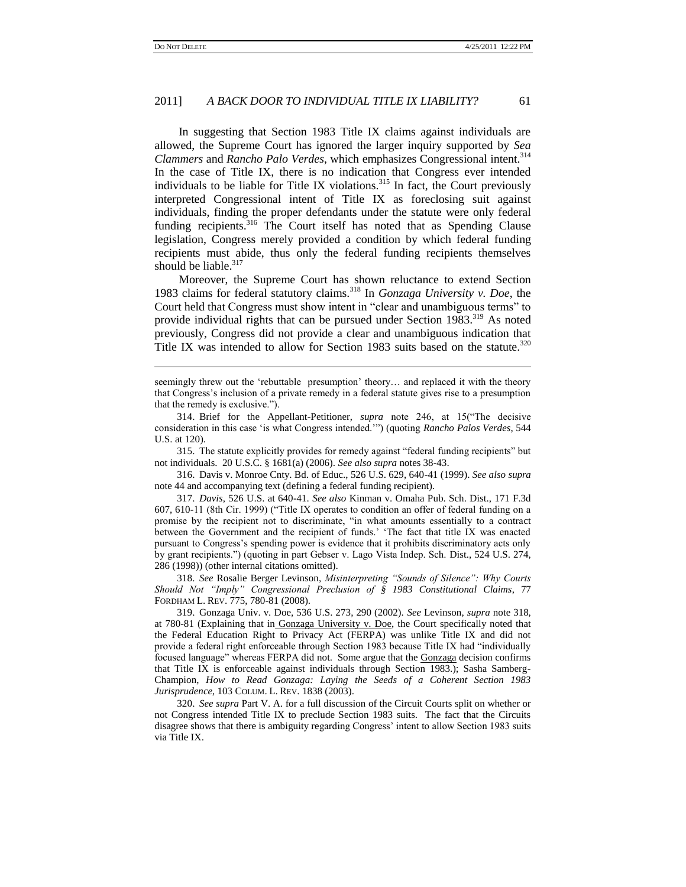$\overline{a}$ 

#### 2011] *A BACK DOOR TO INDIVIDUAL TITLE IX LIABILITY?* 61

In suggesting that Section 1983 Title IX claims against individuals are allowed, the Supreme Court has ignored the larger inquiry supported by *Sea Clammers* and *Rancho Palo Verdes*, which emphasizes Congressional intent.<sup>314</sup> In the case of Title IX, there is no indication that Congress ever intended individuals to be liable for Title IX violations.<sup>315</sup> In fact, the Court previously interpreted Congressional intent of Title IX as foreclosing suit against individuals, finding the proper defendants under the statute were only federal funding recipients.<sup>316</sup> The Court itself has noted that as Spending Clause legislation, Congress merely provided a condition by which federal funding recipients must abide, thus only the federal funding recipients themselves should be liable.<sup>317</sup>

Moreover, the Supreme Court has shown reluctance to extend Section 1983 claims for federal statutory claims.<sup>318</sup> In *Gonzaga University v. Doe*, the Court held that Congress must show intent in "clear and unambiguous terms" to provide individual rights that can be pursued under Section 1983.<sup>319</sup> As noted previously, Congress did not provide a clear and unambiguous indication that Title IX was intended to allow for Section 1983 suits based on the statute.<sup>320</sup>

315. The statute explicitly provides for remedy against "federal funding recipients" but not individuals. 20 U.S.C. § 1681(a) (2006). *See also supra* notes 38-43.

316. Davis v. Monroe Cnty. Bd. of Educ., 526 U.S. 629, 640-41 (1999). *See also supra*  note 44 and accompanying text (defining a federal funding recipient).

317. *Davis*, 526 U.S. at 640-41. *See also* Kinman v. Omaha Pub. Sch. Dist., 171 F.3d 607, 610-11 (8th Cir. 1999) ("Title IX operates to condition an offer of federal funding on a promise by the recipient not to discriminate, "in what amounts essentially to a contract between the Government and the recipient of funds.' 'The fact that title IX was enacted pursuant to Congress's spending power is evidence that it prohibits discriminatory acts only by grant recipients.") (quoting in part Gebser v. Lago Vista Indep. Sch. Dist., 524 U.S. 274, 286 (1998)) (other internal citations omitted).

318. *See* Rosalie Berger Levinson, *Misinterpreting "Sounds of Silence": Why Courts Should Not "Imply" Congressional Preclusion of § 1983 Constitutional Claims*, 77 FORDHAM L. REV. 775, 780-81 (2008).

319. Gonzaga Univ. v. Doe, 536 U.S. 273, 290 (2002). *See* Levinson, *supra* note 318, at 780-81 (Explaining that in Gonzaga University v. Doe, the Court specifically noted that the Federal Education Right to Privacy Act (FERPA) was unlike Title IX and did not provide a federal right enforceable through Section 1983 because Title IX had "individually focused language" whereas FERPA did not. Some argue that the **Gonzaga** decision confirms that Title IX is enforceable against individuals through Section 1983.); Sasha Samberg-Champion, *How to Read Gonzaga: Laying the Seeds of a Coherent Section 1983 Jurisprudence*, 103 COLUM. L. REV. 1838 (2003).

320. *See supra* Par[t V.](#page-23-0) [A.](#page-24-0) for a full discussion of the Circuit Courts split on whether or not Congress intended Title IX to preclude Section 1983 suits. The fact that the Circuits disagree shows that there is ambiguity regarding Congress' intent to allow Section 1983 suits via Title IX.

seemingly threw out the 'rebuttable presumption' theory... and replaced it with the theory that Congress's inclusion of a private remedy in a federal statute gives rise to a presumption that the remedy is exclusive.").

<sup>314.</sup> Brief for the Appellant-Petitioner, *supra* note 246, at 15<sup>\*</sup>The decisive consideration in this case ‗is what Congress intended.'‖) (quoting *Rancho Palos Verdes*, 544 U.S. at 120).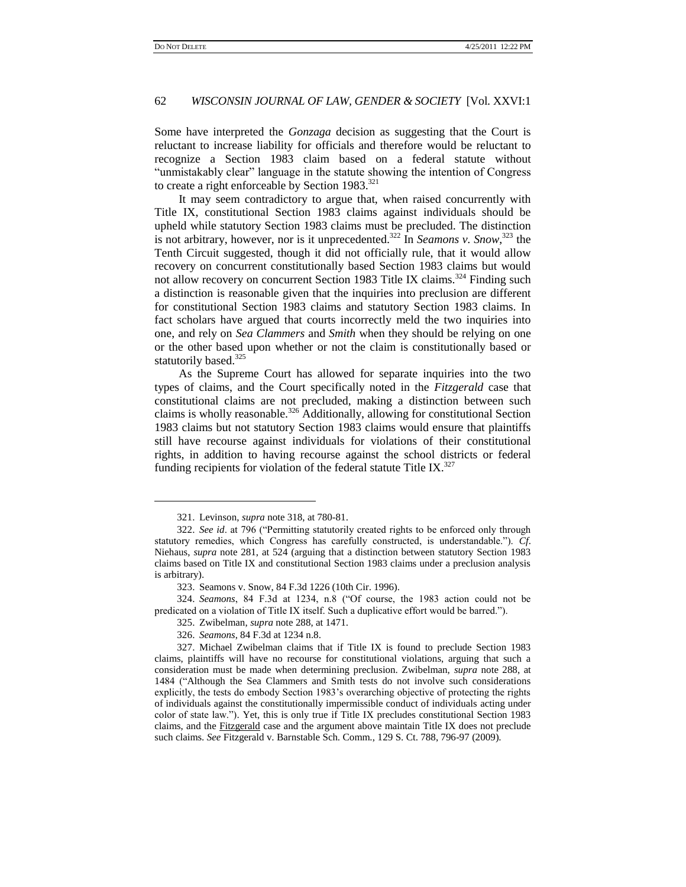Some have interpreted the *Gonzaga* decision as suggesting that the Court is reluctant to increase liability for officials and therefore would be reluctant to recognize a Section 1983 claim based on a federal statute without "unmistakably clear" language in the statute showing the intention of Congress to create a right enforceable by Section  $1983.^{321}$ 

It may seem contradictory to argue that, when raised concurrently with Title IX, constitutional Section 1983 claims against individuals should be upheld while statutory Section 1983 claims must be precluded. The distinction is not arbitrary, however, nor is it unprecedented.<sup>322</sup> In *Seamons v. Snow*, <sup>323</sup> the Tenth Circuit suggested, though it did not officially rule, that it would allow recovery on concurrent constitutionally based Section 1983 claims but would not allow recovery on concurrent Section 1983 Title IX claims.<sup>324</sup> Finding such a distinction is reasonable given that the inquiries into preclusion are different for constitutional Section 1983 claims and statutory Section 1983 claims. In fact scholars have argued that courts incorrectly meld the two inquiries into one, and rely on *Sea Clammers* and *Smith* when they should be relying on one or the other based upon whether or not the claim is constitutionally based or statutorily based.<sup>325</sup>

As the Supreme Court has allowed for separate inquiries into the two types of claims, and the Court specifically noted in the *Fitzgerald* case that constitutional claims are not precluded, making a distinction between such claims is wholly reasonable.<sup>326</sup> Additionally, allowing for constitutional Section 1983 claims but not statutory Section 1983 claims would ensure that plaintiffs still have recourse against individuals for violations of their constitutional rights, in addition to having recourse against the school districts or federal funding recipients for violation of the federal statute Title IX. $^{327}$ 

 $\overline{a}$ 

<sup>321.</sup> Levinson, *supra* note 318, at 780-81.

<sup>322.</sup> *See id.* at 796 ("Permitting statutorily created rights to be enforced only through statutory remedies, which Congress has carefully constructed, is understandable.‖). *Cf*. Niehaus, *supra* note 281, at 524 (arguing that a distinction between statutory Section 1983 claims based on Title IX and constitutional Section 1983 claims under a preclusion analysis is arbitrary).

<sup>323.</sup> Seamons v. Snow, 84 F.3d 1226 (10th Cir. 1996).

<sup>324.</sup> *Seamons*, 84 F.3d at 1234, n.8 ("Of course, the 1983 action could not be predicated on a violation of Title IX itself. Such a duplicative effort would be barred.").

<sup>325.</sup> Zwibelman, *supra* note 288, at 1471.

<sup>326.</sup> *Seamons*, 84 F.3d at 1234 n.8.

<sup>327.</sup> Michael Zwibelman claims that if Title IX is found to preclude Section 1983 claims, plaintiffs will have no recourse for constitutional violations, arguing that such a consideration must be made when determining preclusion. Zwibelman, *supra* note 288, at 1484 ("Although the Sea Clammers and Smith tests do not involve such considerations explicitly, the tests do embody Section 1983's overarching objective of protecting the rights of individuals against the constitutionally impermissible conduct of individuals acting under color of state law.‖). Yet, this is only true if Title IX precludes constitutional Section 1983 claims, and the Fitzgerald case and the argument above maintain Title IX does not preclude such claims. *See* Fitzgerald v. Barnstable Sch. Comm., 129 S. Ct. 788, 796-97 (2009).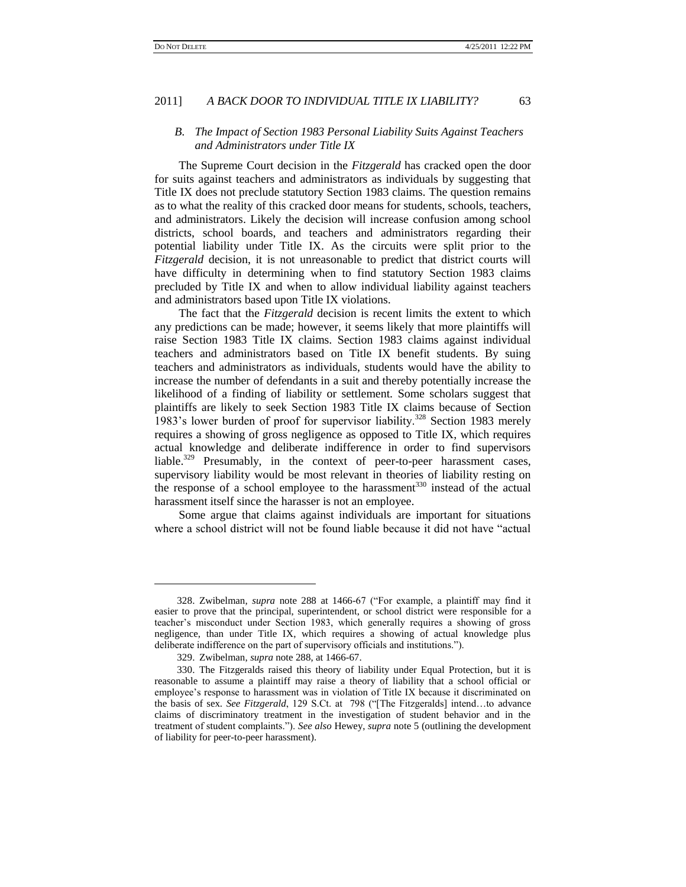#### *B. The Impact of Section 1983 Personal Liability Suits Against Teachers and Administrators under Title IX*

The Supreme Court decision in the *Fitzgerald* has cracked open the door for suits against teachers and administrators as individuals by suggesting that Title IX does not preclude statutory Section 1983 claims. The question remains as to what the reality of this cracked door means for students, schools, teachers, and administrators. Likely the decision will increase confusion among school districts, school boards, and teachers and administrators regarding their potential liability under Title IX. As the circuits were split prior to the *Fitzgerald* decision, it is not unreasonable to predict that district courts will have difficulty in determining when to find statutory Section 1983 claims precluded by Title IX and when to allow individual liability against teachers and administrators based upon Title IX violations.

The fact that the *Fitzgerald* decision is recent limits the extent to which any predictions can be made; however, it seems likely that more plaintiffs will raise Section 1983 Title IX claims. Section 1983 claims against individual teachers and administrators based on Title IX benefit students. By suing teachers and administrators as individuals, students would have the ability to increase the number of defendants in a suit and thereby potentially increase the likelihood of a finding of liability or settlement. Some scholars suggest that plaintiffs are likely to seek Section 1983 Title IX claims because of Section 1983's lower burden of proof for supervisor liability.<sup>328</sup> Section 1983 merely requires a showing of gross negligence as opposed to Title IX, which requires actual knowledge and deliberate indifference in order to find supervisors liable.<sup>329</sup> Presumably, in the context of peer-to-peer harassment cases, supervisory liability would be most relevant in theories of liability resting on the response of a school employee to the harassment $330$  instead of the actual harassment itself since the harasser is not an employee.

Some argue that claims against individuals are important for situations where a school district will not be found liable because it did not have "actual

<sup>328.</sup> Zwibelman, *supra* note 288 at 1466-67 ("For example, a plaintiff may find it easier to prove that the principal, superintendent, or school district were responsible for a teacher's misconduct under Section 1983, which generally requires a showing of gross negligence, than under Title IX, which requires a showing of actual knowledge plus deliberate indifference on the part of supervisory officials and institutions.").

<sup>329.</sup> Zwibelman, *supra* note 288, at 1466-67.

<sup>330.</sup> The Fitzgeralds raised this theory of liability under Equal Protection, but it is reasonable to assume a plaintiff may raise a theory of liability that a school official or employee's response to harassment was in violation of Title IX because it discriminated on the basis of sex. *See Fitzgerald*, 129 S.Ct. at 798 ("[The Fitzgeralds] intend...to advance claims of discriminatory treatment in the investigation of student behavior and in the treatment of student complaints.‖). *See also* Hewey, *supra* note 5 (outlining the development of liability for peer-to-peer harassment).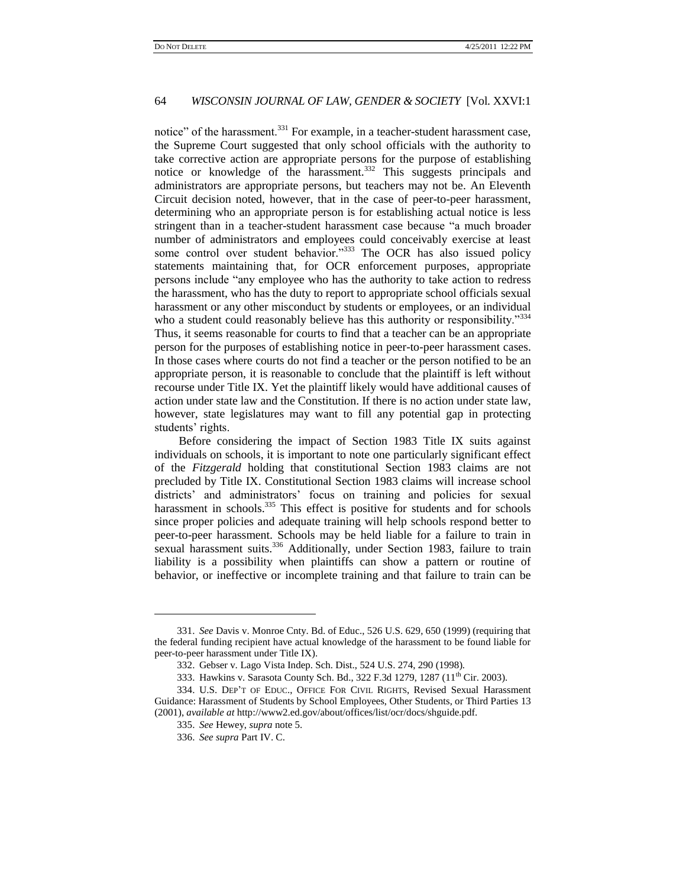notice" of the harassment.<sup>331</sup> For example, in a teacher-student harassment case, the Supreme Court suggested that only school officials with the authority to take corrective action are appropriate persons for the purpose of establishing notice or knowledge of the harassment.<sup>332</sup> This suggests principals and administrators are appropriate persons, but teachers may not be. An Eleventh Circuit decision noted, however, that in the case of peer-to-peer harassment, determining who an appropriate person is for establishing actual notice is less stringent than in a teacher-student harassment case because "a much broader number of administrators and employees could conceivably exercise at least some control over student behavior."333 The OCR has also issued policy statements maintaining that, for OCR enforcement purposes, appropriate persons include "any employee who has the authority to take action to redress the harassment, who has the duty to report to appropriate school officials sexual harassment or any other misconduct by students or employees, or an individual who a student could reasonably believe has this authority or responsibility."334 Thus, it seems reasonable for courts to find that a teacher can be an appropriate person for the purposes of establishing notice in peer-to-peer harassment cases. In those cases where courts do not find a teacher or the person notified to be an appropriate person, it is reasonable to conclude that the plaintiff is left without recourse under Title IX. Yet the plaintiff likely would have additional causes of action under state law and the Constitution. If there is no action under state law, however, state legislatures may want to fill any potential gap in protecting students' rights.

Before considering the impact of Section 1983 Title IX suits against individuals on schools, it is important to note one particularly significant effect of the *Fitzgerald* holding that constitutional Section 1983 claims are not precluded by Title IX. Constitutional Section 1983 claims will increase school districts' and administrators' focus on training and policies for sexual harassment in schools.<sup>335</sup> This effect is positive for students and for schools since proper policies and adequate training will help schools respond better to peer-to-peer harassment. Schools may be held liable for a failure to train in sexual harassment suits.<sup>336</sup> Additionally, under Section 1983, failure to train liability is a possibility when plaintiffs can show a pattern or routine of behavior, or ineffective or incomplete training and that failure to train can be

<sup>331.</sup> *See* Davis v. Monroe Cnty. Bd. of Educ., 526 U.S. 629, 650 (1999) (requiring that the federal funding recipient have actual knowledge of the harassment to be found liable for peer-to-peer harassment under Title IX).

<sup>332.</sup> Gebser v. Lago Vista Indep. Sch. Dist., 524 U.S. 274, 290 (1998).

<sup>333.</sup> Hawkins v. Sarasota County Sch. Bd., 322 F.3d 1279, 1287 (11<sup>th</sup> Cir. 2003).

<sup>334.</sup> U.S. DEP'T OF EDUC., OFFICE FOR CIVIL RIGHTS, Revised Sexual Harassment Guidance: Harassment of Students by School Employees, Other Students, or Third Parties 13 (2001), *available at* http://www2.ed.gov/about/offices/list/ocr/docs/shguide.pdf.

<sup>335.</sup> *See* Hewey, *supra* note 5.

<sup>336.</sup> *See supra* Par[t IV.](#page-18-0) [C.](#page-22-0)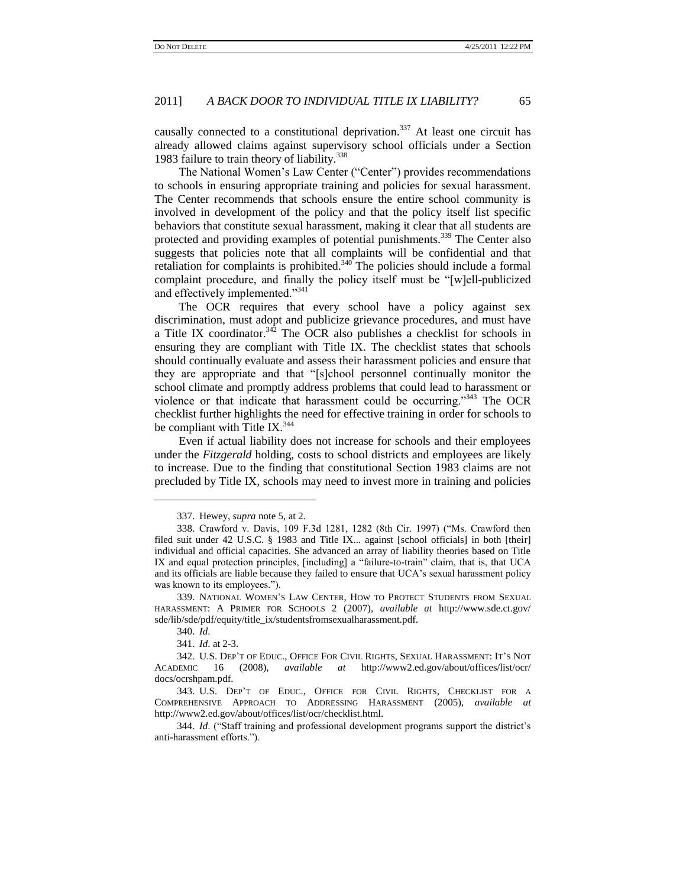causally connected to a constitutional deprivation.<sup>337</sup> At least one circuit has already allowed claims against supervisory school officials under a Section 1983 failure to train theory of liability.<sup>338</sup>

The National Women's Law Center ("Center") provides recommendations to schools in ensuring appropriate training and policies for sexual harassment. The Center recommends that schools ensure the entire school community is involved in development of the policy and that the policy itself list specific behaviors that constitute sexual harassment, making it clear that all students are protected and providing examples of potential punishments.<sup>339</sup> The Center also suggests that policies note that all complaints will be confidential and that retaliation for complaints is prohibited.<sup>340</sup> The policies should include a formal complaint procedure, and finally the policy itself must be "[w]ell-publicized and effectively implemented."<sup>341</sup>

The OCR requires that every school have a policy against sex discrimination, must adopt and publicize grievance procedures, and must have a Title IX coordinator.<sup>342</sup> The OCR also publishes a checklist for schools in ensuring they are compliant with Title IX. The checklist states that schools should continually evaluate and assess their harassment policies and ensure that they are appropriate and that "[s]chool personnel continually monitor the school climate and promptly address problems that could lead to harassment or violence or that indicate that harassment could be occurring."<sup>343</sup> The OCR checklist further highlights the need for effective training in order for schools to be compliant with Title IX. $344$ 

Even if actual liability does not increase for schools and their employees under the *Fitzgerald* holding, costs to school districts and employees are likely to increase. Due to the finding that constitutional Section 1983 claims are not precluded by Title IX, schools may need to invest more in training and policies

l

344. *Id.* ("Staff training and professional development programs support the district's anti-harassment efforts.").

<sup>337.</sup> Hewey, *supra* note 5, at 2.

<sup>338.</sup> Crawford v. Davis, 109 F.3d 1281, 1282 (8th Cir. 1997) ("Ms. Crawford then filed suit under 42 U.S.C. § 1983 and Title IX... against [school officials] in both [their] individual and official capacities. She advanced an array of liability theories based on Title IX and equal protection principles, [including] a "failure-to-train" claim, that is, that UCA and its officials are liable because they failed to ensure that UCA's sexual harassment policy was known to its employees.").

<sup>339.</sup> NATIONAL WOMEN'S LAW CENTER, HOW TO PROTECT STUDENTS FROM SEXUAL HARASSMENT: A PRIMER FOR SCHOOLS 2 (2007), *available at* http://www.sde.ct.gov/ sde/lib/sde/pdf/equity/title\_ix/studentsfromsexualharassment.pdf.

<sup>340.</sup> *Id*.

<sup>341.</sup> *Id*. at 2-3.

<sup>342.</sup> U.S. DEP'T OF EDUC., OFFICE FOR CIVIL RIGHTS, SEXUAL HARASSMENT: IT'S NOT ACADEMIC 16 (2008), *available at* http://www2.ed.gov/about/offices/list/ocr/ docs/ocrshpam.pdf.

<sup>343.</sup> U.S. DEP'T OF EDUC., OFFICE FOR CIVIL RIGHTS, CHECKLIST FOR A COMPREHENSIVE APPROACH TO ADDRESSING HARASSMENT (2005), *available at* http://www2.ed.gov/about/offices/list/ocr/checklist.html.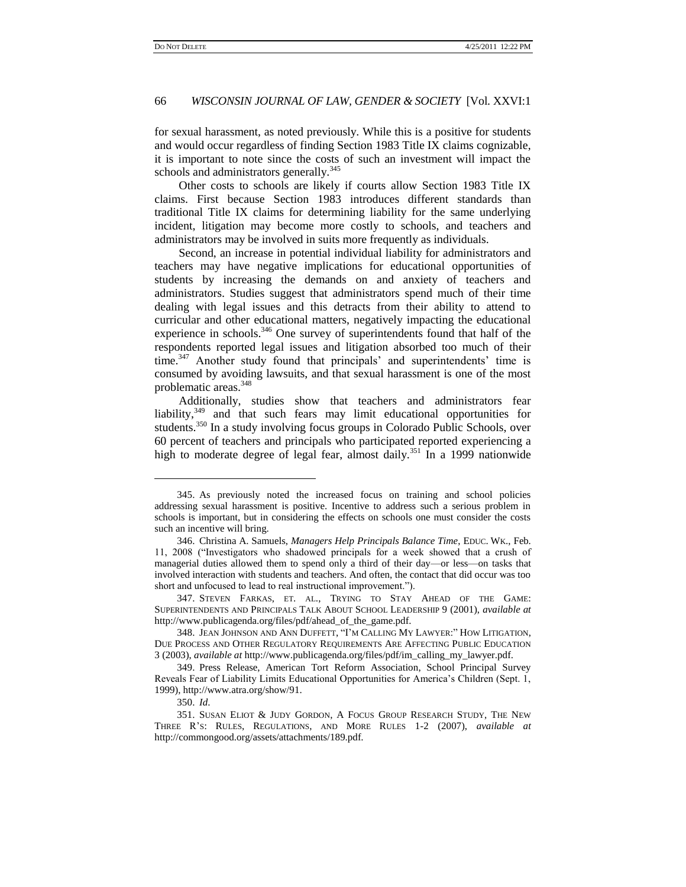for sexual harassment, as noted previously. While this is a positive for students and would occur regardless of finding Section 1983 Title IX claims cognizable, it is important to note since the costs of such an investment will impact the schools and administrators generally.<sup>345</sup>

Other costs to schools are likely if courts allow Section 1983 Title IX claims. First because Section 1983 introduces different standards than traditional Title IX claims for determining liability for the same underlying incident, litigation may become more costly to schools, and teachers and administrators may be involved in suits more frequently as individuals.

Second, an increase in potential individual liability for administrators and teachers may have negative implications for educational opportunities of students by increasing the demands on and anxiety of teachers and administrators. Studies suggest that administrators spend much of their time dealing with legal issues and this detracts from their ability to attend to curricular and other educational matters, negatively impacting the educational experience in schools.<sup>346</sup> One survey of superintendents found that half of the respondents reported legal issues and litigation absorbed too much of their time.<sup>347</sup> Another study found that principals' and superintendents' time is consumed by avoiding lawsuits, and that sexual harassment is one of the most problematic areas.<sup>348</sup>

Additionally, studies show that teachers and administrators fear liability,<sup>349</sup> and that such fears may limit educational opportunities for students.<sup>350</sup> In a study involving focus groups in Colorado Public Schools, over 60 percent of teachers and principals who participated reported experiencing a high to moderate degree of legal fear, almost daily.<sup>351</sup> In a 1999 nationwide

<sup>345.</sup> As previously noted the increased focus on training and school policies addressing sexual harassment is positive. Incentive to address such a serious problem in schools is important, but in considering the effects on schools one must consider the costs such an incentive will bring.

<sup>346.</sup> Christina A. Samuels, *Managers Help Principals Balance Time*, EDUC. WK., Feb. 11, 2008 ("Investigators who shadowed principals for a week showed that a crush of managerial duties allowed them to spend only a third of their day—or less—on tasks that involved interaction with students and teachers. And often, the contact that did occur was too short and unfocused to lead to real instructional improvement.").

<sup>347.</sup> STEVEN FARKAS, ET. AL., TRYING TO STAY AHEAD OF THE GAME: SUPERINTENDENTS AND PRINCIPALS TALK ABOUT SCHOOL LEADERSHIP 9 (2001), *available at* http://www.publicagenda.org/files/pdf/ahead\_of\_the\_game.pdf.

<sup>348.</sup> JEAN JOHNSON AND ANN DUFFETT, "I'M CALLING MY LAWYER:" HOW LITIGATION, DUE PROCESS AND OTHER REGULATORY REQUIREMENTS ARE AFFECTING PUBLIC EDUCATION 3 (2003), *available at* http://www.publicagenda.org/files/pdf/im\_calling\_my\_lawyer.pdf.

<sup>349.</sup> Press Release, American Tort Reform Association, School Principal Survey Reveals Fear of Liability Limits Educational Opportunities for America's Children (Sept. 1, 1999), http://www.atra.org/show/91.

<sup>350.</sup> *Id*.

<sup>351.</sup> SUSAN ELIOT & JUDY GORDON, A FOCUS GROUP RESEARCH STUDY, THE NEW THREE R'S: RULES, REGULATIONS, AND MORE RULES 1-2 (2007), *available at* http://commongood.org/assets/attachments/189.pdf.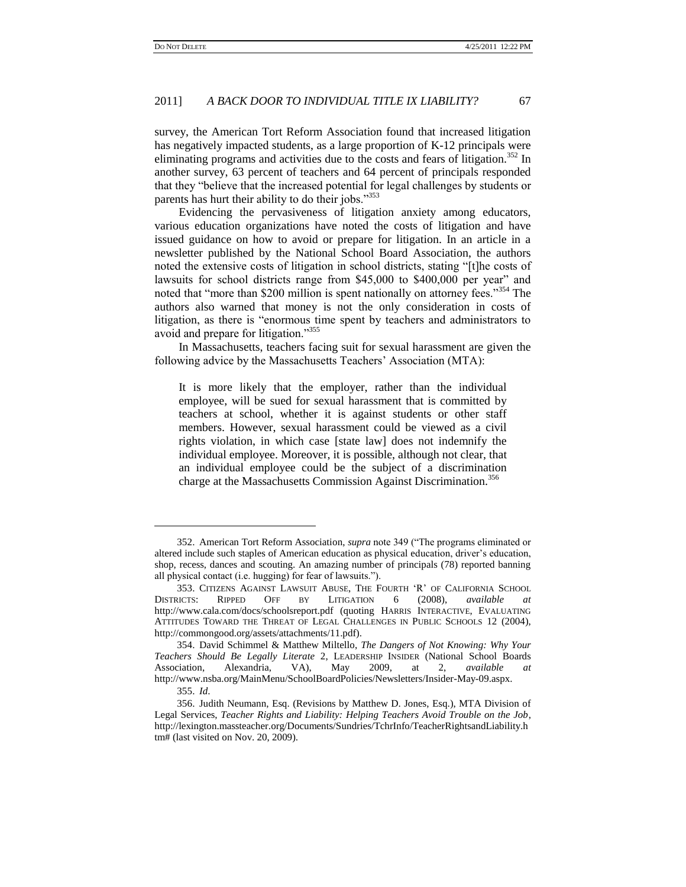survey, the American Tort Reform Association found that increased litigation has negatively impacted students, as a large proportion of K-12 principals were eliminating programs and activities due to the costs and fears of litigation.<sup>352</sup> In another survey, 63 percent of teachers and 64 percent of principals responded that they "believe that the increased potential for legal challenges by students or parents has hurt their ability to do their jobs."<sup>353</sup>

Evidencing the pervasiveness of litigation anxiety among educators, various education organizations have noted the costs of litigation and have issued guidance on how to avoid or prepare for litigation. In an article in a newsletter published by the National School Board Association, the authors noted the extensive costs of litigation in school districts, stating "[t]he costs of lawsuits for school districts range from \$45,000 to \$400,000 per year" and noted that "more than \$200 million is spent nationally on attorney fees."<sup>354</sup> The authors also warned that money is not the only consideration in costs of litigation, as there is "enormous time spent by teachers and administrators to avoid and prepare for litigation."<sup>355</sup>

In Massachusetts, teachers facing suit for sexual harassment are given the following advice by the Massachusetts Teachers' Association (MTA):

It is more likely that the employer, rather than the individual employee, will be sued for sexual harassment that is committed by teachers at school, whether it is against students or other staff members. However, sexual harassment could be viewed as a civil rights violation, in which case [state law] does not indemnify the individual employee. Moreover, it is possible, although not clear, that an individual employee could be the subject of a discrimination charge at the Massachusetts Commission Against Discrimination.<sup>356</sup>

<sup>352.</sup> American Tort Reform Association, *supra* note 349 ("The programs eliminated or altered include such staples of American education as physical education, driver's education, shop, recess, dances and scouting. An amazing number of principals (78) reported banning all physical contact (i.e. hugging) for fear of lawsuits.").

<sup>353.</sup> CITIZENS AGAINST LAWSUIT ABUSE, THE FOURTH ‗R' OF CALIFORNIA SCHOOL DISTRICTS: RIPPED OFF BY LITIGATION 6 (2008), *available at* http://www.cala.com/docs/schoolsreport.pdf (quoting HARRIS INTERACTIVE, EVALUATING ATTITUDES TOWARD THE THREAT OF LEGAL CHALLENGES IN PUBLIC SCHOOLS 12 (2004), http://commongood.org/assets/attachments/11.pdf).

<sup>354.</sup> David Schimmel & Matthew Miltello, *The Dangers of Not Knowing: Why Your Teachers Should Be Legally Literate* 2, LEADERSHIP INSIDER (National School Boards Association, Alexandria, VA), May 2009, at 2, *available at*  http://www.nsba.org/MainMenu/SchoolBoardPolicies/Newsletters/Insider-May-09.aspx.

<sup>355.</sup> *Id*.

<sup>356.</sup> Judith Neumann, Esq. (Revisions by Matthew D. Jones, Esq.), MTA Division of Legal Services, *Teacher Rights and Liability: Helping Teachers Avoid Trouble on the Job*, http://lexington.massteacher.org/Documents/Sundries/TchrInfo/TeacherRightsandLiability.h tm# (last visited on Nov. 20, 2009).